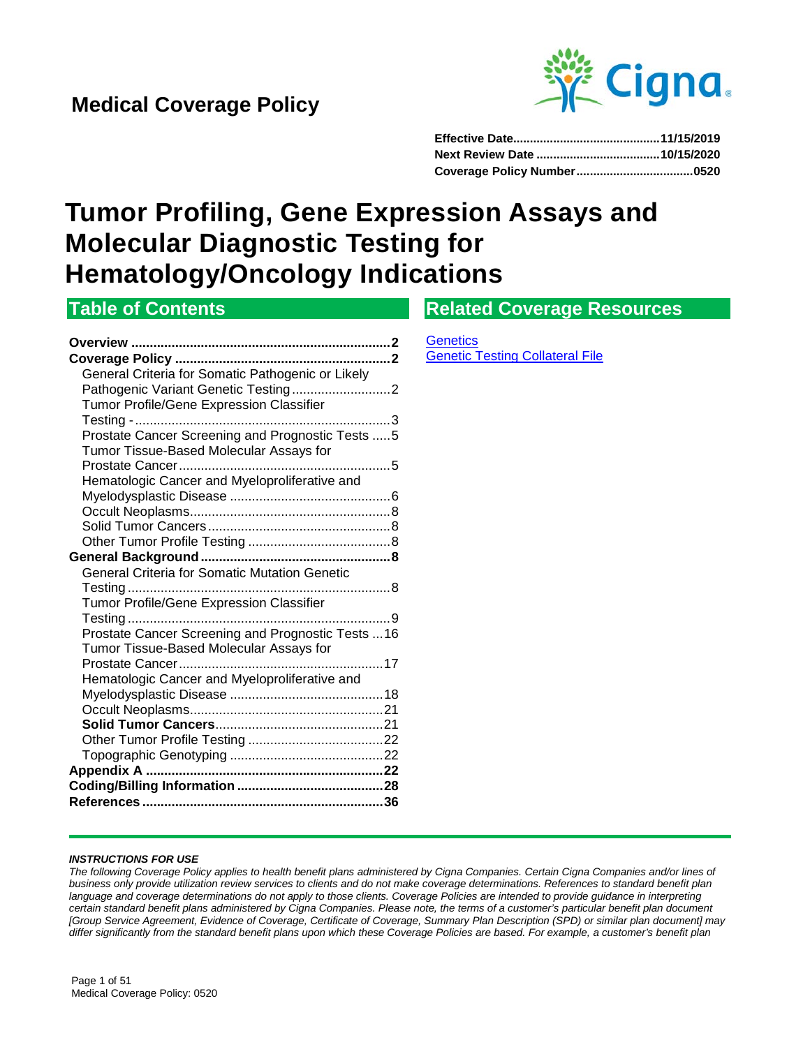

# **Tumor Profiling, Gene Expression Assays and Molecular Diagnostic Testing for Hematology/Oncology Indications**

# **Table of Contents**

# **Related Coverage Resources**

**Overview [.......................................................................2](#page-1-0) Coverage Policy [...........................................................2](#page-1-0)** [General Criteria for Somatic Pathogenic or Likely](#page-1-1)  [Pathogenic Variant Genetic Testing...........................2](#page-1-1) [Tumor Profile/Gene Expression Classifier](#page-2-0)  [Testing -......................................................................3](#page-2-0) [Prostate Cancer Screening and Prognostic Tests](#page-4-0) .....5 [Tumor Tissue-Based Molecular Assays for](#page-4-1)  [Prostate Cancer..........................................................5](#page-4-1) [Hematologic Cancer and Myeloproliferative and](#page-5-0)  Myelodysplastic Disease [............................................6](#page-5-0) [Occult Neoplasms.......................................................8](#page-7-0) Solid Tumor Cancers [..................................................8](#page-7-1) [Other Tumor Profile Testing](#page-7-2) .......................................8 **[General Background....................................................8](#page-7-3)** [General Criteria for Somatic Mutation Genetic](#page-7-4)  Testing [........................................................................8](#page-7-4) [Tumor Profile/Gene Expression Classifier](#page-8-0)  Testing [........................................................................9](#page-8-0) [Prostate Cancer Screening and Prognostic Tests](#page-15-0) ...16 [Tumor Tissue-Based Molecular Assays for](#page-16-0)  [Prostate Cancer........................................................17](#page-16-0) [Hematologic Cancer and Myeloproliferative and](#page-17-0)  Myelodysplastic Disease [..........................................18](#page-17-0) [Occult Neoplasms.....................................................21](#page-20-0) **Solid Tumor Cancers**[..............................................21](#page-20-1) [Other Tumor Profile Testing](#page-21-0) .....................................22 Topographic Genotyping [..........................................22](#page-21-1) **Appendix A [.................................................................22](#page-21-2) [Coding/Billing Information](#page-27-0) ........................................28 References [..................................................................36](#page-35-0)**

**[Genetics](https://cignaforhcp.cigna.com/web/public/resourcesGuest/!ut/p/z1/hY3BDoIwEES_hQNH2SVG5WpMRIyJJBy0vZC1rlgDlJSK-veWDyDMbWffzICEK8iWBl2R06al2t9CrstzmqzjQ4GH9JjvMctxl8VFscQE4TIHSP_GCW3HvJxDhJ_YTE-s4DJo_kAxNll-gAix1477ENVTdSFa7s3bKj7pmyX787YZ2FLFuam10iPY8F0rqktFjitjvRd1HhgbXzTQN-qMdTW7iHoQMXTNFReiST7bIPgDNHbrAA!!/dz/d5/L2dBISEvZ0FBIS9nQSEh/p0/IZ7_OG861HS0HGJPF0IP0CI1SS3085=CZ6_OG861HS0HGJPF0IP0CI1SS3080=LA0=Eref!QCPsitesQCPchcpQCPresourceLibraryQCPcoveragePoliciesQCPcategoriesQCPgenetics.pageQDP==/#Z7_OG861HS0HGJPF0IP0CI1SS3085)** [Genetic Testing Collateral File](https://cignaforhcp.cigna.com/public/content/pdf/coveragePolicies/medical/Genetic_Testing_Collateral_Document.pdf)

#### *INSTRUCTIONS FOR USE*

*The following Coverage Policy applies to health benefit plans administered by Cigna Companies. Certain Cigna Companies and/or lines of business only provide utilization review services to clients and do not make coverage determinations. References to standard benefit plan*  language and coverage determinations do not apply to those clients. Coverage Policies are intended to provide guidance in interpreting *certain standard benefit plans administered by Cigna Companies. Please note, the terms of a customer's particular benefit plan document [Group Service Agreement, Evidence of Coverage, Certificate of Coverage, Summary Plan Description (SPD) or similar plan document] may differ significantly from the standard benefit plans upon which these Coverage Policies are based. For example, a customer's benefit plan*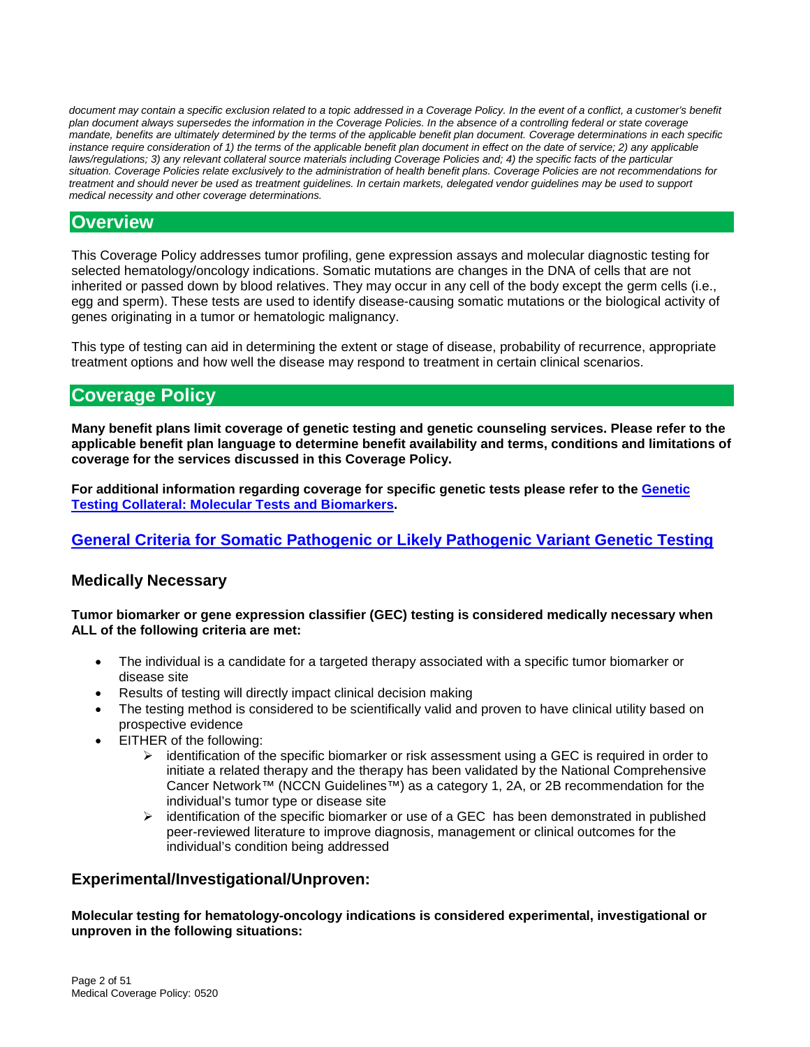document may contain a specific exclusion related to a topic addressed in a Coverage Policy. In the event of a conflict, a customer's benefit *plan document always supersedes the information in the Coverage Policies. In the absence of a controlling federal or state coverage mandate, benefits are ultimately determined by the terms of the applicable benefit plan document. Coverage determinations in each specific instance require consideration of 1) the terms of the applicable benefit plan document in effect on the date of service; 2) any applicable laws/regulations; 3) any relevant collateral source materials including Coverage Policies and; 4) the specific facts of the particular situation. Coverage Policies relate exclusively to the administration of health benefit plans. Coverage Policies are not recommendations for treatment and should never be used as treatment guidelines. In certain markets, delegated vendor guidelines may be used to support medical necessity and other coverage determinations.*

### <span id="page-1-0"></span>**Overview**

This Coverage Policy addresses tumor profiling, gene expression assays and molecular diagnostic testing for selected hematology/oncology indications. Somatic mutations are changes in the DNA of cells that are not inherited or passed down by blood relatives. They may occur in any cell of the body except the germ cells (i.e., egg and sperm). These tests are used to identify disease-causing somatic mutations or the biological activity of genes originating in a tumor or hematologic malignancy.

This type of testing can aid in determining the extent or stage of disease, probability of recurrence, appropriate treatment options and how well the disease may respond to treatment in certain clinical scenarios.

# **Coverage Policy**

**Many benefit plans limit coverage of genetic testing and genetic counseling services. Please refer to the applicable benefit plan language to determine benefit availability and terms, conditions and limitations of coverage for the services discussed in this Coverage Policy.**

**For additional information regarding coverage for specific genetic tests please refer to the [Genetic](https://cignaforhcp.cigna.com/public/content/pdf/coveragePolicies/medical/Genetic_Testing_Collateral_Document.pdf)  Testing [Collateral: Molecular Tests and Biomarkers.](https://cignaforhcp.cigna.com/public/content/pdf/coveragePolicies/medical/Genetic_Testing_Collateral_Document.pdf)**

### <span id="page-1-1"></span>**[General Criteria for Somatic Pathogenic or Likely Pathogenic Variant Genetic Testing](#page-7-4)**

### **Medically Necessary**

#### **Tumor biomarker or gene expression classifier (GEC) testing is considered medically necessary when ALL of the following criteria are met:**

- The individual is a candidate for a targeted therapy associated with a specific tumor biomarker or disease site
- Results of testing will directly impact clinical decision making
- The testing method is considered to be scientifically valid and proven to have clinical utility based on prospective evidence
- EITHER of the following:
	- $\triangleright$  identification of the specific biomarker or risk assessment using a GEC is required in order to initiate a related therapy and the therapy has been validated by the National Comprehensive Cancer Network™ (NCCN Guidelines™) as a category 1, 2A, or 2B recommendation for the individual's tumor type or disease site
	- $\triangleright$  identification of the specific biomarker or use of a GEC has been demonstrated in published peer-reviewed literature to improve diagnosis, management or clinical outcomes for the individual's condition being addressed

### **Experimental/Investigational/Unproven:**

**Molecular testing for hematology-oncology indications is considered experimental, investigational or unproven in the following situations:**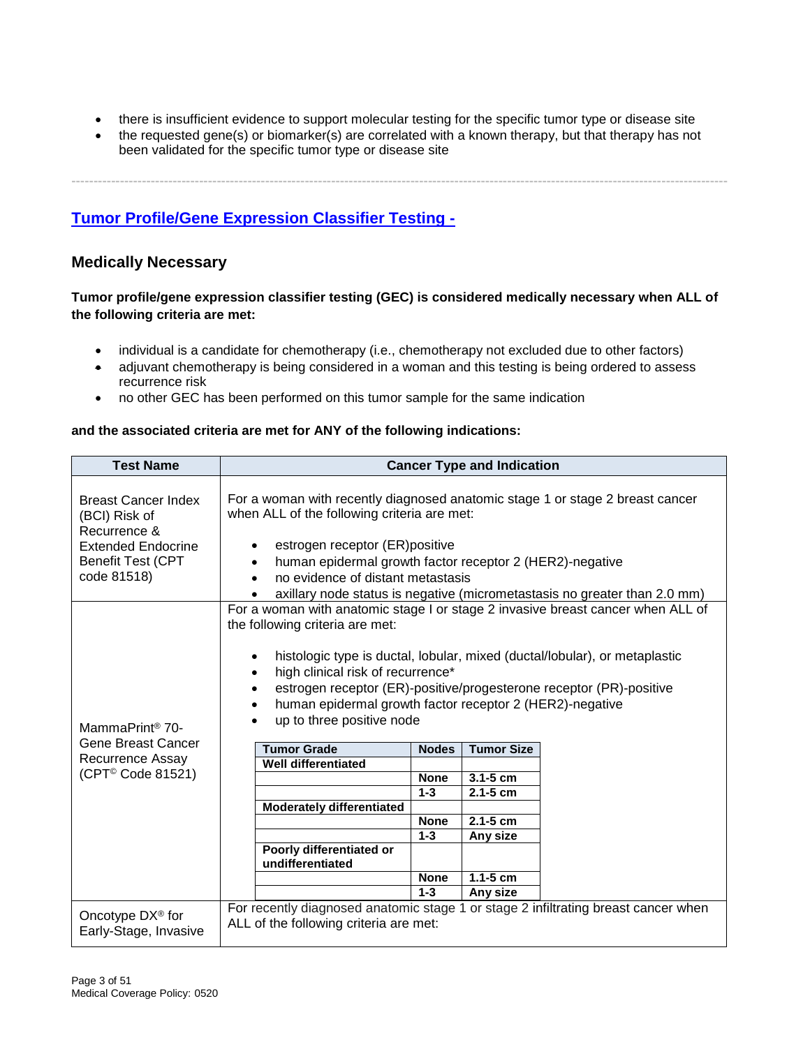- there is insufficient evidence to support molecular testing for the specific tumor type or disease site
- the requested gene(s) or biomarker(s) are correlated with a known therapy, but that therapy has not been validated for the specific tumor type or disease site

**-----------------------------------------------------------------------------------------------------------------------------------------------------**

<span id="page-2-0"></span>**[Tumor Profile/Gene Expression Classifier Testing -](#page-8-0)**

### **Medically Necessary**

#### **Tumor profile/gene expression classifier testing (GEC) is considered medically necessary when ALL of the following criteria are met:**

- individual is a candidate for chemotherapy (i.e., chemotherapy not excluded due to other factors)
- adjuvant chemotherapy is being considered in a woman and this testing is being ordered to assess recurrence risk
- no other GEC has been performed on this tumor sample for the same indication

#### **and the associated criteria are met for ANY of the following indications:**

| <b>Test Name</b>                                                                                                                    | <b>Cancer Type and Indication</b>                                                                                                                                                                                                                                                                                                                                                                                                                                                                                                                                                                                                                                                                                                                                                                                                     |  |
|-------------------------------------------------------------------------------------------------------------------------------------|---------------------------------------------------------------------------------------------------------------------------------------------------------------------------------------------------------------------------------------------------------------------------------------------------------------------------------------------------------------------------------------------------------------------------------------------------------------------------------------------------------------------------------------------------------------------------------------------------------------------------------------------------------------------------------------------------------------------------------------------------------------------------------------------------------------------------------------|--|
| <b>Breast Cancer Index</b><br>(BCI) Risk of<br>Recurrence &<br><b>Extended Endocrine</b><br><b>Benefit Test (CPT</b><br>code 81518) | For a woman with recently diagnosed anatomic stage 1 or stage 2 breast cancer<br>when ALL of the following criteria are met:<br>estrogen receptor (ER)positive<br>human epidermal growth factor receptor 2 (HER2)-negative<br>no evidence of distant metastasis                                                                                                                                                                                                                                                                                                                                                                                                                                                                                                                                                                       |  |
| MammaPrint <sup>®</sup> 70-<br>Gene Breast Cancer<br>Recurrence Assay<br>(CPT <sup>®</sup> Code 81521)                              | axillary node status is negative (micrometastasis no greater than 2.0 mm)<br>For a woman with anatomic stage I or stage 2 invasive breast cancer when ALL of<br>the following criteria are met:<br>histologic type is ductal, lobular, mixed (ductal/lobular), or metaplastic<br>high clinical risk of recurrence*<br>estrogen receptor (ER)-positive/progesterone receptor (PR)-positive<br>human epidermal growth factor receptor 2 (HER2)-negative<br>up to three positive node<br><b>Tumor Grade</b><br><b>Tumor Size</b><br><b>Nodes</b><br><b>Well differentiated</b><br>$3.1 - 5$ cm<br><b>None</b><br>$1 - 3$<br>$2.1 - 5$ cm<br><b>Moderately differentiated</b><br>$2.1 - 5$ cm<br><b>None</b><br>$1 - 3$<br>Any size<br>Poorly differentiated or<br>undifferentiated<br>$1.1 - 5$ cm<br><b>None</b><br>$1 - 3$<br>Any size |  |
| Oncotype $DX^{\circledcirc}$ for<br>Early-Stage, Invasive                                                                           | For recently diagnosed anatomic stage 1 or stage 2 infiltrating breast cancer when<br>ALL of the following criteria are met:                                                                                                                                                                                                                                                                                                                                                                                                                                                                                                                                                                                                                                                                                                          |  |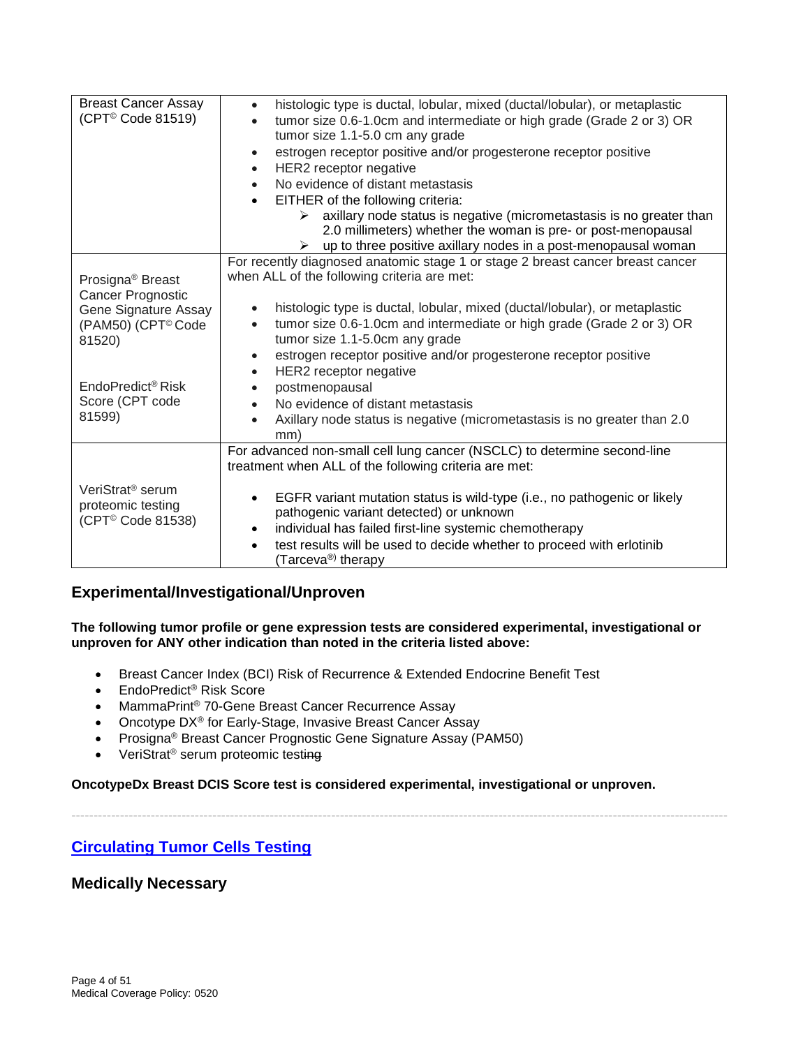| <b>Breast Cancer Assay</b><br>(CPT <sup>©</sup> Code 81519)                                                                                                                         | histologic type is ductal, lobular, mixed (ductal/lobular), or metaplastic<br>$\bullet$<br>tumor size 0.6-1.0cm and intermediate or high grade (Grade 2 or 3) OR<br>tumor size 1.1-5.0 cm any grade<br>estrogen receptor positive and/or progesterone receptor positive<br>HER2 receptor negative<br>No evidence of distant metastasis<br>EITHER of the following criteria:<br>axillary node status is negative (micrometastasis is no greater than<br>≻<br>2.0 millimeters) whether the woman is pre- or post-menopausal<br>up to three positive axillary nodes in a post-menopausal woman<br>➤ |
|-------------------------------------------------------------------------------------------------------------------------------------------------------------------------------------|--------------------------------------------------------------------------------------------------------------------------------------------------------------------------------------------------------------------------------------------------------------------------------------------------------------------------------------------------------------------------------------------------------------------------------------------------------------------------------------------------------------------------------------------------------------------------------------------------|
| Prosigna <sup>®</sup> Breast<br>Cancer Prognostic<br>Gene Signature Assay<br>(PAM50) (CPT <sup>®</sup> Code<br>81520)<br>EndoPredict <sup>®</sup> Risk<br>Score (CPT code<br>81599) | For recently diagnosed anatomic stage 1 or stage 2 breast cancer breast cancer<br>when ALL of the following criteria are met:<br>histologic type is ductal, lobular, mixed (ductal/lobular), or metaplastic<br>tumor size 0.6-1.0cm and intermediate or high grade (Grade 2 or 3) OR<br>$\bullet$<br>tumor size 1.1-5.0cm any grade<br>estrogen receptor positive and/or progesterone receptor positive<br>HER2 receptor negative<br>$\bullet$<br>postmenopausal<br>No evidence of distant metastasis<br>Axillary node status is negative (micrometastasis is no greater than 2.0<br>mm)         |
| VeriStrat <sup>®</sup> serum<br>proteomic testing<br>(CPT <sup>©</sup> Code 81538)                                                                                                  | For advanced non-small cell lung cancer (NSCLC) to determine second-line<br>treatment when ALL of the following criteria are met:<br>EGFR variant mutation status is wild-type (i.e., no pathogenic or likely<br>$\bullet$<br>pathogenic variant detected) or unknown<br>individual has failed first-line systemic chemotherapy<br>test results will be used to decide whether to proceed with erlotinib<br>(Tarceva <sup>®)</sup> therapy                                                                                                                                                       |

# **Experimental/Investigational/Unproven**

**The following tumor profile or gene expression tests are considered experimental, investigational or unproven for ANY other indication than noted in the criteria listed above:**

- Breast Cancer Index (BCI) Risk of Recurrence & Extended Endocrine Benefit Test
- EndoPredict<sup>®</sup> Risk Score
- MammaPrint® 70-Gene Breast Cancer Recurrence Assay
- Oncotype DX<sup>®</sup> for Early-Stage, Invasive Breast Cancer Assay
- Prosigna<sup>®</sup> Breast Cancer Prognostic Gene Signature Assay (PAM50)
- VeriStrat<sup>®</sup> serum proteomic testing

#### **OncotypeDx Breast DCIS Score test is considered experimental, investigational or unproven.**

-----------------------------------------------------------------------------------------------------------------------------------------------------

# **Circulating Tumor Cells Testing**

### **Medically Necessary**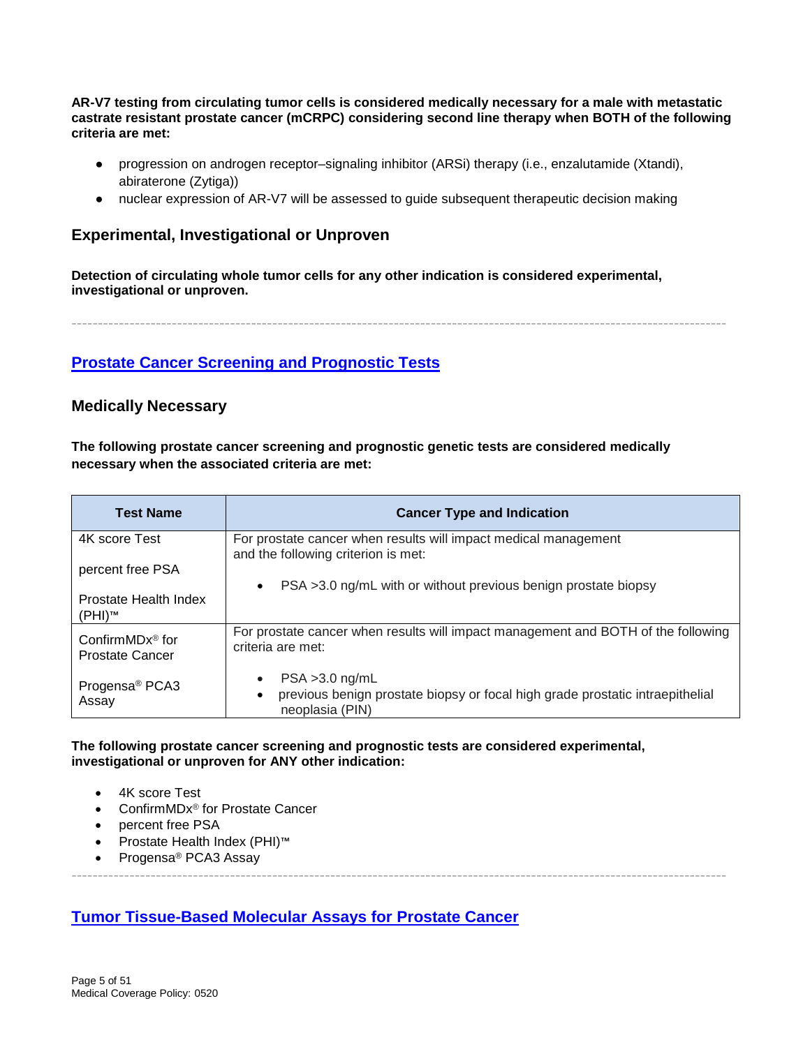**AR-V7 testing from circulating tumor cells is considered medically necessary for a male with metastatic castrate resistant prostate cancer (mCRPC) considering second line therapy when BOTH of the following criteria are met:**

- progression on androgen receptor–signaling inhibitor (ARSi) therapy (i.e., enzalutamide (Xtandi), abiraterone (Zytiga))
- nuclear expression of AR-V7 will be assessed to quide subsequent therapeutic decision making

### **Experimental, Investigational or Unproven**

**Detection of circulating whole tumor cells for any other indication is considered experimental, investigational or unproven.**

----------------------------------------------------------------------------------------------------------------------------

### <span id="page-4-0"></span>**Prostate [Cancer Screening and Prognostic Tests](#page-15-0)**

### **Medically Necessary**

**The following prostate cancer screening and prognostic genetic tests are considered medically necessary when the associated criteria are met:**

| <b>Test Name</b>                                        | <b>Cancer Type and Indication</b>                                                                                     |
|---------------------------------------------------------|-----------------------------------------------------------------------------------------------------------------------|
| 4K score Test                                           | For prostate cancer when results will impact medical management<br>and the following criterion is met:                |
| percent free PSA                                        |                                                                                                                       |
|                                                         | PSA >3.0 ng/mL with or without previous benign prostate biopsy<br>$\bullet$                                           |
| Prostate Health Index<br>(PHI)™                         |                                                                                                                       |
| Confirm $MDx^{\circledR}$ for<br><b>Prostate Cancer</b> | For prostate cancer when results will impact management and BOTH of the following<br>criteria are met:                |
| Progensa <sup>®</sup> PCA3<br>Assay                     | $PSA > 3.0$ ng/mL<br>previous benign prostate biopsy or focal high grade prostatic intraepithelial<br>neoplasia (PIN) |

----------------------------------------------------------------------------------------------------------------------------

#### **The following prostate cancer screening and prognostic tests are considered experimental, investigational or unproven for ANY other indication:**

- 4K score Test
- ConfirmMDx® for Prostate Cancer
- percent free PSA
- Prostate Health Index (PHI)™
- Progensa<sup>®</sup> PCA3 Assay

### <span id="page-4-1"></span>**Tumor [Tissue-Based Molecular Assays for Prostate Cancer](#page-16-0)**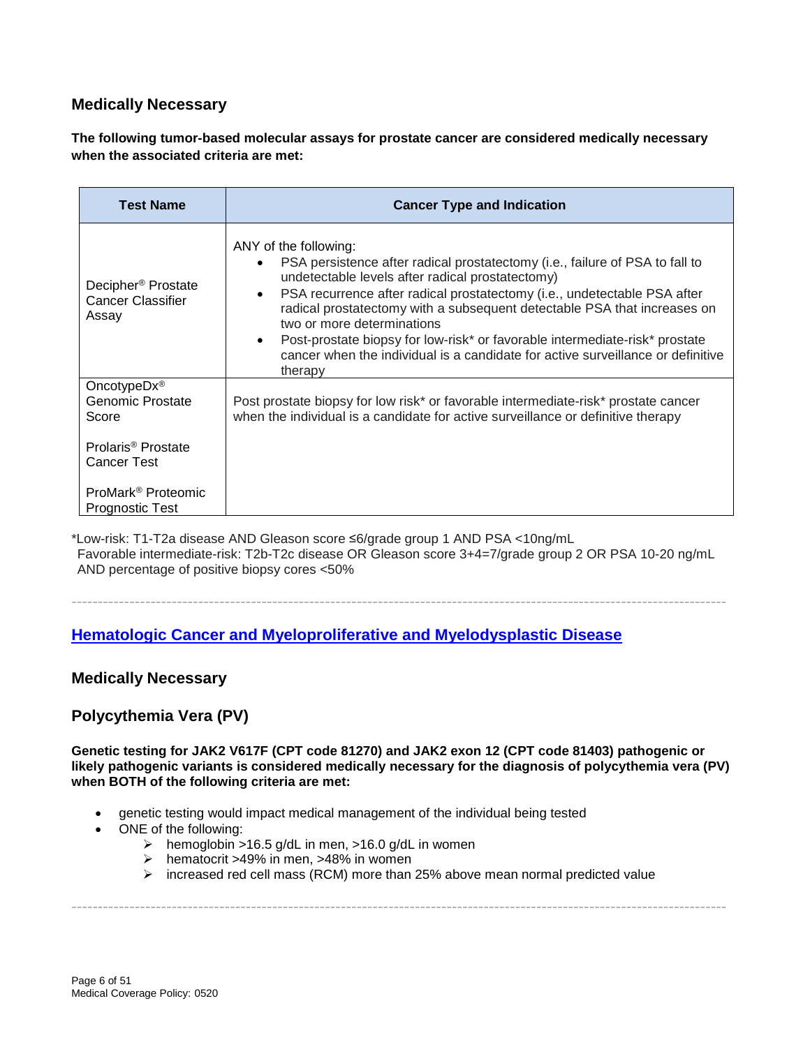# **Medically Necessary**

**The following tumor-based molecular assays for prostate cancer are considered medically necessary when the associated criteria are met:**

| <b>Test Name</b>                                                                         | <b>Cancer Type and Indication</b>                                                                                                                                                                                                                                                                                                                                                                                                                                                                                                                      |
|------------------------------------------------------------------------------------------|--------------------------------------------------------------------------------------------------------------------------------------------------------------------------------------------------------------------------------------------------------------------------------------------------------------------------------------------------------------------------------------------------------------------------------------------------------------------------------------------------------------------------------------------------------|
| Decipher <sup>®</sup> Prostate<br><b>Cancer Classifier</b><br>Assay                      | ANY of the following:<br>PSA persistence after radical prostatectomy (i.e., failure of PSA to fall to<br>undetectable levels after radical prostatectomy)<br>PSA recurrence after radical prostatectomy (i.e., undetectable PSA after<br>$\bullet$<br>radical prostatectomy with a subsequent detectable PSA that increases on<br>two or more determinations<br>Post-prostate biopsy for low-risk* or favorable intermediate-risk* prostate<br>$\bullet$<br>cancer when the individual is a candidate for active surveillance or definitive<br>therapy |
| Oncotype $Dx^{\circledR}$<br>Genomic Prostate<br>Score<br>Prolaris <sup>®</sup> Prostate | Post prostate biopsy for low risk* or favorable intermediate-risk* prostate cancer<br>when the individual is a candidate for active surveillance or definitive therapy                                                                                                                                                                                                                                                                                                                                                                                 |
| Cancer Test<br>ProMark <sup>®</sup> Proteomic<br><b>Prognostic Test</b>                  |                                                                                                                                                                                                                                                                                                                                                                                                                                                                                                                                                        |

\*Low-risk: T1-T2a disease AND Gleason score ≤6/grade group 1 AND PSA <10ng/mL Favorable intermediate-risk: T2b-T2c disease OR Gleason score 3+4=7/grade group 2 OR PSA 10-20 ng/mL AND percentage of positive biopsy cores <50%

----------------------------------------------------------------------------------------------------------------------------

### <span id="page-5-0"></span>**Hematologic [Cancer and Myeloproliferative and Myelodysplastic Disease](#page-17-0)**

### **Medically Necessary**

### **Polycythemia Vera (PV)**

**Genetic testing for JAK2 V617F (CPT code 81270) and JAK2 exon 12 (CPT code 81403) pathogenic or likely pathogenic variants is considered medically necessary for the diagnosis of polycythemia vera (PV) when BOTH of the following criteria are met:**

- genetic testing would impact medical management of the individual being tested
- ONE of the following:
	- > hemoglobin >16.5 g/dL in men, >16.0 g/dL in women
	- $\geq$  hematocrit >49% in men, >48% in women
	- $\triangleright$  increased red cell mass (RCM) more than 25% above mean normal predicted value

----------------------------------------------------------------------------------------------------------------------------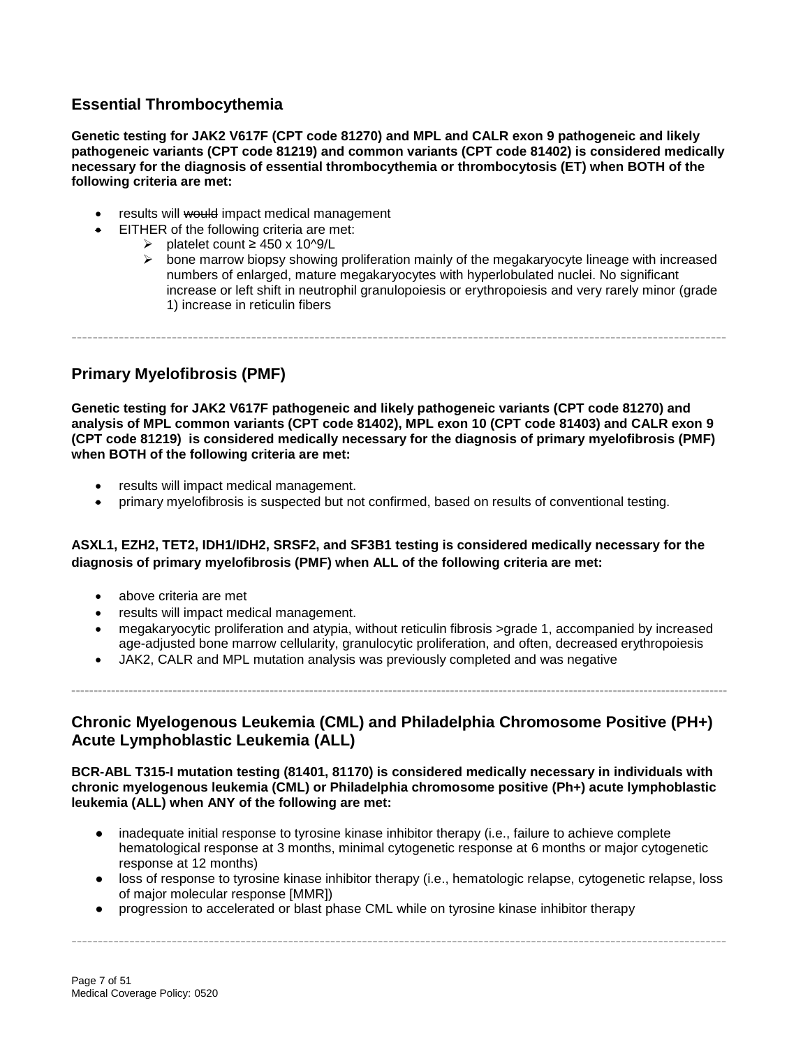# **Essential Thrombocythemia**

**Genetic testing for JAK2 V617F (CPT code 81270) and MPL and CALR exon 9 pathogeneic and likely pathogeneic variants (CPT code 81219) and common variants (CPT code 81402) is considered medically necessary for the diagnosis of essential thrombocythemia or thrombocytosis (ET) when BOTH of the following criteria are met:**

- results will would impact medical management
- EITHER of the following criteria are met:
	- platelet count ≥ 450 x 10^9/L
		- $\triangleright$  bone marrow biopsy showing proliferation mainly of the megakaryocyte lineage with increased numbers of enlarged, mature megakaryocytes with hyperlobulated nuclei. No significant increase or left shift in neutrophil granulopoiesis or erythropoiesis and very rarely minor (grade 1) increase in reticulin fibers

----------------------------------------------------------------------------------------------------------------------------

### **Primary Myelofibrosis (PMF)**

**Genetic testing for JAK2 V617F pathogeneic and likely pathogeneic variants (CPT code 81270) and analysis of MPL common variants (CPT code 81402), MPL exon 10 (CPT code 81403) and CALR exon 9 (CPT code 81219) is considered medically necessary for the diagnosis of primary myelofibrosis (PMF) when BOTH of the following criteria are met:**

- results will impact medical management.
- primary myelofibrosis is suspected but not confirmed, based on results of conventional testing.

#### **ASXL1, EZH2, TET2, IDH1/IDH2, SRSF2, and SF3B1 testing is considered medically necessary for the diagnosis of primary myelofibrosis (PMF) when ALL of the following criteria are met:**

- above criteria are met
- results will impact medical management.
- megakaryocytic proliferation and atypia, without reticulin fibrosis >grade 1, accompanied by increased age-adjusted bone marrow cellularity, granulocytic proliferation, and often, decreased erythropoiesis
- JAK2, CALR and MPL mutation analysis was previously completed and was negative

### **Chronic Myelogenous Leukemia (CML) and Philadelphia Chromosome Positive (PH+) Acute Lymphoblastic Leukemia (ALL)**

**-----------------------------------------------------------------------------------------------------------------------------------------------------**

**BCR-ABL T315-I mutation testing (81401, 81170) is considered medically necessary in individuals with chronic myelogenous leukemia (CML) or Philadelphia chromosome positive (Ph+) acute lymphoblastic leukemia (ALL) when ANY of the following are met:**

- inadequate initial response to tyrosine kinase inhibitor therapy (i.e., failure to achieve complete hematological response at 3 months, minimal cytogenetic response at 6 months or major cytogenetic response at 12 months)
- loss of response to tyrosine kinase inhibitor therapy (i.e., hematologic relapse, cytogenetic relapse, loss of major molecular response [MMR])

----------------------------------------------------------------------------------------------------------------------------

● progression to accelerated or blast phase CML while on tyrosine kinase inhibitor therapy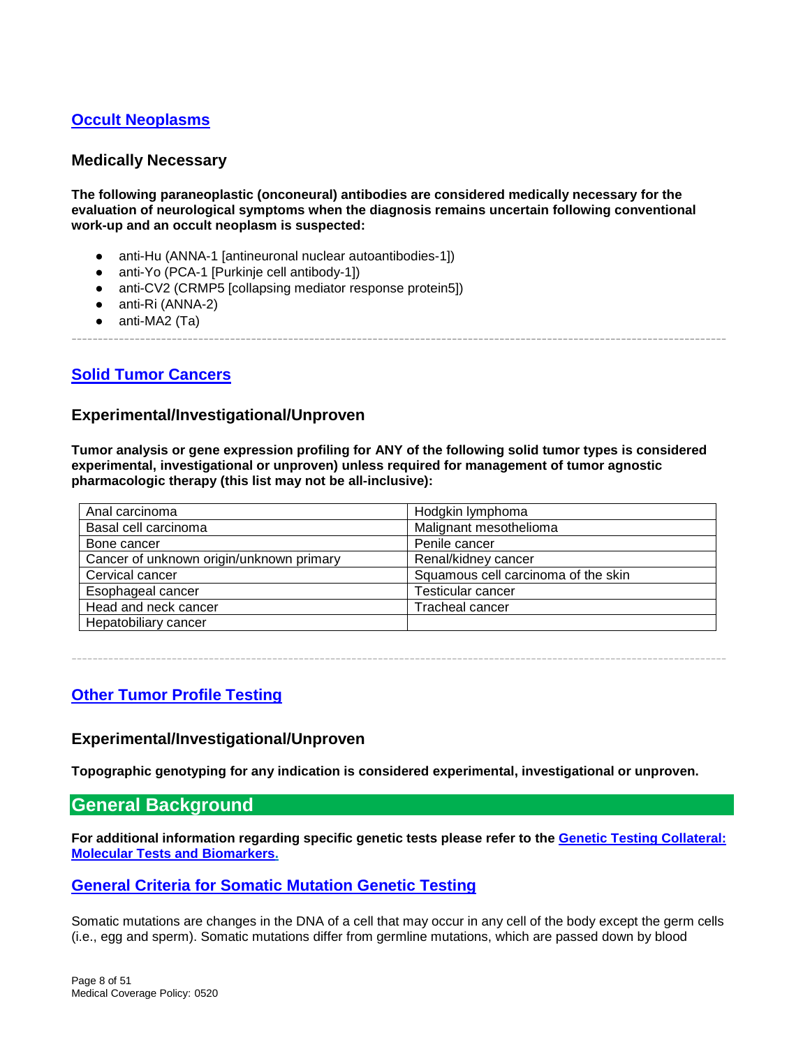# <span id="page-7-0"></span>**[Occult Neoplasms](#page-20-0)**

### **Medically Necessary**

**The following paraneoplastic (onconeural) antibodies are considered medically necessary for the evaluation of neurological symptoms when the diagnosis remains uncertain following conventional work-up and an occult neoplasm is suspected:**

- anti-Hu (ANNA-1 [antineuronal nuclear autoantibodies-1])
- anti-Yo (PCA-1 [Purkinje cell antibody-1])
- anti-CV2 (CRMP5 [collapsing mediator response protein5])
- anti-Ri (ANNA-2)
- $\bullet$  anti-MA2 (Ta)

----------------------------------------------------------------------------------------------------------------------------

### <span id="page-7-1"></span>**[Solid Tumor Cancers](#page-20-1)**

#### **Experimental/Investigational/Unproven**

**Tumor analysis or gene expression profiling for ANY of the following solid tumor types is considered experimental, investigational or unproven) unless required for management of tumor agnostic pharmacologic therapy (this list may not be all-inclusive):**

| Anal carcinoma                           | Hodgkin lymphoma                    |
|------------------------------------------|-------------------------------------|
| Basal cell carcinoma                     | Malignant mesothelioma              |
| Bone cancer                              | Penile cancer                       |
| Cancer of unknown origin/unknown primary | Renal/kidney cancer                 |
| Cervical cancer                          | Squamous cell carcinoma of the skin |
| Esophageal cancer                        | <b>Testicular cancer</b>            |
| Head and neck cancer                     | <b>Tracheal cancer</b>              |
| Hepatobiliary cancer                     |                                     |

----------------------------------------------------------------------------------------------------------------------------

### <span id="page-7-2"></span>**[Other Tumor Profile Testing](#page-21-0)**

#### **Experimental/Investigational/Unproven**

**Topographic genotyping for any indication is considered experimental, investigational or unproven.**

### <span id="page-7-3"></span>**General Background**

**For additional information regarding specific genetic tests please refer to the [Genetic Testing](https://cignaforhcp.cigna.com/public/content/pdf/coveragePolicies/medical/Genetic_Testing_Collateral_Document.pdf) Collateral: [Molecular Tests and Biomarkers.](https://cignaforhcp.cigna.com/public/content/pdf/coveragePolicies/medical/Genetic_Testing_Collateral_Document.pdf)**

#### <span id="page-7-4"></span>**[General Criteria for Somatic](#page-1-1) Mutation Genetic Testing**

Somatic mutations are changes in the DNA of a cell that may occur in any cell of the body except the germ cells (i.e., egg and sperm). Somatic mutations differ from germline mutations, which are passed down by blood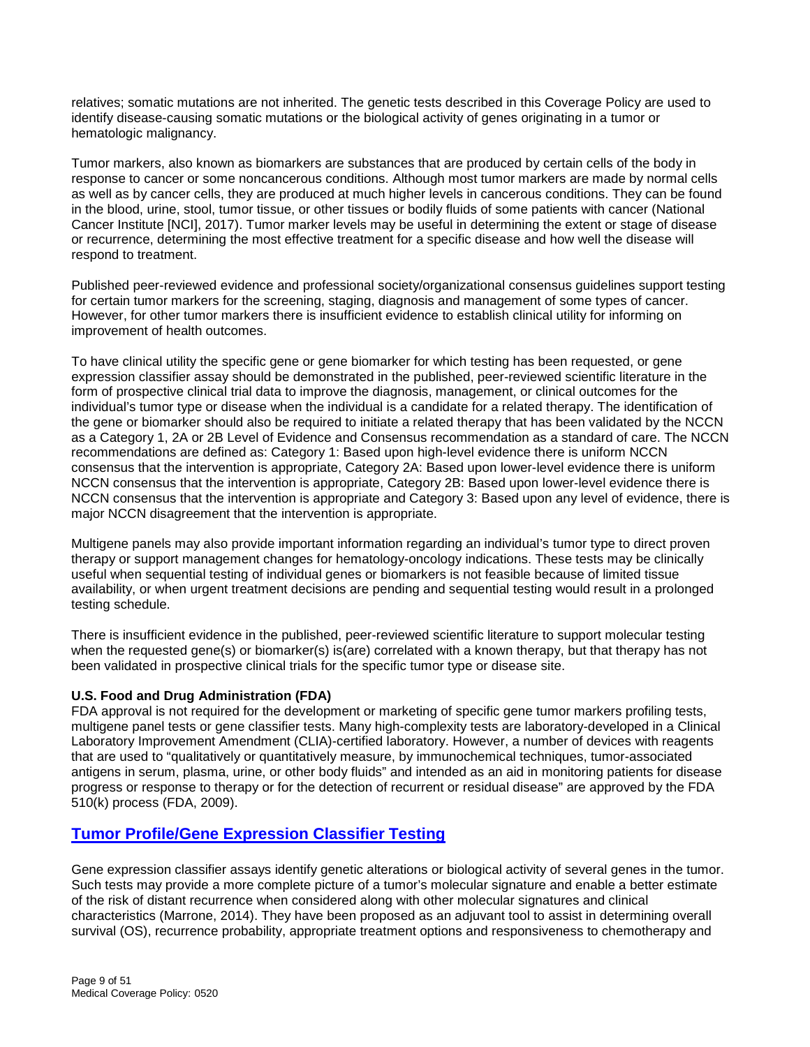relatives; somatic mutations are not inherited. The genetic tests described in this Coverage Policy are used to identify disease-causing somatic mutations or the biological activity of genes originating in a tumor or hematologic malignancy.

Tumor markers, also known as biomarkers are substances that are produced by certain cells of the body in response to cancer or some noncancerous conditions. Although most tumor markers are made by normal cells as well as by cancer cells, they are produced at much higher levels in cancerous conditions. They can be found in the blood, urine, stool, tumor tissue, or other tissues or bodily fluids of some patients with cancer (National Cancer Institute [NCI], 2017). Tumor marker levels may be useful in determining the extent or stage of disease or recurrence, determining the most effective treatment for a specific disease and how well the disease will respond to treatment.

Published peer-reviewed evidence and professional society/organizational consensus guidelines support testing for certain tumor markers for the screening, staging, diagnosis and management of some types of cancer. However, for other tumor markers there is insufficient evidence to establish clinical utility for informing on improvement of health outcomes.

To have clinical utility the specific gene or gene biomarker for which testing has been requested, or gene expression classifier assay should be demonstrated in the published, peer-reviewed scientific literature in the form of prospective clinical trial data to improve the diagnosis, management, or clinical outcomes for the individual's tumor type or disease when the individual is a candidate for a related therapy. The identification of the gene or biomarker should also be required to initiate a related therapy that has been validated by the NCCN as a Category 1, 2A or 2B Level of Evidence and Consensus recommendation as a standard of care. The NCCN recommendations are defined as: Category 1: Based upon high-level evidence there is uniform NCCN consensus that the intervention is appropriate, Category 2A: Based upon lower-level evidence there is uniform NCCN consensus that the intervention is appropriate, Category 2B: Based upon lower-level evidence there is NCCN consensus that the intervention is appropriate and Category 3: Based upon any level of evidence, there is major NCCN disagreement that the intervention is appropriate.

Multigene panels may also provide important information regarding an individual's tumor type to direct proven therapy or support management changes for hematology-oncology indications. These tests may be clinically useful when sequential testing of individual genes or biomarkers is not feasible because of limited tissue availability, or when urgent treatment decisions are pending and sequential testing would result in a prolonged testing schedule.

There is insufficient evidence in the published, peer-reviewed scientific literature to support molecular testing when the requested gene(s) or biomarker(s) is(are) correlated with a known therapy, but that therapy has not been validated in prospective clinical trials for the specific tumor type or disease site.

#### **U.S. Food and Drug Administration (FDA)**

FDA approval is not required for the development or marketing of specific gene tumor markers profiling tests, multigene panel tests or gene classifier tests. Many high-complexity tests are laboratory-developed in a Clinical Laboratory Improvement Amendment (CLIA)-certified laboratory. However, a number of devices with reagents that are used to "qualitatively or quantitatively measure, by immunochemical techniques, tumor-associated antigens in serum, plasma, urine, or other body fluids" and intended as an aid in monitoring patients for disease progress or response to therapy or for the detection of recurrent or residual disease" are approved by the FDA 510(k) process (FDA, 2009).

### <span id="page-8-0"></span>**[Tumor Profile/Gene Expression Classifier Testing](#page-2-0)**

Gene expression classifier assays identify genetic alterations or biological activity of several genes in the tumor. Such tests may provide a more complete picture of a tumor's molecular signature and enable a better estimate of the risk of distant recurrence when considered along with other molecular signatures and clinical characteristics (Marrone, 2014). They have been proposed as an adjuvant tool to assist in determining overall survival (OS), recurrence probability, appropriate treatment options and responsiveness to chemotherapy and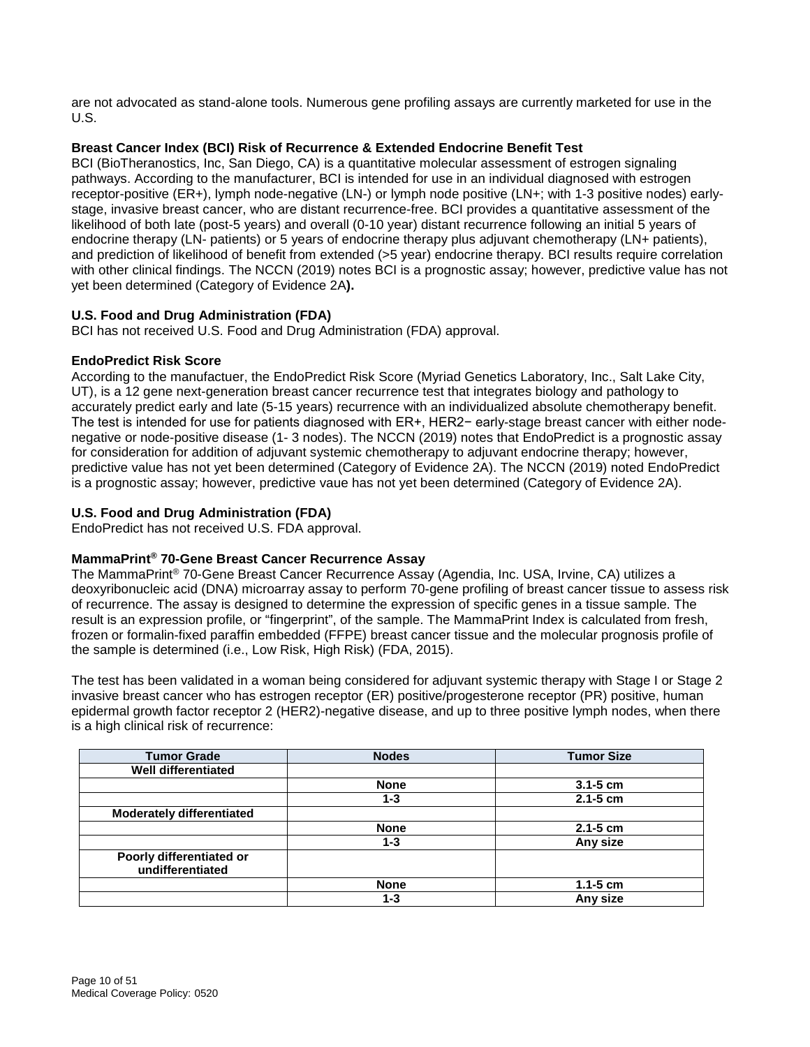are not advocated as stand-alone tools. Numerous gene profiling assays are currently marketed for use in the U.S.

#### **Breast Cancer Index (BCI) Risk of Recurrence & Extended Endocrine Benefit Test**

BCI (BioTheranostics, Inc, San Diego, CA) is a quantitative molecular assessment of estrogen signaling pathways. According to the manufacturer, BCI is intended for use in an individual diagnosed with estrogen receptor-positive (ER+), lymph node-negative (LN-) or lymph node positive (LN+; with 1-3 positive nodes) earlystage, invasive breast cancer, who are distant recurrence-free. BCI provides a quantitative assessment of the likelihood of both late (post-5 years) and overall (0-10 year) distant recurrence following an initial 5 years of endocrine therapy (LN- patients) or 5 years of endocrine therapy plus adjuvant chemotherapy (LN+ patients), and prediction of likelihood of benefit from extended (>5 year) endocrine therapy. BCI results require correlation with other clinical findings. The NCCN (2019) notes BCI is a prognostic assay; however, predictive value has not yet been determined (Category of Evidence 2A**).**

#### **U.S. Food and Drug Administration (FDA)**

BCI has not received U.S. Food and Drug Administration (FDA) approval.

#### **EndoPredict Risk Score**

According to the manufactuer, the EndoPredict Risk Score (Myriad Genetics Laboratory, Inc., Salt Lake City, UT), is a 12 gene next-generation breast cancer recurrence test that integrates biology and pathology to accurately predict early and late (5-15 years) recurrence with an individualized absolute chemotherapy benefit. The test is intended for use for patients diagnosed with ER+, HER2− early-stage breast cancer with either nodenegative or node-positive disease (1- 3 nodes). The NCCN (2019) notes that EndoPredict is a prognostic assay for consideration for addition of adjuvant systemic chemotherapy to adjuvant endocrine therapy; however, predictive value has not yet been determined (Category of Evidence 2A). The NCCN (2019) noted EndoPredict is a prognostic assay; however, predictive vaue has not yet been determined (Category of Evidence 2A).

#### **U.S. Food and Drug Administration (FDA)**

EndoPredict has not received U.S. FDA approval.

#### **MammaPrint® 70-Gene Breast Cancer Recurrence Assay**

The MammaPrint® 70-Gene Breast Cancer Recurrence Assay (Agendia, Inc. USA, Irvine, CA) utilizes a deoxyribonucleic acid (DNA) microarray assay to perform 70-gene profiling of breast cancer tissue to assess risk of recurrence. The assay is designed to determine the expression of specific genes in a tissue sample. The result is an expression profile, or "fingerprint", of the sample. The MammaPrint Index is calculated from fresh, frozen or formalin-fixed paraffin embedded (FFPE) breast cancer tissue and the molecular prognosis profile of the sample is determined (i.e., Low Risk, High Risk) (FDA, 2015).

The test has been validated in a woman being considered for adjuvant systemic therapy with Stage I or Stage 2 invasive breast cancer who has estrogen receptor (ER) positive/progesterone receptor (PR) positive, human epidermal growth factor receptor 2 (HER2)-negative disease, and up to three positive lymph nodes, when there is a high clinical risk of recurrence:

| <b>Tumor Grade</b>                           | <b>Nodes</b> | <b>Tumor Size</b> |
|----------------------------------------------|--------------|-------------------|
| <b>Well differentiated</b>                   |              |                   |
|                                              | <b>None</b>  | $3.1 - 5$ cm      |
|                                              | $1 - 3$      | $2.1 - 5$ cm      |
| <b>Moderately differentiated</b>             |              |                   |
|                                              | <b>None</b>  | $2.1 - 5$ cm      |
|                                              | $1 - 3$      | Any size          |
| Poorly differentiated or<br>undifferentiated |              |                   |
|                                              | <b>None</b>  | $1.1 - 5$ cm      |
|                                              | 1-3          | Any size          |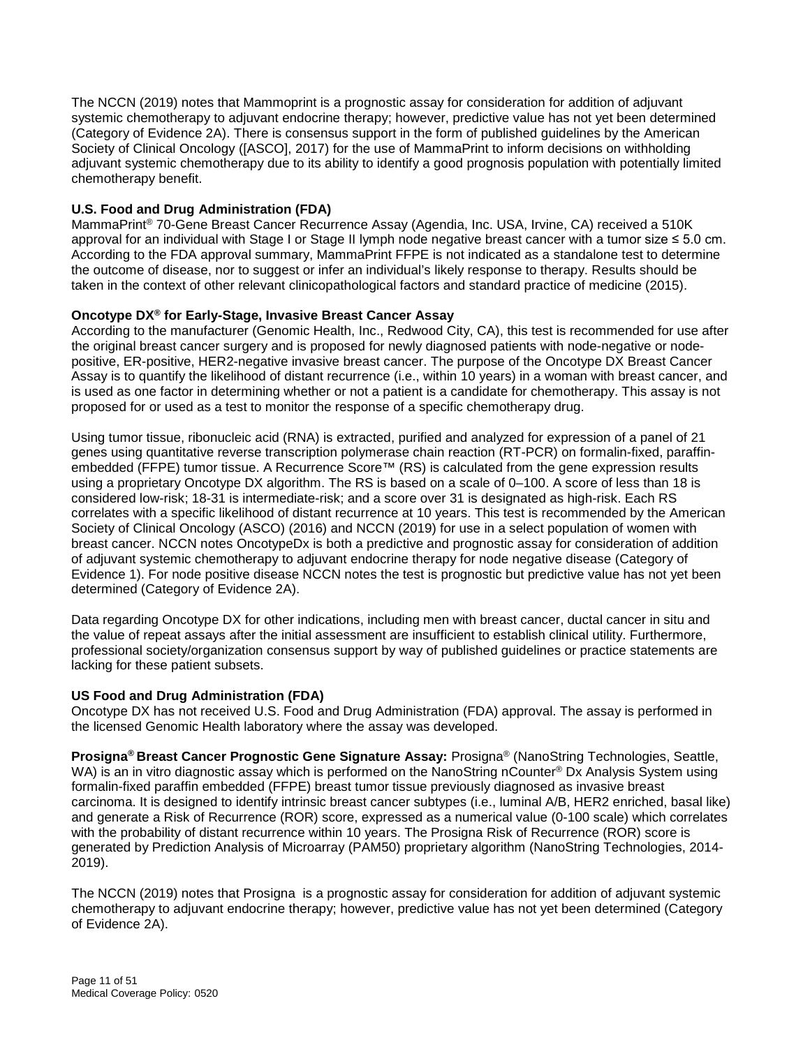The NCCN (2019) notes that Mammoprint is a prognostic assay for consideration for addition of adjuvant systemic chemotherapy to adjuvant endocrine therapy; however, predictive value has not yet been determined (Category of Evidence 2A). There is consensus support in the form of published guidelines by the American Society of Clinical Oncology ([ASCO], 2017) for the use of MammaPrint to inform decisions on withholding adjuvant systemic chemotherapy due to its ability to identify a good prognosis population with potentially limited chemotherapy benefit.

#### **U.S. Food and Drug Administration (FDA)**

MammaPrint® 70-Gene Breast Cancer Recurrence Assay (Agendia, Inc. USA, Irvine, CA) received a 510K approval for an individual with Stage I or Stage II lymph node negative breast cancer with a tumor size ≤ 5.0 cm. According to the FDA approval summary, MammaPrint FFPE is not indicated as a standalone test to determine the outcome of disease, nor to suggest or infer an individual's likely response to therapy. Results should be taken in the context of other relevant clinicopathological factors and standard practice of medicine (2015).

#### **Oncotype DX® for Early-Stage, Invasive Breast Cancer Assay**

According to the manufacturer (Genomic Health, Inc., Redwood City, CA), this test is recommended for use after the original breast cancer surgery and is proposed for newly diagnosed patients with node-negative or nodepositive, ER-positive, HER2-negative invasive breast cancer. The purpose of the Oncotype DX Breast Cancer Assay is to quantify the likelihood of distant recurrence (i.e., within 10 years) in a woman with breast cancer, and is used as one factor in determining whether or not a patient is a candidate for chemotherapy. This assay is not proposed for or used as a test to monitor the response of a specific chemotherapy drug.

Using tumor tissue, ribonucleic acid (RNA) is extracted, purified and analyzed for expression of a panel of 21 genes using quantitative reverse transcription polymerase chain reaction (RT-PCR) on formalin-fixed, paraffinembedded (FFPE) tumor tissue. A Recurrence Score™ (RS) is calculated from the gene expression results using a proprietary Oncotype DX algorithm. The RS is based on a scale of 0–100. A score of less than 18 is considered low-risk; 18-31 is intermediate-risk; and a score over 31 is designated as high-risk. Each RS correlates with a specific likelihood of distant recurrence at 10 years. This test is recommended by the American Society of Clinical Oncology (ASCO) (2016) and NCCN (2019) for use in a select population of women with breast cancer. NCCN notes OncotypeDx is both a predictive and prognostic assay for consideration of addition of adjuvant systemic chemotherapy to adjuvant endocrine therapy for node negative disease (Category of Evidence 1). For node positive disease NCCN notes the test is prognostic but predictive value has not yet been determined (Category of Evidence 2A).

Data regarding Oncotype DX for other indications, including men with breast cancer, ductal cancer in situ and the value of repeat assays after the initial assessment are insufficient to establish clinical utility. Furthermore, professional society/organization consensus support by way of published guidelines or practice statements are lacking for these patient subsets.

#### **US Food and Drug Administration (FDA)**

Oncotype DX has not received U.S. Food and Drug Administration (FDA) approval. The assay is performed in the licensed Genomic Health laboratory where the assay was developed.

**Prosigna® Breast Cancer Prognostic Gene Signature Assay:** Prosigna® (NanoString Technologies, Seattle, WA) is an in vitro diagnostic assay which is performed on the NanoString nCounter<sup>®</sup> Dx Analysis System using formalin-fixed paraffin embedded (FFPE) breast tumor tissue previously diagnosed as invasive breast carcinoma. It is designed to identify intrinsic breast cancer subtypes (i.e., luminal A/B, HER2 enriched, basal like) and generate a Risk of Recurrence (ROR) score, expressed as a numerical value (0-100 scale) which correlates with the probability of distant recurrence within 10 years. The Prosigna Risk of Recurrence (ROR) score is generated by Prediction Analysis of Microarray (PAM50) proprietary algorithm (NanoString Technologies, 2014- 2019).

The NCCN (2019) notes that Prosigna is a prognostic assay for consideration for addition of adjuvant systemic chemotherapy to adjuvant endocrine therapy; however, predictive value has not yet been determined (Category of Evidence 2A).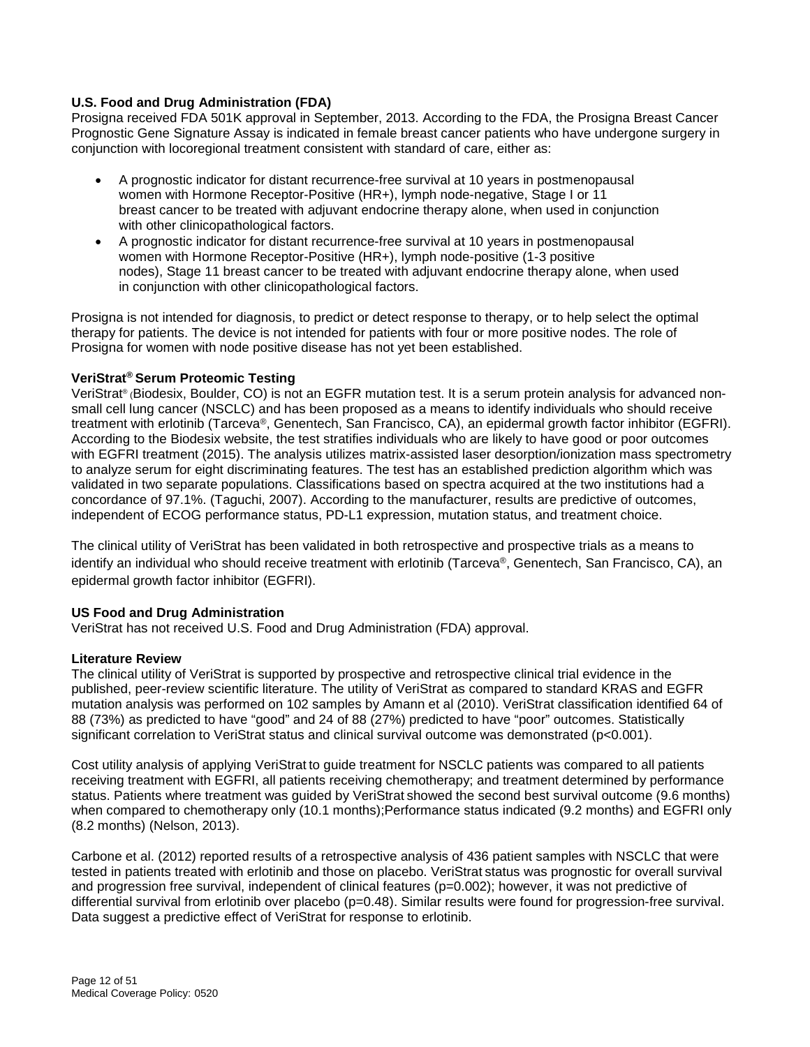#### **U.S. Food and Drug Administration (FDA)**

Prosigna received FDA 501K approval in September, 2013. According to the FDA, the Prosigna Breast Cancer Prognostic Gene Signature Assay is indicated in female breast cancer patients who have undergone surgery in conjunction with locoregional treatment consistent with standard of care, either as:

- A prognostic indicator for distant recurrence-free survival at 10 years in postmenopausal women with Hormone Receptor-Positive (HR+), lymph node-negative, Stage I or 11 breast cancer to be treated with adjuvant endocrine therapy alone, when used in conjunction with other clinicopathological factors.
- A prognostic indicator for distant recurrence-free survival at 10 years in postmenopausal women with Hormone Receptor-Positive (HR+), lymph node-positive (1-3 positive nodes), Stage 11 breast cancer to be treated with adjuvant endocrine therapy alone, when used in conjunction with other clinicopathological factors.

Prosigna is not intended for diagnosis, to predict or detect response to therapy, or to help select the optimal therapy for patients. The device is not intended for patients with four or more positive nodes. The role of Prosigna for women with node positive disease has not yet been established.

#### **VeriStrat® Serum Proteomic Testing**

VeriStrat® (Biodesix, Boulder, CO) is not an EGFR mutation test. It is a serum protein analysis for advanced nonsmall cell lung cancer (NSCLC) and has been proposed as a means to identify individuals who should receive treatment with erlotinib (Tarceva®, Genentech, San Francisco, CA), an epidermal growth factor inhibitor (EGFRI). According to the Biodesix website, the test stratifies individuals who are likely to have good or poor outcomes with EGFRI treatment (2015). The analysis utilizes matrix-assisted laser desorption/ionization mass spectrometry to analyze serum for eight discriminating features. The test has an established prediction algorithm which was validated in two separate populations. Classifications based on spectra acquired at the two institutions had a concordance of 97.1%. (Taguchi, 2007). According to the manufacturer, results are predictive of outcomes, independent of ECOG performance status, PD-L1 expression, mutation status, and treatment choice.

The clinical utility of VeriStrat has been validated in both retrospective and prospective trials as a means to identify an individual who should receive treatment with erlotinib (Tarceva®, Genentech, San Francisco. CA). an epidermal growth factor inhibitor (EGFRI).

#### **US Food and Drug Administration**

VeriStrat has not received U.S. Food and Drug Administration (FDA) approval.

#### **Literature Review**

The clinical utility of VeriStrat is supported by prospective and retrospective clinical trial evidence in the published, peer-review scientific literature. The utility of VeriStrat as compared to standard KRAS and EGFR mutation analysis was performed on 102 samples by Amann et al (2010). VeriStrat classification identified 64 of 88 (73%) as predicted to have "good" and 24 of 88 (27%) predicted to have "poor" outcomes. Statistically significant correlation to VeriStrat status and clinical survival outcome was demonstrated (p<0.001).

Cost utility analysis of applying VeriStrat to guide treatment for NSCLC patients was compared to all patients receiving treatment with EGFRI, all patients receiving chemotherapy; and treatment determined by performance status. Patients where treatment was guided by VeriStrat showed the second best survival outcome (9.6 months) when compared to chemotherapy only (10.1 months); Performance status indicated (9.2 months) and EGFRI only (8.2 months) (Nelson, 2013).

Carbone et al. (2012) reported results of a retrospective analysis of 436 patient samples with NSCLC that were tested in patients treated with erlotinib and those on placebo. VeriStrat status was prognostic for overall survival and progression free survival, independent of clinical features (p=0.002); however, it was not predictive of differential survival from erlotinib over placebo (p=0.48). Similar results were found for progression-free survival. Data suggest a predictive effect of VeriStrat for response to erlotinib.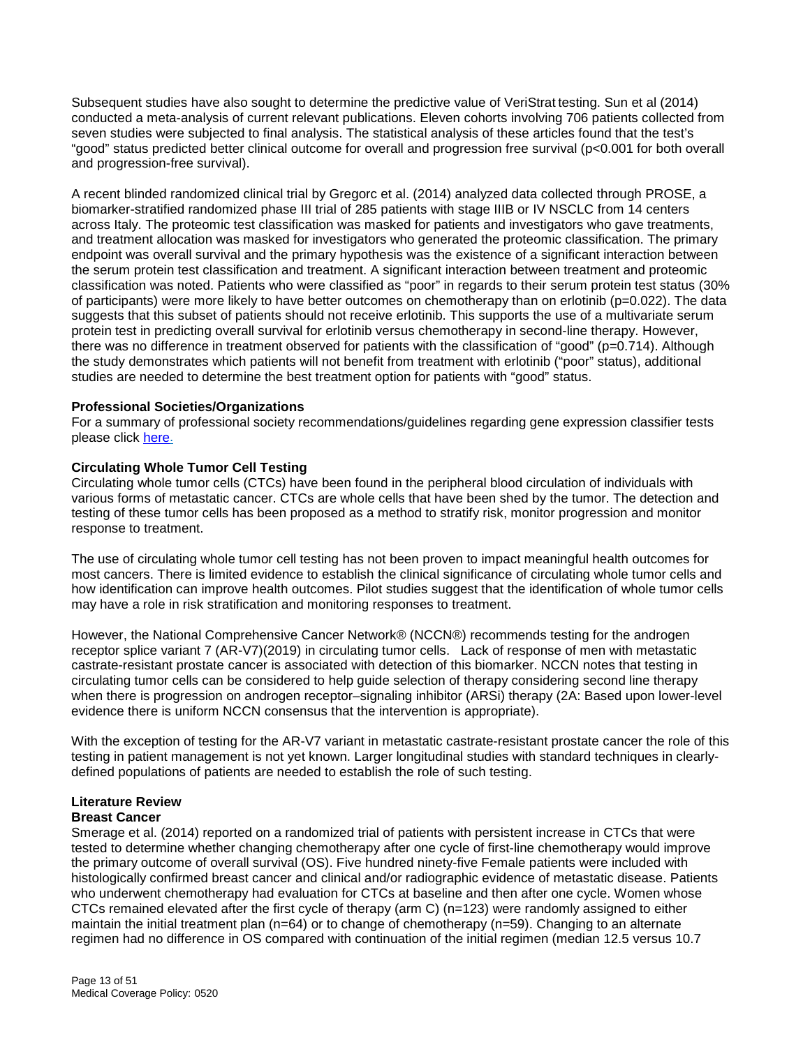Subsequent studies have also sought to determine the predictive value of VeriStrat testing. Sun et al (2014) conducted a meta-analysis of current relevant publications. Eleven cohorts involving 706 patients collected from seven studies were subjected to final analysis. The statistical analysis of these articles found that the test's "good" status predicted better clinical outcome for overall and progression free survival (p<0.001 for both overall and progression-free survival).

A recent blinded randomized clinical trial by Gregorc et al. (2014) analyzed data collected through PROSE, a biomarker-stratified randomized phase III trial of 285 patients with stage IIIB or IV NSCLC from 14 centers across Italy. The proteomic test classification was masked for patients and investigators who gave treatments, and treatment allocation was masked for investigators who generated the proteomic classification. The primary endpoint was overall survival and the primary hypothesis was the existence of a significant interaction between the serum protein test classification and treatment. A significant interaction between treatment and proteomic classification was noted. Patients who were classified as "poor" in regards to their serum protein test status (30% of participants) were more likely to have better outcomes on chemotherapy than on erlotinib (p=0.022). The data suggests that this subset of patients should not receive erlotinib. This supports the use of a multivariate serum protein test in predicting overall survival for erlotinib versus chemotherapy in second-line therapy. However, there was no difference in treatment observed for patients with the classification of "good" (p=0.714). Although the study demonstrates which patients will not benefit from treatment with erlotinib ("poor" status), additional studies are needed to determine the best treatment option for patients with "good" status.

#### **Professional Societies/Organizations**

For a summary of professional society recommendations/guidelines regarding gene expression classifier tests please click [here.](#page-21-2)

#### **Circulating Whole Tumor Cell Testing**

Circulating whole tumor cells (CTCs) have been found in the peripheral blood circulation of individuals with various forms of metastatic cancer. CTCs are whole cells that have been shed by the tumor. The detection and testing of these tumor cells has been proposed as a method to stratify risk, monitor progression and monitor response to treatment.

The use of circulating whole tumor cell testing has not been proven to impact meaningful health outcomes for most cancers. There is limited evidence to establish the clinical significance of circulating whole tumor cells and how identification can improve health outcomes. Pilot studies suggest that the identification of whole tumor cells may have a role in risk stratification and monitoring responses to treatment.

However, the National Comprehensive Cancer Network® (NCCN®) recommends testing for the androgen receptor splice variant 7 (AR-V7)(2019) in circulating tumor cells. Lack of response of men with metastatic castrate-resistant prostate cancer is associated with detection of this biomarker. NCCN notes that testing in circulating tumor cells can be considered to help guide selection of therapy considering second line therapy when there is progression on androgen receptor–signaling inhibitor (ARSi) therapy (2A: Based upon lower-level evidence there is uniform NCCN consensus that the intervention is appropriate).

With the exception of testing for the AR-V7 variant in metastatic castrate-resistant prostate cancer the role of this testing in patient management is not yet known. Larger longitudinal studies with standard techniques in clearlydefined populations of patients are needed to establish the role of such testing.

#### **Literature Review Breast Cancer**

Smerage et al. (2014) reported on a randomized trial of patients with persistent increase in CTCs that were tested to determine whether changing chemotherapy after one cycle of first-line chemotherapy would improve the primary outcome of overall survival (OS). Five hundred ninety-five Female patients were included with histologically confirmed breast cancer and clinical and/or radiographic evidence of metastatic disease. Patients who underwent chemotherapy had evaluation for CTCs at baseline and then after one cycle. Women whose CTCs remained elevated after the first cycle of therapy (arm C) (n=123) were randomly assigned to either maintain the initial treatment plan (n=64) or to change of chemotherapy (n=59). Changing to an alternate regimen had no difference in OS compared with continuation of the initial regimen (median 12.5 versus 10.7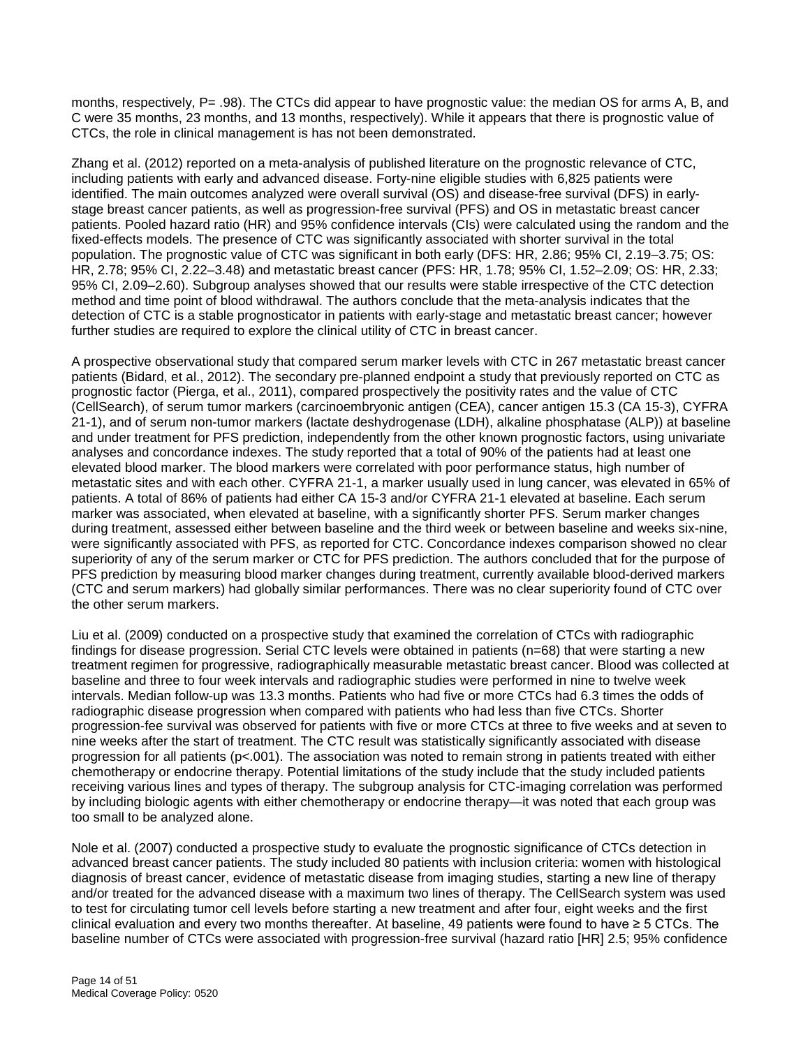months, respectively, P= .98). The CTCs did appear to have prognostic value: the median OS for arms A, B, and C were 35 months, 23 months, and 13 months, respectively). While it appears that there is prognostic value of CTCs, the role in clinical management is has not been demonstrated.

Zhang et al. (2012) reported on a meta-analysis of published literature on the prognostic relevance of CTC, including patients with early and advanced disease. Forty-nine eligible studies with 6,825 patients were identified. The main outcomes analyzed were overall survival (OS) and disease-free survival (DFS) in earlystage breast cancer patients, as well as progression-free survival (PFS) and OS in metastatic breast cancer patients. Pooled hazard ratio (HR) and 95% confidence intervals (CIs) were calculated using the random and the fixed-effects models. The presence of CTC was significantly associated with shorter survival in the total population. The prognostic value of CTC was significant in both early (DFS: HR, 2.86; 95% CI, 2.19–3.75; OS: HR, 2.78; 95% CI, 2.22–3.48) and metastatic breast cancer (PFS: HR, 1.78; 95% CI, 1.52–2.09; OS: HR, 2.33; 95% CI, 2.09–2.60). Subgroup analyses showed that our results were stable irrespective of the CTC detection method and time point of blood withdrawal. The authors conclude that the meta-analysis indicates that the detection of CTC is a stable prognosticator in patients with early-stage and metastatic breast cancer; however further studies are required to explore the clinical utility of CTC in breast cancer.

A prospective observational study that compared serum marker levels with CTC in 267 metastatic breast cancer patients (Bidard, et al., 2012). The secondary pre-planned endpoint a study that previously reported on CTC as prognostic factor (Pierga, et al., 2011), compared prospectively the positivity rates and the value of CTC (CellSearch), of serum tumor markers (carcinoembryonic antigen (CEA), cancer antigen 15.3 (CA 15-3), CYFRA 21-1), and of serum non-tumor markers (lactate deshydrogenase (LDH), alkaline phosphatase (ALP)) at baseline and under treatment for PFS prediction, independently from the other known prognostic factors, using univariate analyses and concordance indexes. The study reported that a total of 90% of the patients had at least one elevated blood marker. The blood markers were correlated with poor performance status, high number of metastatic sites and with each other. CYFRA 21-1, a marker usually used in lung cancer, was elevated in 65% of patients. A total of 86% of patients had either CA 15-3 and/or CYFRA 21-1 elevated at baseline. Each serum marker was associated, when elevated at baseline, with a significantly shorter PFS. Serum marker changes during treatment, assessed either between baseline and the third week or between baseline and weeks six-nine, were significantly associated with PFS, as reported for CTC. Concordance indexes comparison showed no clear superiority of any of the serum marker or CTC for PFS prediction. The authors concluded that for the purpose of PFS prediction by measuring blood marker changes during treatment, currently available blood-derived markers (CTC and serum markers) had globally similar performances. There was no clear superiority found of CTC over the other serum markers.

Liu et al. (2009) conducted on a prospective study that examined the correlation of CTCs with radiographic findings for disease progression. Serial CTC levels were obtained in patients (n=68) that were starting a new treatment regimen for progressive, radiographically measurable metastatic breast cancer. Blood was collected at baseline and three to four week intervals and radiographic studies were performed in nine to twelve week intervals. Median follow-up was 13.3 months. Patients who had five or more CTCs had 6.3 times the odds of radiographic disease progression when compared with patients who had less than five CTCs. Shorter progression-fee survival was observed for patients with five or more CTCs at three to five weeks and at seven to nine weeks after the start of treatment. The CTC result was statistically significantly associated with disease progression for all patients (p<.001). The association was noted to remain strong in patients treated with either chemotherapy or endocrine therapy. Potential limitations of the study include that the study included patients receiving various lines and types of therapy. The subgroup analysis for CTC-imaging correlation was performed by including biologic agents with either chemotherapy or endocrine therapy—it was noted that each group was too small to be analyzed alone.

Nole et al. (2007) conducted a prospective study to evaluate the prognostic significance of CTCs detection in advanced breast cancer patients. The study included 80 patients with inclusion criteria: women with histological diagnosis of breast cancer, evidence of metastatic disease from imaging studies, starting a new line of therapy and/or treated for the advanced disease with a maximum two lines of therapy. The CellSearch system was used to test for circulating tumor cell levels before starting a new treatment and after four, eight weeks and the first clinical evaluation and every two months thereafter. At baseline, 49 patients were found to have ≥ 5 CTCs. The baseline number of CTCs were associated with progression-free survival (hazard ratio [HR] 2.5; 95% confidence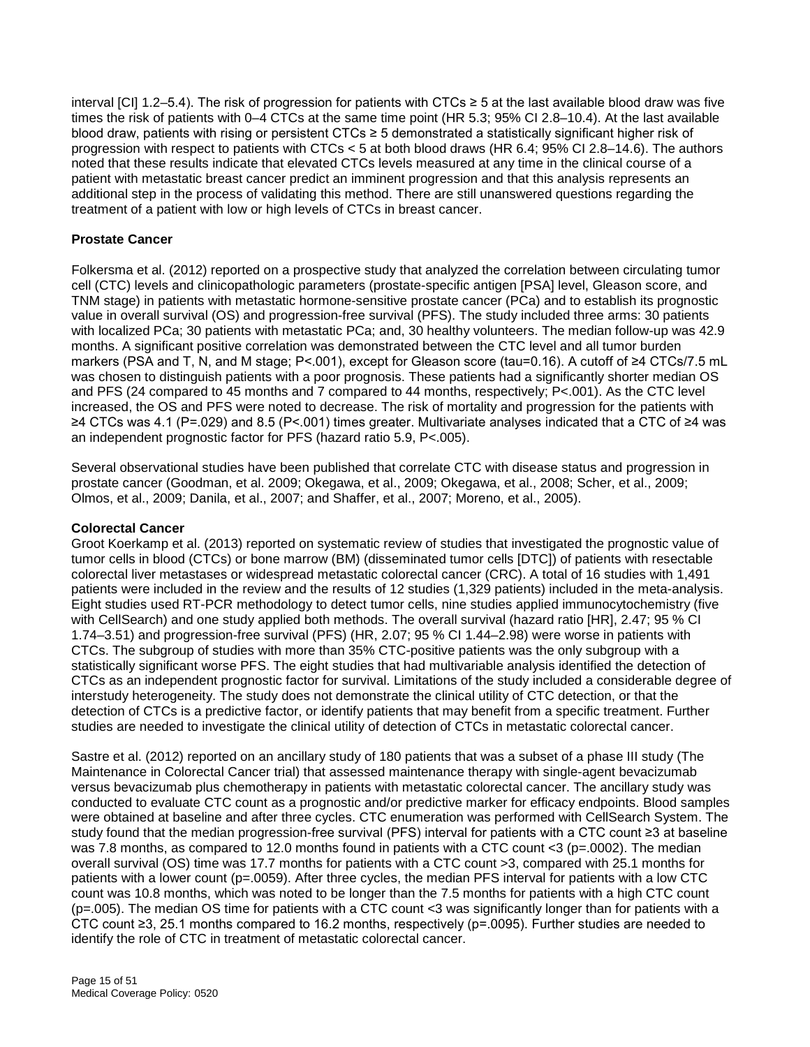interval [CI] 1.2–5.4). The risk of progression for patients with CTCs ≥ 5 at the last available blood draw was five times the risk of patients with 0–4 CTCs at the same time point (HR 5.3; 95% CI 2.8–10.4). At the last available blood draw, patients with rising or persistent CTCs ≥ 5 demonstrated a statistically significant higher risk of progression with respect to patients with CTCs < 5 at both blood draws (HR 6.4; 95% CI 2.8–14.6). The authors noted that these results indicate that elevated CTCs levels measured at any time in the clinical course of a patient with metastatic breast cancer predict an imminent progression and that this analysis represents an additional step in the process of validating this method. There are still unanswered questions regarding the treatment of a patient with low or high levels of CTCs in breast cancer.

#### **Prostate Cancer**

Folkersma et al. (2012) reported on a prospective study that analyzed the correlation between circulating tumor cell (CTC) levels and clinicopathologic parameters (prostate-specific antigen [PSA] level, Gleason score, and TNM stage) in patients with metastatic hormone-sensitive prostate cancer (PCa) and to establish its prognostic value in overall survival (OS) and progression-free survival (PFS). The study included three arms: 30 patients with localized PCa; 30 patients with metastatic PCa; and, 30 healthy volunteers. The median follow-up was 42.9 months. A significant positive correlation was demonstrated between the CTC level and all tumor burden markers (PSA and T, N, and M stage; P<.001), except for Gleason score (tau=0.16). A cutoff of ≥4 CTCs/7.5 mL was chosen to distinguish patients with a poor prognosis. These patients had a significantly shorter median OS and PFS (24 compared to 45 months and 7 compared to 44 months, respectively; P<.001). As the CTC level increased, the OS and PFS were noted to decrease. The risk of mortality and progression for the patients with ≥4 CTCs was 4.1 (P=.029) and 8.5 (P<.001) times greater. Multivariate analyses indicated that a CTC of ≥4 was an independent prognostic factor for PFS (hazard ratio 5.9, P<.005).

Several observational studies have been published that correlate CTC with disease status and progression in prostate cancer (Goodman, et al. 2009; Okegawa, et al., 2009; Okegawa, et al., 2008; Scher, et al., 2009; Olmos, et al., 2009; Danila, et al., 2007; and Shaffer, et al., 2007; Moreno, et al., 2005).

#### **Colorectal Cancer**

Groot Koerkamp et al. (2013) reported on systematic review of studies that investigated the prognostic value of tumor cells in blood (CTCs) or bone marrow (BM) (disseminated tumor cells [DTC]) of patients with resectable colorectal liver metastases or widespread metastatic colorectal cancer (CRC). A total of 16 studies with 1,491 patients were included in the review and the results of 12 studies (1,329 patients) included in the meta-analysis. Eight studies used RT-PCR methodology to detect tumor cells, nine studies applied immunocytochemistry (five with CellSearch) and one study applied both methods. The overall survival (hazard ratio [HR], 2.47; 95 % CI 1.74–3.51) and progression-free survival (PFS) (HR, 2.07; 95 % CI 1.44–2.98) were worse in patients with CTCs. The subgroup of studies with more than 35% CTC-positive patients was the only subgroup with a statistically significant worse PFS. The eight studies that had multivariable analysis identified the detection of CTCs as an independent prognostic factor for survival. Limitations of the study included a considerable degree of interstudy heterogeneity. The study does not demonstrate the clinical utility of CTC detection, or that the detection of CTCs is a predictive factor, or identify patients that may benefit from a specific treatment. Further studies are needed to investigate the clinical utility of detection of CTCs in metastatic colorectal cancer.

Sastre et al. (2012) reported on an ancillary study of 180 patients that was a subset of a phase III study (The Maintenance in Colorectal Cancer trial) that assessed maintenance therapy with single-agent bevacizumab versus bevacizumab plus chemotherapy in patients with metastatic colorectal cancer. The ancillary study was conducted to evaluate CTC count as a prognostic and/or predictive marker for efficacy endpoints. Blood samples were obtained at baseline and after three cycles. CTC enumeration was performed with CellSearch System. The study found that the median progression-free survival (PFS) interval for patients with a CTC count ≥3 at baseline was 7.8 months, as compared to 12.0 months found in patients with a CTC count  $\lt 3$  (p=.0002). The median overall survival (OS) time was 17.7 months for patients with a CTC count >3, compared with 25.1 months for patients with a lower count (p=.0059). After three cycles, the median PFS interval for patients with a low CTC count was 10.8 months, which was noted to be longer than the 7.5 months for patients with a high CTC count (p=.005). The median OS time for patients with a CTC count <3 was significantly longer than for patients with a CTC count ≥3, 25.1 months compared to 16.2 months, respectively (p=.0095). Further studies are needed to identify the role of CTC in treatment of metastatic colorectal cancer.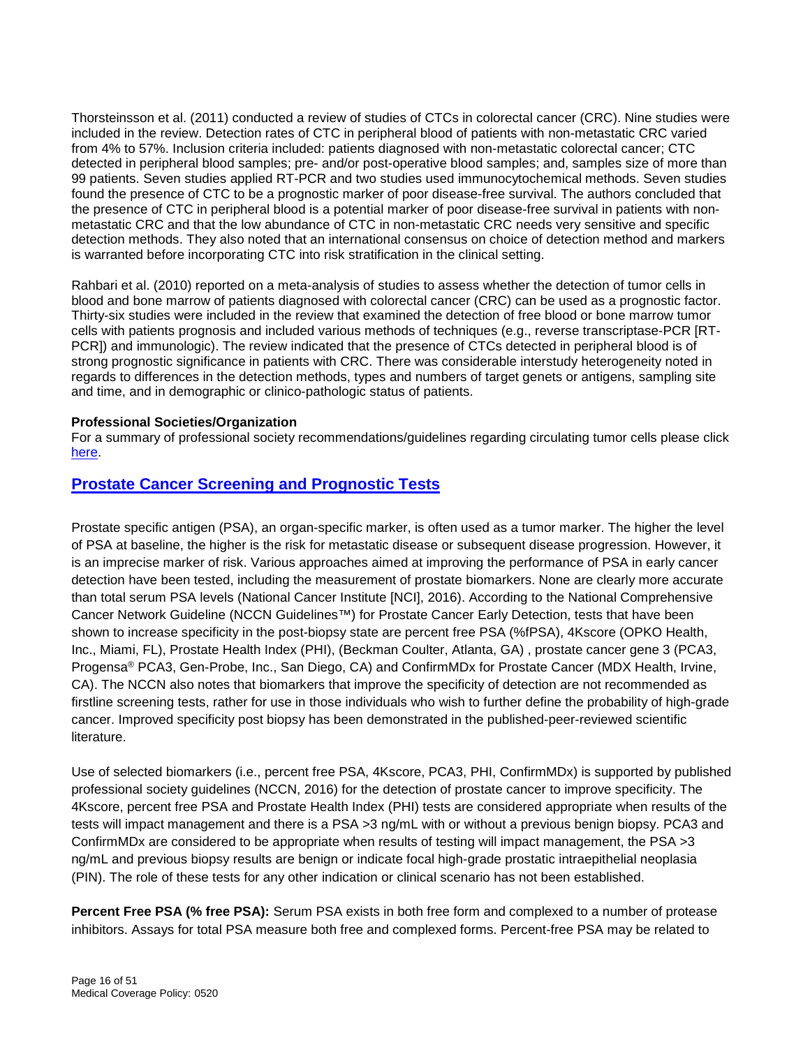Thorsteinsson et al. (2011) conducted a review of studies of CTCs in colorectal cancer (CRC). Nine studies were included in the review. Detection rates of CTC in peripheral blood of patients with non-metastatic CRC varied from 4% to 57%. Inclusion criteria included: patients diagnosed with non-metastatic colorectal cancer; CTC detected in peripheral blood samples; pre- and/or post-operative blood samples; and, samples size of more than 99 patients. Seven studies applied RT-PCR and two studies used immunocytochemical methods. Seven studies found the presence of CTC to be a prognostic marker of poor disease-free survival. The authors concluded that the presence of CTC in peripheral blood is a potential marker of poor disease-free survival in patients with nonmetastatic CRC and that the low abundance of CTC in non-metastatic CRC needs very sensitive and specific detection methods. They also noted that an international consensus on choice of detection method and markers is warranted before incorporating CTC into risk stratification in the clinical setting.

Rahbari et al. (2010) reported on a meta-analysis of studies to assess whether the detection of tumor cells in blood and bone marrow of patients diagnosed with colorectal cancer (CRC) can be used as a prognostic factor. Thirty-six studies were included in the review that examined the detection of free blood or bone marrow tumor cells with patients prognosis and included various methods of techniques (e.g., reverse transcriptase-PCR [RT-PCR]) and immunologic). The review indicated that the presence of CTCs detected in peripheral blood is of strong prognostic significance in patients with CRC. There was considerable interstudy heterogeneity noted in regards to differences in the detection methods, types and numbers of target genets or antigens, sampling site and time, and in demographic or clinico-pathologic status of patients.

#### **Professional Societies/Organization**

For a summary of professional society recommendations/guidelines regarding circulating tumor cells please click [here.](#page-21-2)

### <span id="page-15-0"></span>**[Prostate Cancer Screening and Prognostic Tests](#page-4-0)**

Prostate specific antigen (PSA), an organ-specific marker, is often used as a tumor marker. The higher the level of PSA at baseline, the higher is the risk for metastatic disease or subsequent disease progression. However, it is an imprecise marker of risk. Various approaches aimed at improving the performance of PSA in early cancer detection have been tested, including the measurement of prostate biomarkers. None are clearly more accurate than total serum PSA levels (National Cancer Institute [NCI], 2016). According to the National Comprehensive Cancer Network Guideline (NCCN Guidelines™) for Prostate Cancer Early Detection, tests that have been shown to increase specificity in the post-biopsy state are percent free PSA (%fPSA), 4Kscore (OPKO Health, Inc., Miami, FL), Prostate Health Index (PHI), (Beckman Coulter, Atlanta, GA) , prostate cancer gene 3 (PCA3, Progensa® PCA3, Gen-Probe, Inc., San Diego, CA) and ConfirmMDx for Prostate Cancer (MDX Health, Irvine, CA). The NCCN also notes that biomarkers that improve the specificity of detection are not recommended as firstline screening tests, rather for use in those individuals who wish to further define the probability of high-grade cancer. Improved specificity post biopsy has been demonstrated in the published-peer-reviewed scientific literature.

Use of selected biomarkers (i.e., percent free PSA, 4Kscore, PCA3, PHI, ConfirmMDx) is supported by published professional society guidelines (NCCN, 2016) for the detection of prostate cancer to improve specificity. The 4Kscore, percent free PSA and Prostate Health Index (PHI) tests are considered appropriate when results of the tests will impact management and there is a PSA >3 ng/mL with or without a previous benign biopsy. PCA3 and ConfirmMDx are considered to be appropriate when results of testing will impact management, the PSA >3 ng/mL and previous biopsy results are benign or indicate focal high-grade prostatic intraepithelial neoplasia (PIN). The role of these tests for any other indication or clinical scenario has not been established.

**Percent Free PSA (% free PSA):** Serum PSA exists in both free form and complexed to a number of protease inhibitors. Assays for total PSA measure both free and complexed forms. Percent-free PSA may be related to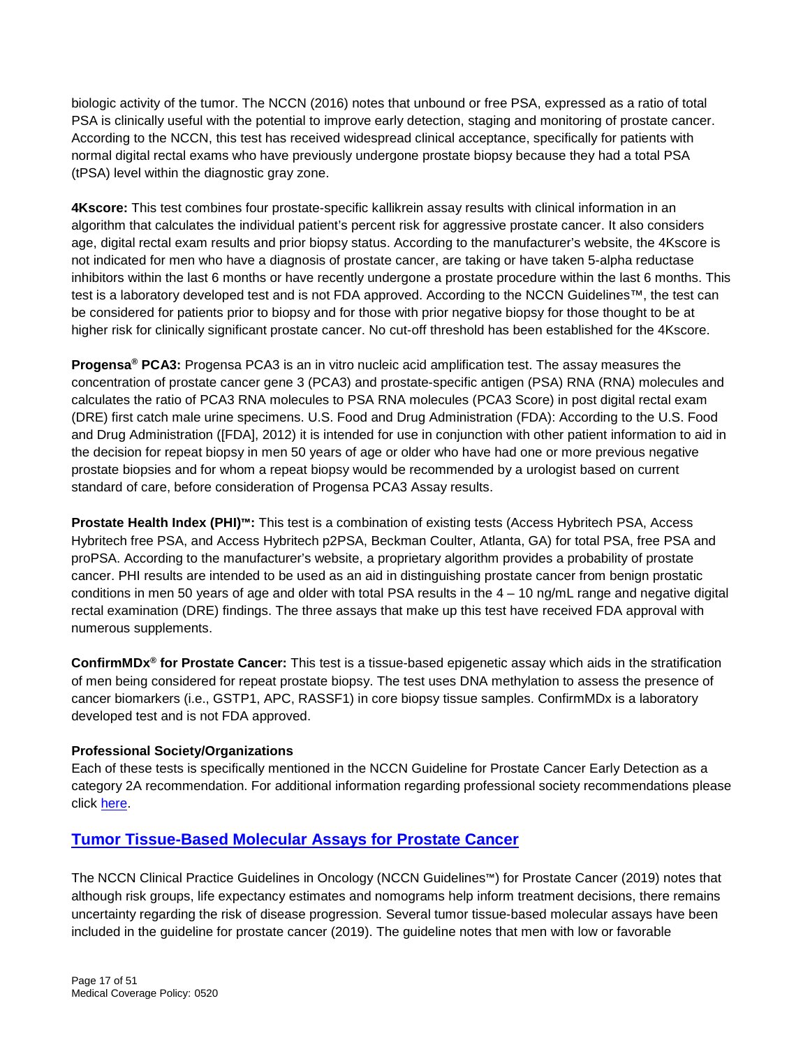biologic activity of the tumor. The NCCN (2016) notes that unbound or free PSA, expressed as a ratio of total PSA is clinically useful with the potential to improve early detection, staging and monitoring of prostate cancer. According to the NCCN, this test has received widespread clinical acceptance, specifically for patients with normal digital rectal exams who have previously undergone prostate biopsy because they had a total PSA (tPSA) level within the diagnostic gray zone.

**4Kscore:** This test combines four prostate-specific kallikrein assay results with clinical information in an algorithm that calculates the individual patient's percent risk for aggressive prostate cancer. It also considers age, digital rectal exam results and prior biopsy status. According to the manufacturer's website, the 4Kscore is not indicated for men who have a diagnosis of prostate cancer, are taking or have taken 5-alpha reductase inhibitors within the last 6 months or have recently undergone a prostate procedure within the last 6 months. This test is a laboratory developed test and is not FDA approved. According to the NCCN Guidelines™, the test can be considered for patients prior to biopsy and for those with prior negative biopsy for those thought to be at higher risk for clinically significant prostate cancer. No cut-off threshold has been established for the 4Kscore.

**Progensa® PCA3:** Progensa PCA3 is an in vitro nucleic acid amplification test. The assay measures the concentration of prostate cancer gene 3 (PCA3) and prostate-specific antigen (PSA) RNA (RNA) molecules and calculates the ratio of PCA3 RNA molecules to PSA RNA molecules (PCA3 Score) in post digital rectal exam (DRE) first catch male urine specimens. U.S. Food and Drug Administration (FDA): According to the U.S. Food and Drug Administration ([FDA], 2012) it is intended for use in conjunction with other patient information to aid in the decision for repeat biopsy in men 50 years of age or older who have had one or more previous negative prostate biopsies and for whom a repeat biopsy would be recommended by a urologist based on current standard of care, before consideration of Progensa PCA3 Assay results.

**Prostate Health Index (PHI)™:** This test is a combination of existing tests (Access Hybritech PSA, Access Hybritech free PSA, and Access Hybritech p2PSA, Beckman Coulter, Atlanta, GA) for total PSA, free PSA and proPSA. According to the manufacturer's website, a proprietary algorithm provides a probability of prostate cancer. PHI results are intended to be used as an aid in distinguishing prostate cancer from benign prostatic conditions in men 50 years of age and older with total PSA results in the  $4 - 10$  ng/mL range and negative digital rectal examination (DRE) findings. The three assays that make up this test have received FDA approval with numerous supplements.

**ConfirmMDx® for Prostate Cancer:** This test is a tissue-based epigenetic assay which aids in the stratification of men being considered for repeat prostate biopsy. The test uses DNA methylation to assess the presence of cancer biomarkers (i.e., GSTP1, APC, RASSF1) in core biopsy tissue samples. ConfirmMDx is a laboratory developed test and is not FDA approved.

### **Professional Society/Organizations**

Each of these tests is specifically mentioned in the NCCN Guideline for Prostate Cancer Early Detection as a category 2A recommendation. For additional information regarding professional society recommendations please click [here.](#page-21-2)

### <span id="page-16-0"></span>**Tumor Tissue-Based [Molecular](#page-4-1) Assays for Prostate Cancer**

The NCCN Clinical Practice Guidelines in Oncology (NCCN Guidelines™) for Prostate Cancer (2019) notes that although risk groups, life expectancy estimates and nomograms help inform treatment decisions, there remains uncertainty regarding the risk of disease progression. Several tumor tissue-based molecular assays have been included in the guideline for prostate cancer (2019). The guideline notes that men with low or favorable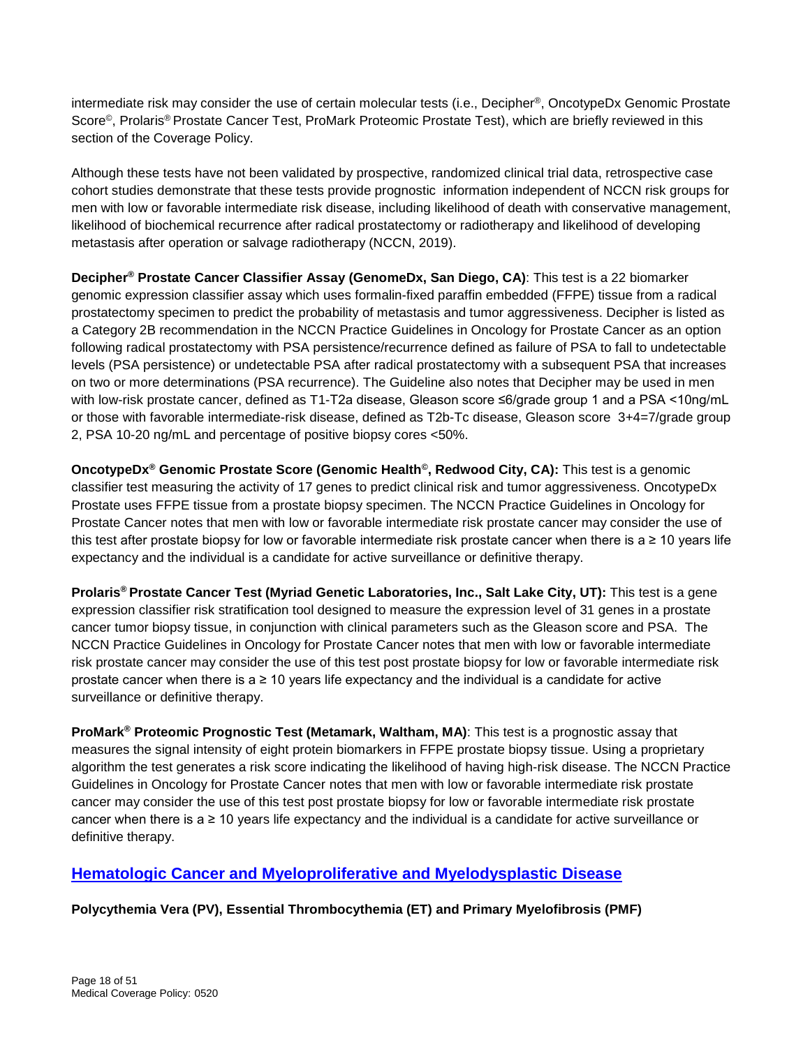intermediate risk may consider the use of certain molecular tests (i.e., Decipher®, OncotypeDx Genomic Prostate Score©, Prolaris® Prostate Cancer Test, ProMark Proteomic Prostate Test), which are briefly reviewed in this section of the Coverage Policy.

Although these tests have not been validated by prospective, randomized clinical trial data, retrospective case cohort studies demonstrate that these tests provide prognostic information independent of NCCN risk groups for men with low or favorable intermediate risk disease, including likelihood of death with conservative management, likelihood of biochemical recurrence after radical prostatectomy or radiotherapy and likelihood of developing metastasis after operation or salvage radiotherapy (NCCN, 2019).

**Decipher® Prostate Cancer Classifier Assay (GenomeDx, San Diego, CA)**: This test is a 22 biomarker genomic expression classifier assay which uses formalin-fixed paraffin embedded (FFPE) tissue from a radical prostatectomy specimen to predict the probability of metastasis and tumor aggressiveness. Decipher is listed as a Category 2B recommendation in the NCCN Practice Guidelines in Oncology for Prostate Cancer as an option following radical prostatectomy with PSA persistence/recurrence defined as failure of PSA to fall to undetectable levels (PSA persistence) or undetectable PSA after radical prostatectomy with a subsequent PSA that increases on two or more determinations (PSA recurrence). The Guideline also notes that Decipher may be used in men with low-risk prostate cancer, defined as T1-T2a disease, Gleason score ≤6/grade group 1 and a PSA <10ng/mL or those with favorable intermediate-risk disease, defined as T2b-Tc disease, Gleason score 3+4=7/grade group 2, PSA 10-20 ng/mL and percentage of positive biopsy cores <50%.

**OncotypeDx® Genomic Prostate Score (Genomic Health©, Redwood City, CA):** This test is a genomic classifier test measuring the activity of 17 genes to predict clinical risk and tumor aggressiveness. OncotypeDx Prostate uses FFPE tissue from a prostate biopsy specimen. The NCCN Practice Guidelines in Oncology for Prostate Cancer notes that men with low or favorable intermediate risk prostate cancer may consider the use of this test after prostate biopsy for low or favorable intermediate risk prostate cancer when there is a  $\geq 10$  years life expectancy and the individual is a candidate for active surveillance or definitive therapy.

**Prolaris® Prostate Cancer Test (Myriad Genetic Laboratories, Inc., Salt Lake City, UT):** This test is a gene expression classifier risk stratification tool designed to measure the expression level of 31 genes in a prostate cancer tumor biopsy tissue, in conjunction with clinical parameters such as the Gleason score and PSA. The NCCN Practice Guidelines in Oncology for Prostate Cancer notes that men with low or favorable intermediate risk prostate cancer may consider the use of this test post prostate biopsy for low or favorable intermediate risk prostate cancer when there is a  $\geq 10$  years life expectancy and the individual is a candidate for active surveillance or definitive therapy.

**ProMark® Proteomic Prognostic Test (Metamark, Waltham, MA)**: This test is a prognostic assay that measures the signal intensity of eight protein biomarkers in FFPE prostate biopsy tissue. Using a proprietary algorithm the test generates a risk score indicating the likelihood of having high-risk disease. The NCCN Practice Guidelines in Oncology for Prostate Cancer notes that men with low or favorable intermediate risk prostate cancer may consider the use of this test post prostate biopsy for low or favorable intermediate risk prostate cancer when there is a ≥ 10 years life expectancy and the individual is a candidate for active surveillance or definitive therapy.

### <span id="page-17-0"></span>**[Hematologic Cancer and Myeloproliferative and Myelodysplastic Disease](#page-5-0)**

### **Polycythemia Vera (PV), Essential Thrombocythemia (ET) and Primary Myelofibrosis (PMF)**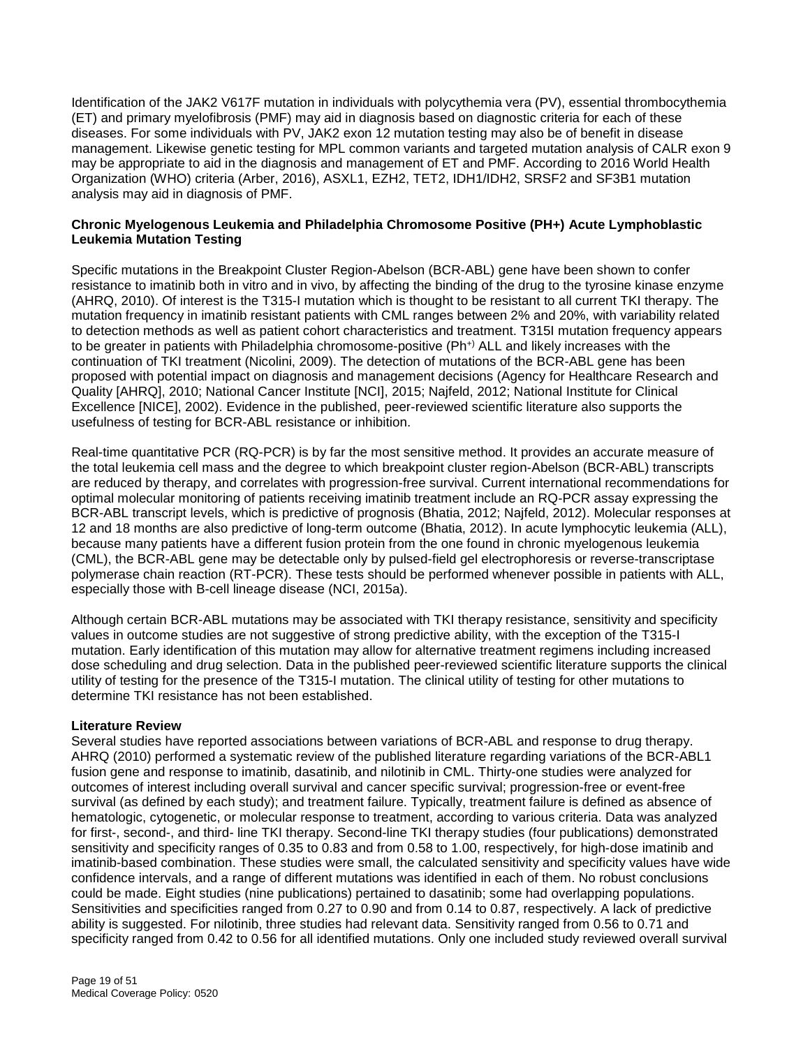Identification of the JAK2 V617F mutation in individuals with polycythemia vera (PV), essential thrombocythemia (ET) and primary myelofibrosis (PMF) may aid in diagnosis based on diagnostic criteria for each of these diseases. For some individuals with PV, JAK2 exon 12 mutation testing may also be of benefit in disease management. Likewise genetic testing for MPL common variants and targeted mutation analysis of CALR exon 9 may be appropriate to aid in the diagnosis and management of ET and PMF. According to 2016 World Health Organization (WHO) criteria (Arber, 2016), ASXL1, EZH2, TET2, IDH1/IDH2, SRSF2 and SF3B1 mutation analysis may aid in diagnosis of PMF.

#### **Chronic Myelogenous Leukemia and Philadelphia Chromosome Positive (PH+) Acute Lymphoblastic Leukemia Mutation Testing**

Specific mutations in the Breakpoint Cluster Region-Abelson (BCR-ABL) gene have been shown to confer resistance to imatinib both in vitro and in vivo, by affecting the binding of the drug to the tyrosine kinase enzyme (AHRQ, 2010). Of interest is the T315-I mutation which is thought to be resistant to all current TKI therapy. The mutation frequency in imatinib resistant patients with CML ranges between 2% and 20%, with variability related to detection methods as well as patient cohort characteristics and treatment. T315I mutation frequency appears to be greater in patients with Philadelphia chromosome-positive (Ph+) ALL and likely increases with the continuation of TKI treatment (Nicolini, 2009). The detection of mutations of the BCR-ABL gene has been proposed with potential impact on diagnosis and management decisions (Agency for Healthcare Research and Quality [AHRQ], 2010; National Cancer Institute [NCI], 2015; Najfeld, 2012; National Institute for Clinical Excellence [NICE], 2002). Evidence in the published, peer-reviewed scientific literature also supports the usefulness of testing for BCR-ABL resistance or inhibition.

Real-time quantitative PCR (RQ-PCR) is by far the most sensitive method. It provides an accurate measure of the total leukemia cell mass and the degree to which breakpoint cluster region-Abelson (BCR-ABL) transcripts are reduced by therapy, and correlates with progression-free survival. Current international recommendations for optimal molecular monitoring of patients receiving imatinib treatment include an RQ-PCR assay expressing the BCR-ABL transcript levels, which is predictive of prognosis (Bhatia, 2012; Najfeld, 2012). Molecular responses at 12 and 18 months are also predictive of long-term outcome (Bhatia, 2012). In acute lymphocytic leukemia (ALL), because many patients have a different fusion protein from the one found in chronic myelogenous leukemia (CML), the BCR-ABL gene may be detectable only by pulsed-field gel electrophoresis or reverse-transcriptase polymerase chain reaction (RT-PCR). These tests should be performed whenever possible in patients with ALL, especially those with B-cell lineage disease (NCI, 2015a).

Although certain BCR-ABL mutations may be associated with TKI therapy resistance, sensitivity and specificity values in outcome studies are not suggestive of strong predictive ability, with the exception of the T315-I mutation. Early identification of this mutation may allow for alternative treatment regimens including increased dose scheduling and drug selection. Data in the published peer-reviewed scientific literature supports the clinical utility of testing for the presence of the T315-I mutation. The clinical utility of testing for other mutations to determine TKI resistance has not been established.

#### **Literature Review**

Several studies have reported associations between variations of BCR-ABL and response to drug therapy. AHRQ (2010) performed a systematic review of the published literature regarding variations of the BCR-ABL1 fusion gene and response to imatinib, dasatinib, and nilotinib in CML. Thirty-one studies were analyzed for outcomes of interest including overall survival and cancer specific survival; progression-free or event-free survival (as defined by each study); and treatment failure. Typically, treatment failure is defined as absence of hematologic, cytogenetic, or molecular response to treatment, according to various criteria. Data was analyzed for first-, second-, and third- line TKI therapy. Second-line TKI therapy studies (four publications) demonstrated sensitivity and specificity ranges of 0.35 to 0.83 and from 0.58 to 1.00, respectively, for high-dose imatinib and imatinib-based combination. These studies were small, the calculated sensitivity and specificity values have wide confidence intervals, and a range of different mutations was identified in each of them. No robust conclusions could be made. Eight studies (nine publications) pertained to dasatinib; some had overlapping populations. Sensitivities and specificities ranged from 0.27 to 0.90 and from 0.14 to 0.87, respectively. A lack of predictive ability is suggested. For nilotinib, three studies had relevant data. Sensitivity ranged from 0.56 to 0.71 and specificity ranged from 0.42 to 0.56 for all identified mutations. Only one included study reviewed overall survival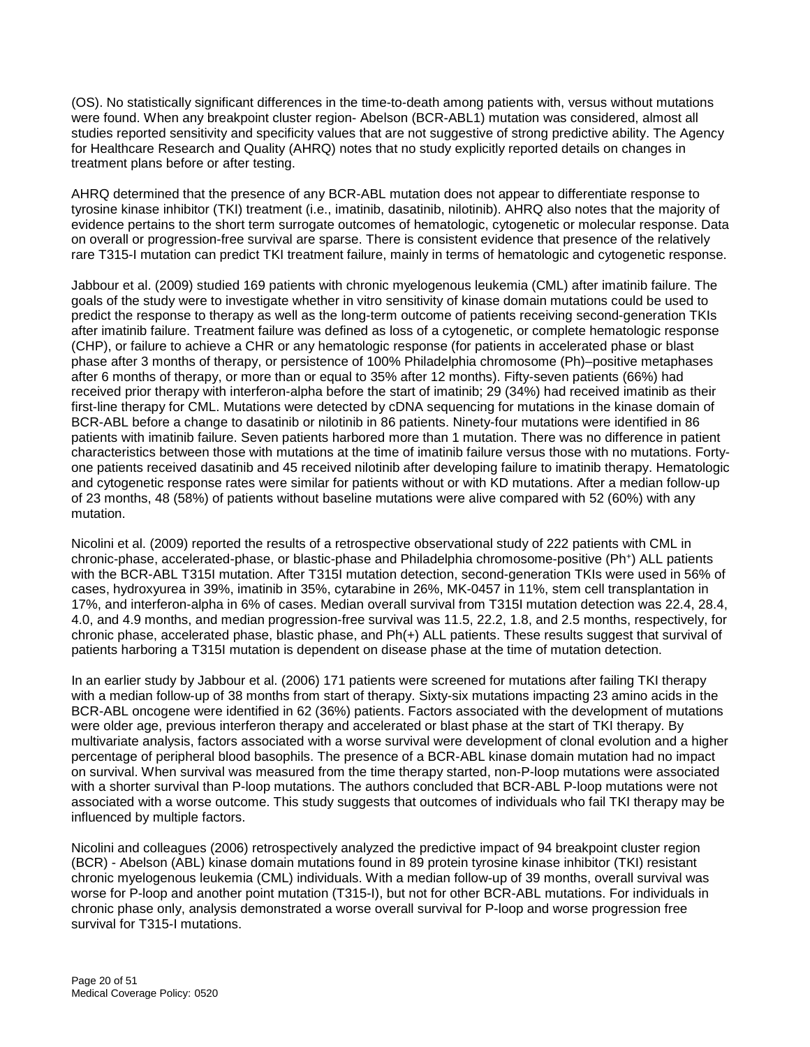(OS). No statistically significant differences in the time-to-death among patients with, versus without mutations were found. When any breakpoint cluster region- Abelson (BCR-ABL1) mutation was considered, almost all studies reported sensitivity and specificity values that are not suggestive of strong predictive ability. The Agency for Healthcare Research and Quality (AHRQ) notes that no study explicitly reported details on changes in treatment plans before or after testing.

AHRQ determined that the presence of any BCR-ABL mutation does not appear to differentiate response to tyrosine kinase inhibitor (TKI) treatment (i.e., imatinib, dasatinib, nilotinib). AHRQ also notes that the majority of evidence pertains to the short term surrogate outcomes of hematologic, cytogenetic or molecular response. Data on overall or progression-free survival are sparse. There is consistent evidence that presence of the relatively rare T315-I mutation can predict TKI treatment failure, mainly in terms of hematologic and cytogenetic response.

Jabbour et al. (2009) studied 169 patients with chronic myelogenous leukemia (CML) after imatinib failure. The goals of the study were to investigate whether in vitro sensitivity of kinase domain mutations could be used to predict the response to therapy as well as the long-term outcome of patients receiving second-generation TKIs after imatinib failure. Treatment failure was defined as loss of a cytogenetic, or complete hematologic response (CHP), or failure to achieve a CHR or any hematologic response (for patients in accelerated phase or blast phase after 3 months of therapy, or persistence of 100% Philadelphia chromosome (Ph)–positive metaphases after 6 months of therapy, or more than or equal to 35% after 12 months). Fifty-seven patients (66%) had received prior therapy with interferon-alpha before the start of imatinib; 29 (34%) had received imatinib as their first-line therapy for CML. Mutations were detected by cDNA sequencing for mutations in the kinase domain of BCR-ABL before a change to dasatinib or nilotinib in 86 patients. Ninety-four mutations were identified in 86 patients with imatinib failure. Seven patients harbored more than 1 mutation. There was no difference in patient characteristics between those with mutations at the time of imatinib failure versus those with no mutations. Fortyone patients received dasatinib and 45 received nilotinib after developing failure to imatinib therapy. Hematologic and cytogenetic response rates were similar for patients without or with KD mutations. After a median follow-up of 23 months, 48 (58%) of patients without baseline mutations were alive compared with 52 (60%) with any mutation.

Nicolini et al. (2009) reported the results of a retrospective observational study of 222 patients with CML in chronic-phase, accelerated-phase, or blastic-phase and Philadelphia chromosome-positive (Ph+) ALL patients with the BCR-ABL T315I mutation. After T315I mutation detection, second-generation TKIs were used in 56% of cases, hydroxyurea in 39%, imatinib in 35%, cytarabine in 26%, MK-0457 in 11%, stem cell transplantation in 17%, and interferon-alpha in 6% of cases. Median overall survival from T315I mutation detection was 22.4, 28.4, 4.0, and 4.9 months, and median progression-free survival was 11.5, 22.2, 1.8, and 2.5 months, respectively, for chronic phase, accelerated phase, blastic phase, and Ph(+) ALL patients. These results suggest that survival of patients harboring a T315I mutation is dependent on disease phase at the time of mutation detection.

In an earlier study by Jabbour et al. (2006) 171 patients were screened for mutations after failing TKI therapy with a median follow-up of 38 months from start of therapy. Sixty-six mutations impacting 23 amino acids in the BCR-ABL oncogene were identified in 62 (36%) patients. Factors associated with the development of mutations were older age, previous interferon therapy and accelerated or blast phase at the start of TKI therapy. By multivariate analysis, factors associated with a worse survival were development of clonal evolution and a higher percentage of peripheral blood basophils. The presence of a BCR-ABL kinase domain mutation had no impact on survival. When survival was measured from the time therapy started, non-P-loop mutations were associated with a shorter survival than P-loop mutations. The authors concluded that BCR-ABL P-loop mutations were not associated with a worse outcome. This study suggests that outcomes of individuals who fail TKI therapy may be influenced by multiple factors.

Nicolini and colleagues (2006) retrospectively analyzed the predictive impact of 94 breakpoint cluster region (BCR) - Abelson (ABL) kinase domain mutations found in 89 protein tyrosine kinase inhibitor (TKI) resistant chronic myelogenous leukemia (CML) individuals. With a median follow-up of 39 months, overall survival was worse for P-loop and another point mutation (T315-I), but not for other BCR-ABL mutations. For individuals in chronic phase only, analysis demonstrated a worse overall survival for P-loop and worse progression free survival for T315-I mutations.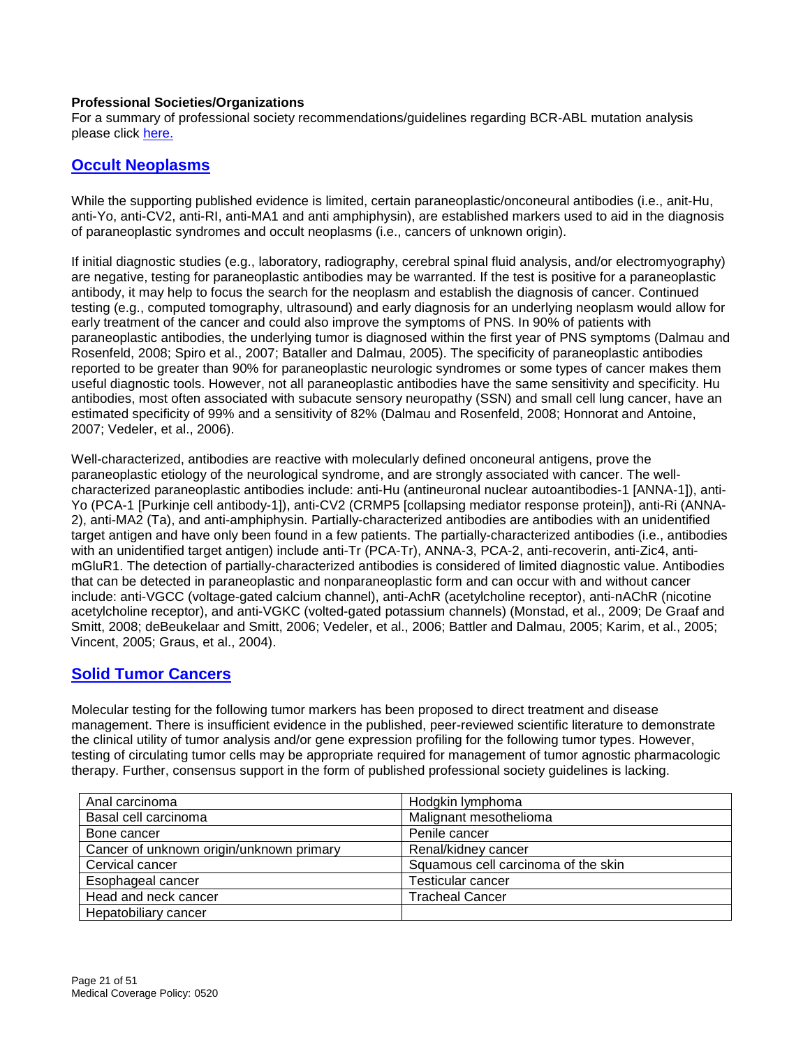#### **Professional Societies/Organizations**

For a summary of professional society recommendations/guidelines regarding BCR-ABL mutation analysis please click [here.](#page-21-2)

### <span id="page-20-0"></span>**[Occult Neoplasms](#page-7-0)**

While the supporting published evidence is limited, certain paraneoplastic/onconeural antibodies (i.e., anit-Hu, anti-Yo, anti-CV2, anti-RI, anti-MA1 and anti amphiphysin), are established markers used to aid in the diagnosis of paraneoplastic syndromes and occult neoplasms (i.e., cancers of unknown origin).

If initial diagnostic studies (e.g., laboratory, radiography, cerebral spinal fluid analysis, and/or electromyography) are negative, testing for paraneoplastic antibodies may be warranted. If the test is positive for a paraneoplastic antibody, it may help to focus the search for the neoplasm and establish the diagnosis of cancer. Continued testing (e.g., computed tomography, ultrasound) and early diagnosis for an underlying neoplasm would allow for early treatment of the cancer and could also improve the symptoms of PNS. In 90% of patients with paraneoplastic antibodies, the underlying tumor is diagnosed within the first year of PNS symptoms (Dalmau and Rosenfeld, 2008; Spiro et al., 2007; Bataller and Dalmau, 2005). The specificity of paraneoplastic antibodies reported to be greater than 90% for paraneoplastic neurologic syndromes or some types of cancer makes them useful diagnostic tools. However, not all paraneoplastic antibodies have the same sensitivity and specificity. Hu antibodies, most often associated with subacute sensory neuropathy (SSN) and small cell lung cancer, have an estimated specificity of 99% and a sensitivity of 82% (Dalmau and Rosenfeld, 2008; Honnorat and Antoine, 2007; Vedeler, et al., 2006).

Well-characterized, antibodies are reactive with molecularly defined onconeural antigens, prove the paraneoplastic etiology of the neurological syndrome, and are strongly associated with cancer. The wellcharacterized paraneoplastic antibodies include: anti-Hu (antineuronal nuclear autoantibodies-1 [ANNA-1]), anti-Yo (PCA-1 [Purkinje cell antibody-1]), anti-CV2 (CRMP5 [collapsing mediator response protein]), anti-Ri (ANNA-2), anti-MA2 (Ta), and anti-amphiphysin. Partially-characterized antibodies are antibodies with an unidentified target antigen and have only been found in a few patients. The partially-characterized antibodies (i.e., antibodies with an unidentified target antigen) include anti-Tr (PCA-Tr), ANNA-3, PCA-2, anti-recoverin, anti-Zic4, antimGluR1. The detection of partially-characterized antibodies is considered of limited diagnostic value. Antibodies that can be detected in paraneoplastic and nonparaneoplastic form and can occur with and without cancer include: anti-VGCC (voltage-gated calcium channel), anti-AchR (acetylcholine receptor), anti-nAChR (nicotine acetylcholine receptor), and anti-VGKC (volted-gated potassium channels) (Monstad, et al., 2009; De Graaf and Smitt, 2008; deBeukelaar and Smitt, 2006; Vedeler, et al., 2006; Battler and Dalmau, 2005; Karim, et al., 2005; Vincent, 2005; Graus, et al., 2004).

### <span id="page-20-1"></span>**[Solid Tumor Cancers](#page-7-1)**

Molecular testing for the following tumor markers has been proposed to direct treatment and disease management. There is insufficient evidence in the published, peer-reviewed scientific literature to demonstrate the clinical utility of tumor analysis and/or gene expression profiling for the following tumor types. However, testing of circulating tumor cells may be appropriate required for management of tumor agnostic pharmacologic therapy. Further, consensus support in the form of published professional society guidelines is lacking.

| Anal carcinoma                           | Hodgkin lymphoma                    |
|------------------------------------------|-------------------------------------|
| Basal cell carcinoma                     | Malignant mesothelioma              |
| Bone cancer                              | Penile cancer                       |
| Cancer of unknown origin/unknown primary | Renal/kidney cancer                 |
| Cervical cancer                          | Squamous cell carcinoma of the skin |
| Esophageal cancer                        | <b>Testicular cancer</b>            |
| Head and neck cancer                     | <b>Tracheal Cancer</b>              |
| Hepatobiliary cancer                     |                                     |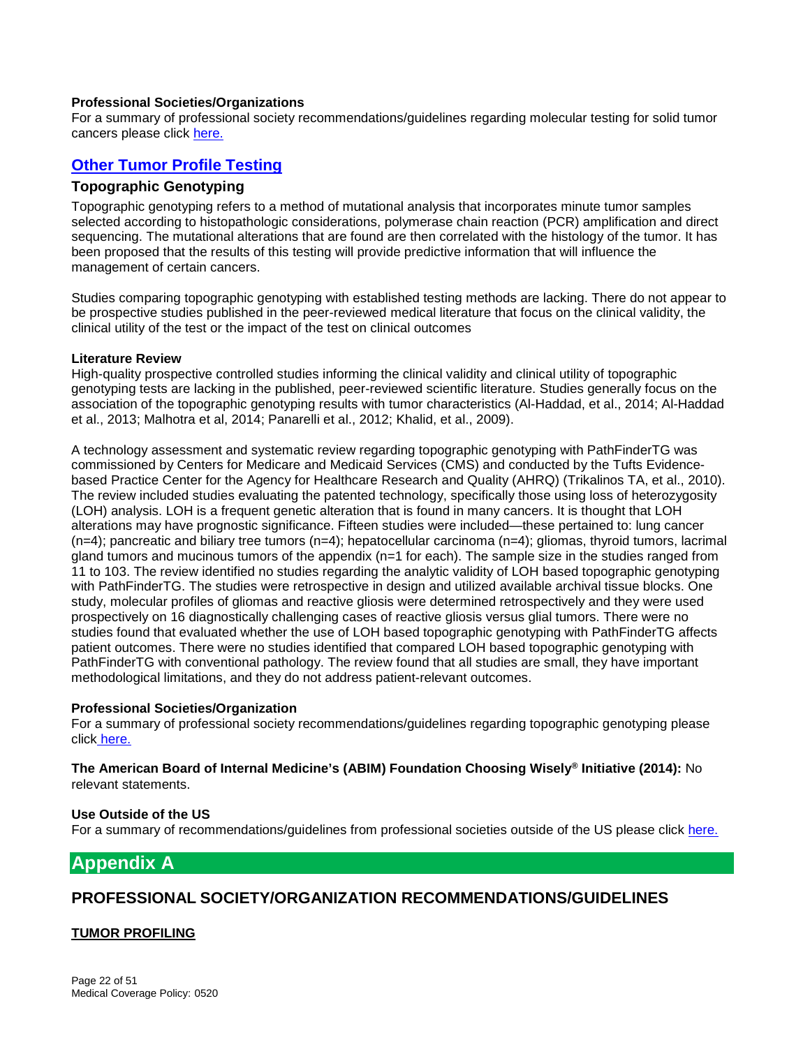#### **Professional Societies/Organizations**

For a summary of professional society recommendations/guidelines regarding molecular testing for solid tumor cancers please click [here.](#page-21-2)

### <span id="page-21-0"></span>**[Other Tumor Profile Testing](#page-7-2)**

#### <span id="page-21-1"></span>**Topographic Genotyping**

Topographic genotyping refers to a method of mutational analysis that incorporates minute tumor samples selected according to histopathologic considerations, polymerase chain reaction (PCR) amplification and direct sequencing. The mutational alterations that are found are then correlated with the histology of the tumor. It has been proposed that the results of this testing will provide predictive information that will influence the management of certain cancers.

Studies comparing topographic genotyping with established testing methods are lacking. There do not appear to be prospective studies published in the peer-reviewed medical literature that focus on the clinical validity, the clinical utility of the test or the impact of the test on clinical outcomes

#### **Literature Review**

High-quality prospective controlled studies informing the clinical validity and clinical utility of topographic genotyping tests are lacking in the published, peer-reviewed scientific literature. Studies generally focus on the association of the topographic genotyping results with tumor characteristics (Al-Haddad, et al., 2014; Al-Haddad et al., 2013; Malhotra et al, 2014; Panarelli et al., 2012; Khalid, et al., 2009).

A technology assessment and systematic review regarding topographic genotyping with PathFinderTG was commissioned by Centers for Medicare and Medicaid Services (CMS) and conducted by the Tufts Evidencebased Practice Center for the Agency for Healthcare Research and Quality (AHRQ) (Trikalinos TA, et al., 2010). The review included studies evaluating the patented technology, specifically those using loss of heterozygosity (LOH) analysis. LOH is a frequent genetic alteration that is found in many cancers. It is thought that LOH alterations may have prognostic significance. Fifteen studies were included—these pertained to: lung cancer (n=4); pancreatic and biliary tree tumors (n=4); hepatocellular carcinoma (n=4); gliomas, thyroid tumors, lacrimal gland tumors and mucinous tumors of the appendix (n=1 for each). The sample size in the studies ranged from 11 to 103. The review identified no studies regarding the analytic validity of LOH based topographic genotyping with PathFinderTG. The studies were retrospective in design and utilized available archival tissue blocks. One study, molecular profiles of gliomas and reactive gliosis were determined retrospectively and they were used prospectively on 16 diagnostically challenging cases of reactive gliosis versus glial tumors. There were no studies found that evaluated whether the use of LOH based topographic genotyping with PathFinderTG affects patient outcomes. There were no studies identified that compared LOH based topographic genotyping with PathFinderTG with conventional pathology. The review found that all studies are small, they have important methodological limitations, and they do not address patient-relevant outcomes.

#### **Professional Societies/Organization**

For a summary of professional society recommendations/guidelines regarding topographic genotyping please click [here.](#page-21-2)

**The American Board of Internal Medicine's (ABIM) Foundation Choosing Wisely® Initiative (2014):** No relevant statements.

#### **Use Outside of the US**

For a summary of recommendations/guidelines from professional societies outside of the US please click [here.](#page-21-2)

# <span id="page-21-2"></span>**Appendix A**

### **PROFESSIONAL SOCIETY/ORGANIZATION RECOMMENDATIONS/GUIDELINES**

#### **TUMOR PROFILING**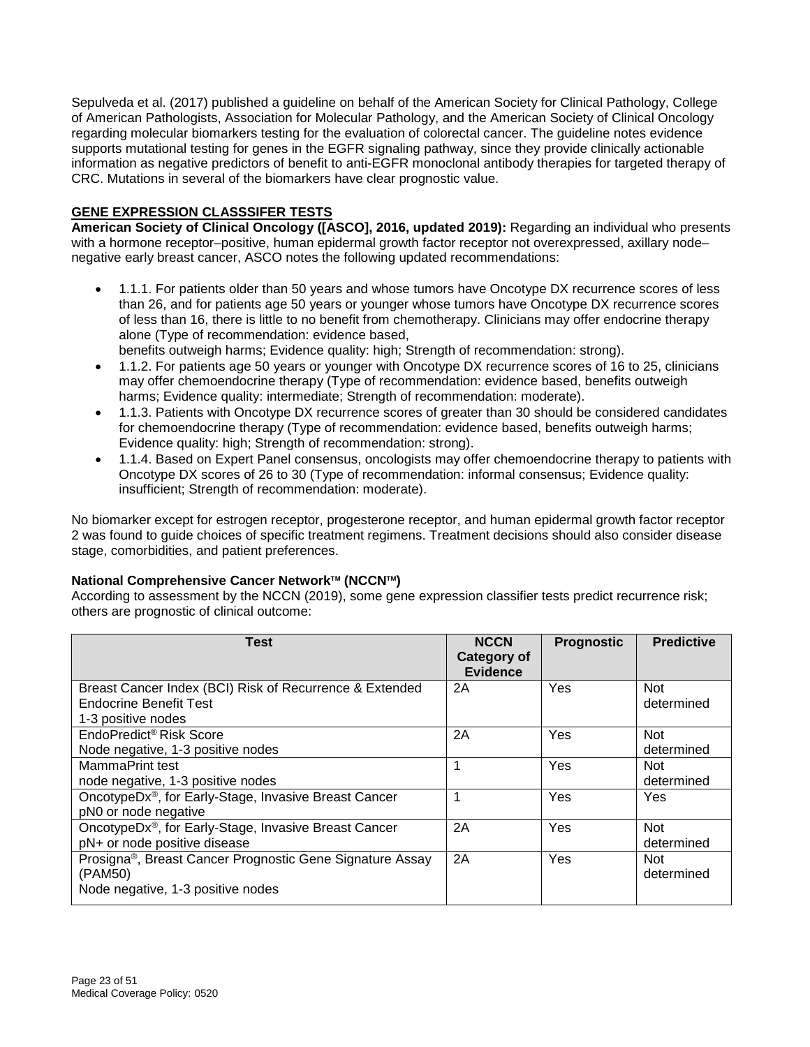Sepulveda et al. (2017) published a guideline on behalf of the American Society for Clinical Pathology, College of American Pathologists, Association for Molecular Pathology, and the American Society of Clinical Oncology regarding molecular biomarkers testing for the evaluation of colorectal cancer. The guideline notes evidence supports mutational testing for genes in the EGFR signaling pathway, since they provide clinically actionable information as negative predictors of benefit to anti-EGFR monoclonal antibody therapies for targeted therapy of CRC. Mutations in several of the biomarkers have clear prognostic value.

#### **GENE EXPRESSION CLASSSIFER TESTS**

**American Society of Clinical Oncology ([ASCO], 2016, updated 2019):** Regarding an individual who presents with a hormone receptor–positive, human epidermal growth factor receptor not overexpressed, axillary node– negative early breast cancer, ASCO notes the following updated recommendations:

- 1.1.1. For patients older than 50 years and whose tumors have Oncotype DX recurrence scores of less than 26, and for patients age 50 years or younger whose tumors have Oncotype DX recurrence scores of less than 16, there is little to no benefit from chemotherapy. Clinicians may offer endocrine therapy alone (Type of recommendation: evidence based,
	- benefits outweigh harms; Evidence quality: high; Strength of recommendation: strong).
- 1.1.2. For patients age 50 years or younger with Oncotype DX recurrence scores of 16 to 25, clinicians may offer chemoendocrine therapy (Type of recommendation: evidence based, benefits outweigh harms; Evidence quality: intermediate; Strength of recommendation: moderate).
- 1.1.3. Patients with Oncotype DX recurrence scores of greater than 30 should be considered candidates for chemoendocrine therapy (Type of recommendation: evidence based, benefits outweigh harms; Evidence quality: high; Strength of recommendation: strong).
- 1.1.4. Based on Expert Panel consensus, oncologists may offer chemoendocrine therapy to patients with Oncotype DX scores of 26 to 30 (Type of recommendation: informal consensus; Evidence quality: insufficient; Strength of recommendation: moderate).

No biomarker except for estrogen receptor, progesterone receptor, and human epidermal growth factor receptor 2 was found to guide choices of specific treatment regimens. Treatment decisions should also consider disease stage, comorbidities, and patient preferences.

#### **National Comprehensive Cancer Network™ (NCCN™)**

According to assessment by the NCCN (2019), some gene expression classifier tests predict recurrence risk; others are prognostic of clinical outcome:

| <b>Test</b>                                                                                                    | <b>NCCN</b><br><b>Category of</b><br><b>Evidence</b> | <b>Prognostic</b> | <b>Predictive</b>        |
|----------------------------------------------------------------------------------------------------------------|------------------------------------------------------|-------------------|--------------------------|
| Breast Cancer Index (BCI) Risk of Recurrence & Extended<br><b>Endocrine Benefit Test</b><br>1-3 positive nodes | 2A                                                   | Yes               | <b>Not</b><br>determined |
| EndoPredict <sup>®</sup> Risk Score<br>Node negative, 1-3 positive nodes                                       | 2A                                                   | Yes               | <b>Not</b><br>determined |
| MammaPrint test<br>node negative, 1-3 positive nodes                                                           | 1                                                    | Yes               | Not<br>determined        |
| OncotypeDx®, for Early-Stage, Invasive Breast Cancer<br>pN0 or node negative                                   | 1                                                    | Yes               | Yes                      |
| OncotypeDx <sup>®</sup> , for Early-Stage, Invasive Breast Cancer<br>pN+ or node positive disease              | 2A                                                   | Yes               | <b>Not</b><br>determined |
| Prosigna®, Breast Cancer Prognostic Gene Signature Assay<br>(PAM50)<br>Node negative, 1-3 positive nodes       | 2A                                                   | Yes               | Not<br>determined        |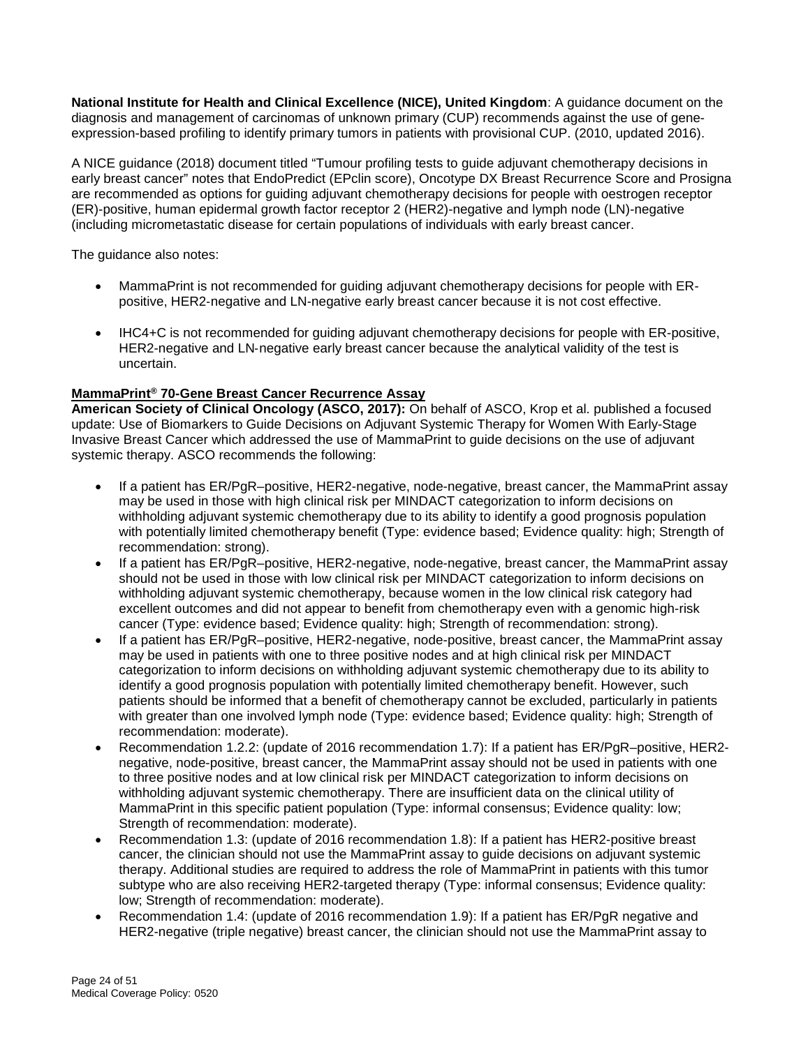**National Institute for Health and Clinical Excellence (NICE), United Kingdom**: A guidance document on the diagnosis and management of carcinomas of unknown primary (CUP) recommends against the use of geneexpression-based profiling to identify primary tumors in patients with provisional CUP. (2010, updated 2016).

A NICE guidance (2018) document titled "Tumour profiling tests to guide adjuvant chemotherapy decisions in early breast cancer" notes that EndoPredict (EPclin score), Oncotype DX Breast Recurrence Score and Prosigna are recommended as options for guiding adjuvant chemotherapy decisions for people with oestrogen receptor (ER)-positive, human epidermal growth factor receptor 2 (HER2)-negative and lymph node (LN)-negative (including micrometastatic disease for certain populations of individuals with early breast cancer.

The guidance also notes:

- MammaPrint is not recommended for guiding adjuvant chemotherapy decisions for people with ERpositive, HER2‑negative and LN-negative early breast cancer because it is not cost effective.
- IHC4+C is not recommended for guiding adjuvant chemotherapy decisions for people with ER-positive, HER2-negative and LN-negative early breast cancer because the analytical validity of the test is uncertain.

#### **MammaPrint® 70-Gene Breast Cancer Recurrence Assay**

**American Society of Clinical Oncology (ASCO, 2017):** On behalf of ASCO, Krop et al. published a focused update: Use of Biomarkers to Guide Decisions on Adjuvant Systemic Therapy for Women With Early-Stage Invasive Breast Cancer which addressed the use of MammaPrint to guide decisions on the use of adjuvant systemic therapy. ASCO recommends the following:

- If a patient has ER/PgR–positive, HER2-negative, node-negative, breast cancer, the MammaPrint assay may be used in those with high clinical risk per MINDACT categorization to inform decisions on withholding adjuvant systemic chemotherapy due to its ability to identify a good prognosis population with potentially limited chemotherapy benefit (Type: evidence based; Evidence quality: high; Strength of recommendation: strong).
- If a patient has ER/PgR-positive, HER2-negative, node-negative, breast cancer, the MammaPrint assay should not be used in those with low clinical risk per MINDACT categorization to inform decisions on withholding adjuvant systemic chemotherapy, because women in the low clinical risk category had excellent outcomes and did not appear to benefit from chemotherapy even with a genomic high-risk cancer (Type: evidence based; Evidence quality: high; Strength of recommendation: strong).
- If a patient has ER/PgR-positive, HER2-negative, node-positive, breast cancer, the MammaPrint assay may be used in patients with one to three positive nodes and at high clinical risk per MINDACT categorization to inform decisions on withholding adjuvant systemic chemotherapy due to its ability to identify a good prognosis population with potentially limited chemotherapy benefit. However, such patients should be informed that a benefit of chemotherapy cannot be excluded, particularly in patients with greater than one involved lymph node (Type: evidence based; Evidence quality: high; Strength of recommendation: moderate).
- Recommendation 1.2.2: (update of 2016 recommendation 1.7): If a patient has ER/PgR–positive, HER2 negative, node-positive, breast cancer, the MammaPrint assay should not be used in patients with one to three positive nodes and at low clinical risk per MINDACT categorization to inform decisions on withholding adjuvant systemic chemotherapy. There are insufficient data on the clinical utility of MammaPrint in this specific patient population (Type: informal consensus; Evidence quality: low; Strength of recommendation: moderate).
- Recommendation 1.3: (update of 2016 recommendation 1.8): If a patient has HER2-positive breast cancer, the clinician should not use the MammaPrint assay to guide decisions on adjuvant systemic therapy. Additional studies are required to address the role of MammaPrint in patients with this tumor subtype who are also receiving HER2-targeted therapy (Type: informal consensus; Evidence quality: low; Strength of recommendation: moderate).
- Recommendation 1.4: (update of 2016 recommendation 1.9): If a patient has ER/PgR negative and HER2-negative (triple negative) breast cancer, the clinician should not use the MammaPrint assay to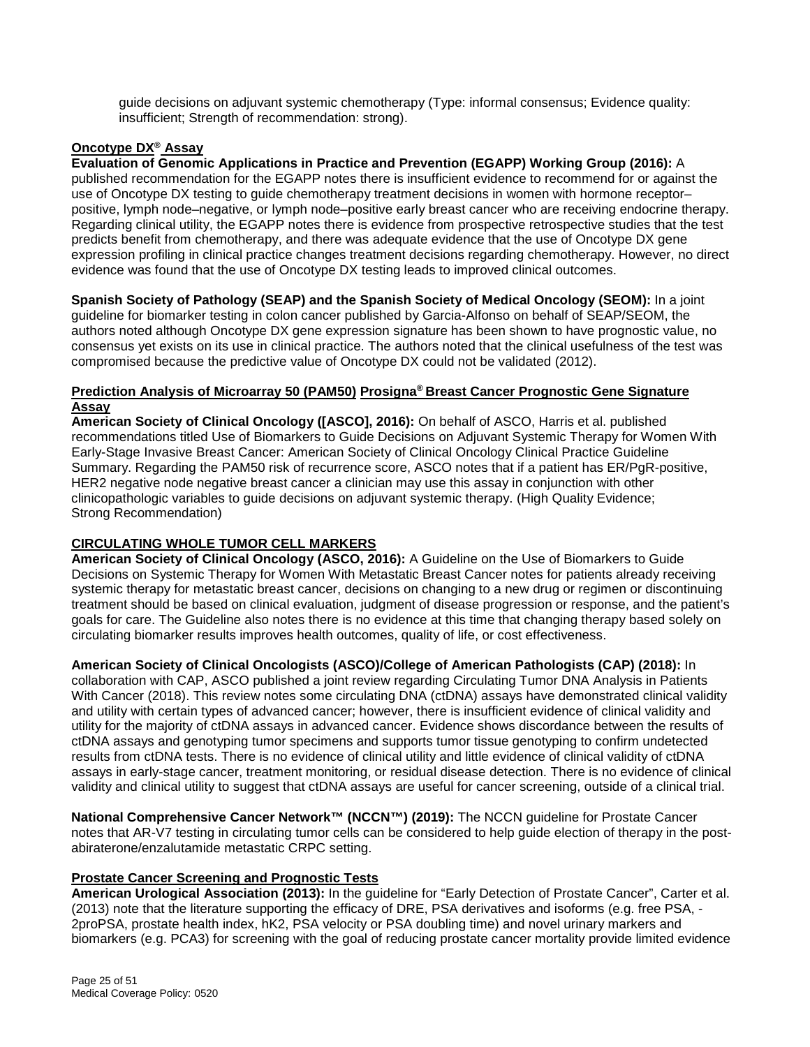guide decisions on adjuvant systemic chemotherapy (Type: informal consensus; Evidence quality: insufficient; Strength of recommendation: strong).

### **Oncotype DX® Assay**

**Evaluation of Genomic Applications in Practice and Prevention (EGAPP) Working Group (2016):** A published recommendation for the EGAPP notes there is insufficient evidence to recommend for or against the use of Oncotype DX testing to guide chemotherapy treatment decisions in women with hormone receptor– positive, lymph node–negative, or lymph node–positive early breast cancer who are receiving endocrine therapy. Regarding clinical utility, the EGAPP notes there is evidence from prospective retrospective studies that the test predicts benefit from chemotherapy, and there was adequate evidence that the use of Oncotype DX gene expression profiling in clinical practice changes treatment decisions regarding chemotherapy. However, no direct evidence was found that the use of Oncotype DX testing leads to improved clinical outcomes.

**Spanish Society of Pathology (SEAP) and the Spanish Society of Medical Oncology (SEOM):** In a joint guideline for biomarker testing in colon cancer published by Garcia-Alfonso on behalf of SEAP/SEOM, the authors noted although Oncotype DX gene expression signature has been shown to have prognostic value, no consensus yet exists on its use in clinical practice. The authors noted that the clinical usefulness of the test was compromised because the predictive value of Oncotype DX could not be validated (2012).

#### **Prediction Analysis of Microarray 50 (PAM50) Prosigna® Breast Cancer Prognostic Gene Signature Assay**

**American Society of Clinical Oncology ([ASCO], 2016):** On behalf of ASCO, Harris et al. published recommendations titled Use of Biomarkers to Guide Decisions on Adjuvant Systemic Therapy for Women With Early-Stage Invasive Breast Cancer: American Society of Clinical Oncology Clinical Practice Guideline Summary. Regarding the PAM50 risk of recurrence score, ASCO notes that if a patient has ER/PgR-positive, HER2 negative node negative breast cancer a clinician may use this assay in conjunction with other clinicopathologic variables to guide decisions on adjuvant systemic therapy. (High Quality Evidence; Strong Recommendation)

#### **CIRCULATING WHOLE TUMOR CELL MARKERS**

**American Society of Clinical Oncology (ASCO, 2016):** A Guideline on the Use of Biomarkers to Guide Decisions on Systemic Therapy for Women With Metastatic Breast Cancer notes for patients already receiving systemic therapy for metastatic breast cancer, decisions on changing to a new drug or regimen or discontinuing treatment should be based on clinical evaluation, judgment of disease progression or response, and the patient's goals for care. The Guideline also notes there is no evidence at this time that changing therapy based solely on circulating biomarker results improves health outcomes, quality of life, or cost effectiveness.

#### **American Society of Clinical Oncologists (ASCO)/College of American Pathologists (CAP) (2018):** In

collaboration with CAP, ASCO published a joint review regarding Circulating Tumor DNA Analysis in Patients With Cancer (2018). This review notes some circulating DNA (ctDNA) assays have demonstrated clinical validity and utility with certain types of advanced cancer; however, there is insufficient evidence of clinical validity and utility for the majority of ctDNA assays in advanced cancer. Evidence shows discordance between the results of ctDNA assays and genotyping tumor specimens and supports tumor tissue genotyping to confirm undetected results from ctDNA tests. There is no evidence of clinical utility and little evidence of clinical validity of ctDNA assays in early-stage cancer, treatment monitoring, or residual disease detection. There is no evidence of clinical validity and clinical utility to suggest that ctDNA assays are useful for cancer screening, outside of a clinical trial.

**National Comprehensive Cancer Network™ (NCCN™) (2019):** The NCCN guideline for Prostate Cancer notes that AR-V7 testing in circulating tumor cells can be considered to help guide election of therapy in the postabiraterone/enzalutamide metastatic CRPC setting.

#### **Prostate Cancer Screening and Prognostic Tests**

**American Urological Association (2013):** In the guideline for "Early Detection of Prostate Cancer", Carter et al. (2013) note that the literature supporting the efficacy of DRE, PSA derivatives and isoforms (e.g. free PSA, - 2proPSA, prostate health index, hK2, PSA velocity or PSA doubling time) and novel urinary markers and biomarkers (e.g. PCA3) for screening with the goal of reducing prostate cancer mortality provide limited evidence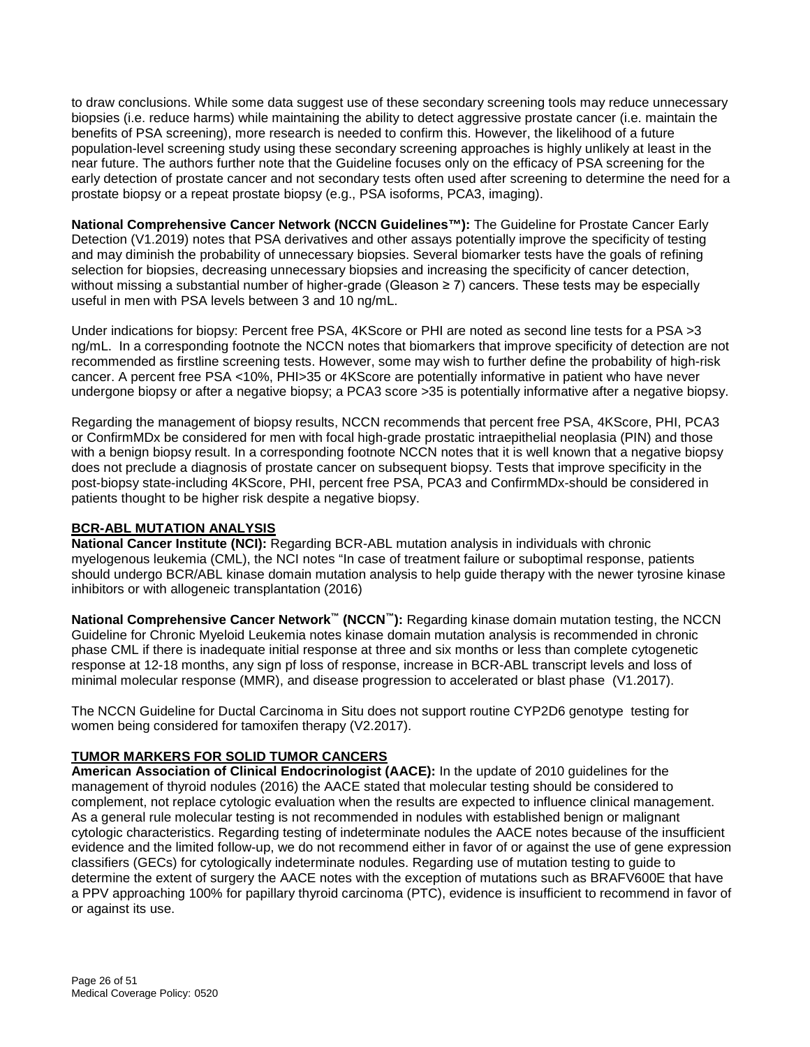to draw conclusions. While some data suggest use of these secondary screening tools may reduce unnecessary biopsies (i.e. reduce harms) while maintaining the ability to detect aggressive prostate cancer (i.e. maintain the benefits of PSA screening), more research is needed to confirm this. However, the likelihood of a future population-level screening study using these secondary screening approaches is highly unlikely at least in the near future. The authors further note that the Guideline focuses only on the efficacy of PSA screening for the early detection of prostate cancer and not secondary tests often used after screening to determine the need for a prostate biopsy or a repeat prostate biopsy (e.g., PSA isoforms, PCA3, imaging).

**National Comprehensive Cancer Network (NCCN Guidelines™):** The Guideline for Prostate Cancer Early Detection (V1.2019) notes that PSA derivatives and other assays potentially improve the specificity of testing and may diminish the probability of unnecessary biopsies. Several biomarker tests have the goals of refining selection for biopsies, decreasing unnecessary biopsies and increasing the specificity of cancer detection, without missing a substantial number of higher-grade (Gleason ≥ 7) cancers. These tests may be especially useful in men with PSA levels between 3 and 10 ng/mL.

Under indications for biopsy: Percent free PSA, 4KScore or PHI are noted as second line tests for a PSA >3 ng/mL. In a corresponding footnote the NCCN notes that biomarkers that improve specificity of detection are not recommended as firstline screening tests. However, some may wish to further define the probability of high-risk cancer. A percent free PSA <10%, PHI>35 or 4KScore are potentially informative in patient who have never undergone biopsy or after a negative biopsy; a PCA3 score >35 is potentially informative after a negative biopsy.

Regarding the management of biopsy results, NCCN recommends that percent free PSA, 4KScore, PHI, PCA3 or ConfirmMDx be considered for men with focal high-grade prostatic intraepithelial neoplasia (PIN) and those with a benign biopsy result. In a corresponding footnote NCCN notes that it is well known that a negative biopsy does not preclude a diagnosis of prostate cancer on subsequent biopsy. Tests that improve specificity in the post-biopsy state-including 4KScore, PHI, percent free PSA, PCA3 and ConfirmMDx-should be considered in patients thought to be higher risk despite a negative biopsy.

#### **BCR-ABL MUTATION ANALYSIS**

**National Cancer Institute (NCI):** Regarding BCR-ABL mutation analysis in individuals with chronic myelogenous leukemia (CML), the NCI notes "In case of treatment failure or suboptimal response, patients should undergo BCR/ABL kinase domain mutation analysis to help guide therapy with the newer tyrosine kinase inhibitors or with allogeneic transplantation (2016)

**National Comprehensive Cancer Network™ (NCCN™):** Regarding kinase domain mutation testing, the NCCN Guideline for Chronic Myeloid Leukemia notes kinase domain mutation analysis is recommended in chronic phase CML if there is inadequate initial response at three and six months or less than complete cytogenetic response at 12-18 months, any sign pf loss of response, increase in BCR-ABL transcript levels and loss of minimal molecular response (MMR), and disease progression to accelerated or blast phase (V1.2017).

The NCCN Guideline for Ductal Carcinoma in Situ does not support routine CYP2D6 genotype testing for women being considered for tamoxifen therapy (V2.2017).

#### **TUMOR MARKERS FOR SOLID TUMOR CANCERS**

**American Association of Clinical Endocrinologist (AACE):** In the update of 2010 guidelines for the management of thyroid nodules (2016) the AACE stated that molecular testing should be considered to complement, not replace cytologic evaluation when the results are expected to influence clinical management. As a general rule molecular testing is not recommended in nodules with established benign or malignant cytologic characteristics. Regarding testing of indeterminate nodules the AACE notes because of the insufficient evidence and the limited follow-up, we do not recommend either in favor of or against the use of gene expression classifiers (GECs) for cytologically indeterminate nodules. Regarding use of mutation testing to guide to determine the extent of surgery the AACE notes with the exception of mutations such as BRAFV600E that have a PPV approaching 100% for papillary thyroid carcinoma (PTC), evidence is insufficient to recommend in favor of or against its use.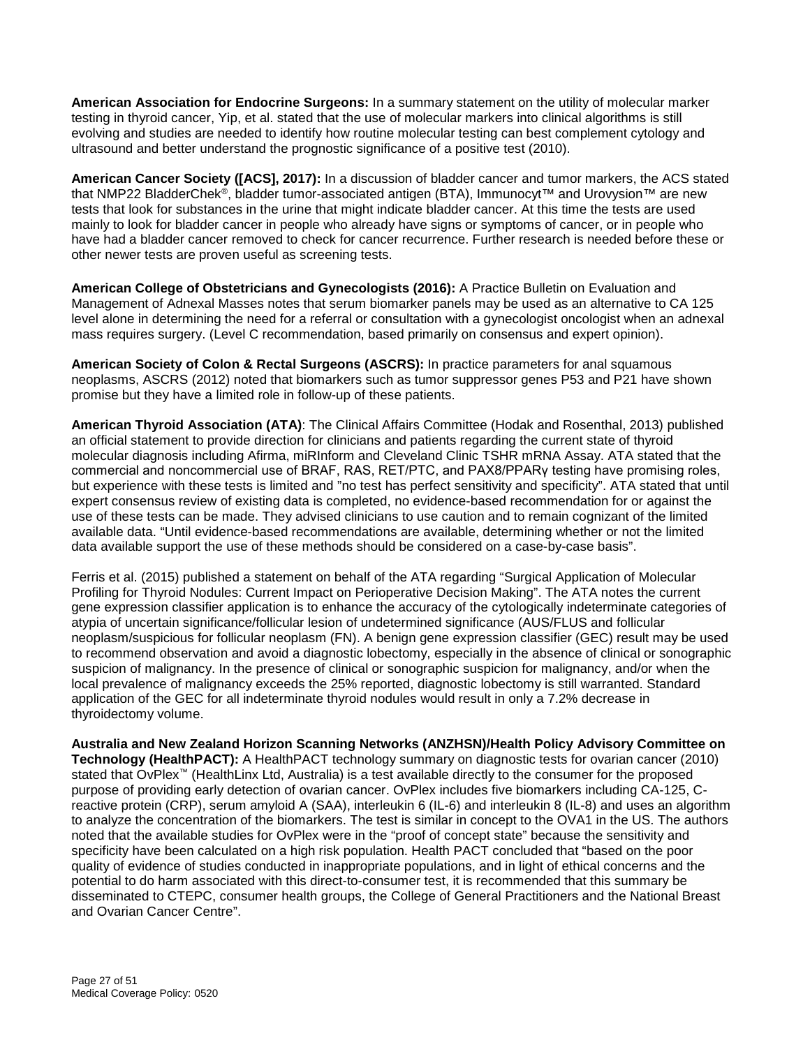**American Association for Endocrine Surgeons:** In a summary statement on the utility of molecular marker testing in thyroid cancer, Yip, et al. stated that the use of molecular markers into clinical algorithms is still evolving and studies are needed to identify how routine molecular testing can best complement cytology and ultrasound and better understand the prognostic significance of a positive test (2010).

**American Cancer Society ([ACS], 2017):** In a discussion of bladder cancer and tumor markers, the ACS stated that NMP22 BladderChek®, bladder tumor-associated antigen (BTA), Immunocyt™ and Urovysion™ are new tests that look for substances in the urine that might indicate bladder cancer. At this time the tests are used mainly to look for bladder cancer in people who already have signs or symptoms of cancer, or in people who have had a bladder cancer removed to check for cancer recurrence. Further research is needed before these or other newer tests are proven useful as screening tests.

**American College of Obstetricians and Gynecologists (2016):** A Practice Bulletin on Evaluation and Management of Adnexal Masses notes that serum biomarker panels may be used as an alternative to CA 125 level alone in determining the need for a referral or consultation with a gynecologist oncologist when an adnexal mass requires surgery. (Level C recommendation, based primarily on consensus and expert opinion).

**American Society of Colon & Rectal Surgeons (ASCRS):** In practice parameters for anal squamous neoplasms, ASCRS (2012) noted that biomarkers such as tumor suppressor genes P53 and P21 have shown promise but they have a limited role in follow-up of these patients.

**American Thyroid Association (ATA)**: The Clinical Affairs Committee (Hodak and Rosenthal, 2013) published an official statement to provide direction for clinicians and patients regarding the current state of thyroid molecular diagnosis including Afirma, miRInform and Cleveland Clinic TSHR mRNA Assay. ATA stated that the commercial and noncommercial use of BRAF, RAS, RET/PTC, and PAX8/PPARγ testing have promising roles, but experience with these tests is limited and "no test has perfect sensitivity and specificity". ATA stated that until expert consensus review of existing data is completed, no evidence-based recommendation for or against the use of these tests can be made. They advised clinicians to use caution and to remain cognizant of the limited available data. "Until evidence-based recommendations are available, determining whether or not the limited data available support the use of these methods should be considered on a case-by-case basis".

Ferris et al. (2015) published a statement on behalf of the ATA regarding "Surgical Application of Molecular Profiling for Thyroid Nodules: Current Impact on Perioperative Decision Making". The ATA notes the current gene expression classifier application is to enhance the accuracy of the cytologically indeterminate categories of atypia of uncertain significance/follicular lesion of undetermined significance (AUS/FLUS and follicular neoplasm/suspicious for follicular neoplasm (FN). A benign gene expression classifier (GEC) result may be used to recommend observation and avoid a diagnostic lobectomy, especially in the absence of clinical or sonographic suspicion of malignancy. In the presence of clinical or sonographic suspicion for malignancy, and/or when the local prevalence of malignancy exceeds the 25% reported, diagnostic lobectomy is still warranted. Standard application of the GEC for all indeterminate thyroid nodules would result in only a 7.2% decrease in thyroidectomy volume.

**Australia and New Zealand Horizon Scanning Networks (ANZHSN)/Health Policy Advisory Committee on Technology (HealthPACT):** A HealthPACT technology summary on diagnostic tests for ovarian cancer (2010) stated that OvPlex™ (HealthLinx Ltd, Australia) is a test available directly to the consumer for the proposed purpose of providing early detection of ovarian cancer. OvPlex includes five biomarkers including CA-125, Creactive protein (CRP), serum amyloid A (SAA), interleukin 6 (IL-6) and interleukin 8 (IL-8) and uses an algorithm to analyze the concentration of the biomarkers. The test is similar in concept to the OVA1 in the US. The authors noted that the available studies for OvPlex were in the "proof of concept state" because the sensitivity and specificity have been calculated on a high risk population. Health PACT concluded that "based on the poor quality of evidence of studies conducted in inappropriate populations, and in light of ethical concerns and the potential to do harm associated with this direct-to-consumer test, it is recommended that this summary be disseminated to CTEPC, consumer health groups, the College of General Practitioners and the National Breast and Ovarian Cancer Centre".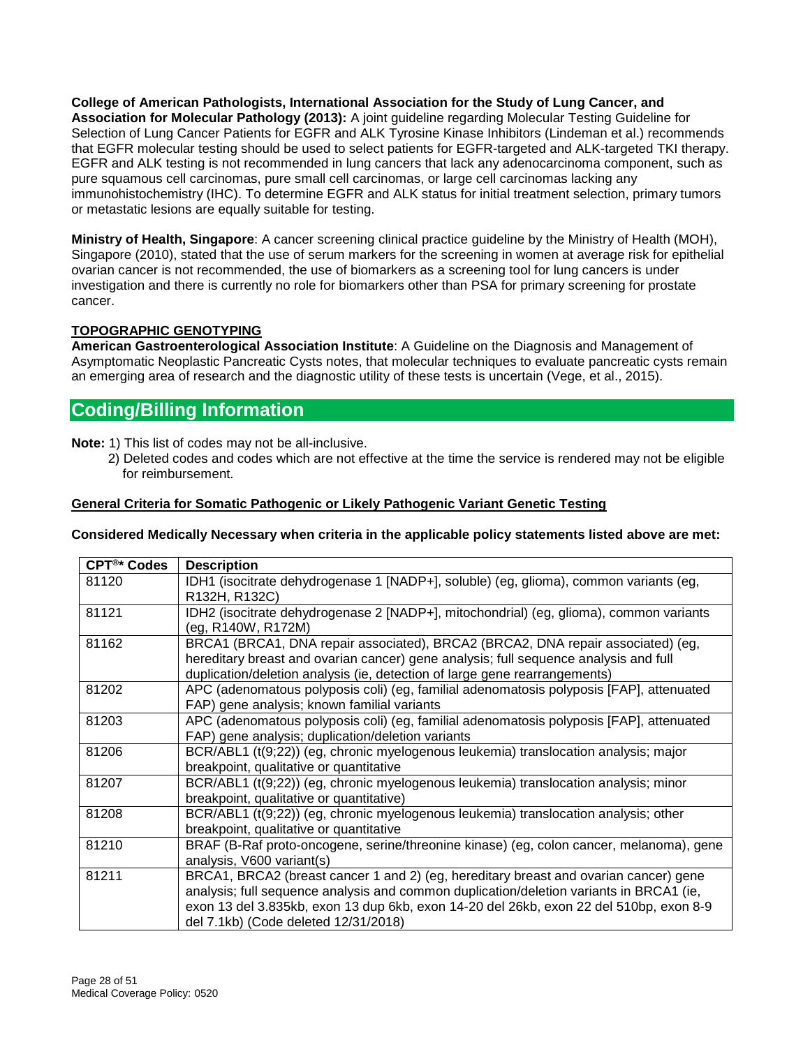**College of American Pathologists, International Association for the Study of Lung Cancer, and Association for Molecular Pathology (2013):** A joint guideline regarding Molecular Testing Guideline for Selection of Lung Cancer Patients for EGFR and ALK Tyrosine Kinase Inhibitors (Lindeman et al.) recommends that EGFR molecular testing should be used to select patients for EGFR-targeted and ALK-targeted TKI therapy. EGFR and ALK testing is not recommended in lung cancers that lack any adenocarcinoma component, such as pure squamous cell carcinomas, pure small cell carcinomas, or large cell carcinomas lacking any immunohistochemistry (IHC). To determine EGFR and ALK status for initial treatment selection, primary tumors or metastatic lesions are equally suitable for testing.

**Ministry of Health, Singapore**: A cancer screening clinical practice guideline by the Ministry of Health (MOH), Singapore (2010), stated that the use of serum markers for the screening in women at average risk for epithelial ovarian cancer is not recommended, the use of biomarkers as a screening tool for lung cancers is under investigation and there is currently no role for biomarkers other than PSA for primary screening for prostate cancer.

#### **TOPOGRAPHIC GENOTYPING**

**American Gastroenterological Association Institute**: A Guideline on the Diagnosis and Management of Asymptomatic Neoplastic Pancreatic Cysts notes, that molecular techniques to evaluate pancreatic cysts remain an emerging area of research and the diagnostic utility of these tests is uncertain (Vege, et al., 2015).

# <span id="page-27-0"></span>**Coding/Billing Information**

**Note:** 1) This list of codes may not be all-inclusive.

 2) Deleted codes and codes which are not effective at the time the service is rendered may not be eligible for reimbursement.

#### **General Criteria for Somatic Pathogenic or Likely Pathogenic Variant Genetic Testing**

#### **Considered Medically Necessary when criteria in the applicable policy statements listed above are met:**

| CPT <sup>®*</sup> Codes | <b>Description</b>                                                                      |
|-------------------------|-----------------------------------------------------------------------------------------|
| 81120                   | IDH1 (isocitrate dehydrogenase 1 [NADP+], soluble) (eg, glioma), common variants (eg,   |
|                         | R132H, R132C)                                                                           |
| 81121                   | IDH2 (isocitrate dehydrogenase 2 [NADP+], mitochondrial) (eg, glioma), common variants  |
|                         | (eg, R140W, R172M)                                                                      |
| 81162                   | BRCA1 (BRCA1, DNA repair associated), BRCA2 (BRCA2, DNA repair associated) (eg,         |
|                         | hereditary breast and ovarian cancer) gene analysis; full sequence analysis and full    |
|                         | duplication/deletion analysis (ie, detection of large gene rearrangements)              |
| 81202                   | APC (adenomatous polyposis coli) (eg, familial adenomatosis polyposis [FAP], attenuated |
|                         | FAP) gene analysis; known familial variants                                             |
| 81203                   | APC (adenomatous polyposis coli) (eg, familial adenomatosis polyposis [FAP], attenuated |
|                         | FAP) gene analysis; duplication/deletion variants                                       |
| 81206                   | BCR/ABL1 (t(9;22)) (eg, chronic myelogenous leukemia) translocation analysis; major     |
|                         | breakpoint, qualitative or quantitative                                                 |
| 81207                   | BCR/ABL1 (t(9;22)) (eg, chronic myelogenous leukemia) translocation analysis; minor     |
|                         | breakpoint, qualitative or quantitative)                                                |
| 81208                   | BCR/ABL1 (t(9;22)) (eg, chronic myelogenous leukemia) translocation analysis; other     |
|                         | breakpoint, qualitative or quantitative                                                 |
| 81210                   | BRAF (B-Raf proto-oncogene, serine/threonine kinase) (eg, colon cancer, melanoma), gene |
|                         | analysis, V600 variant(s)                                                               |
| 81211                   | BRCA1, BRCA2 (breast cancer 1 and 2) (eg, hereditary breast and ovarian cancer) gene    |
|                         | analysis; full sequence analysis and common duplication/deletion variants in BRCA1 (ie, |
|                         | exon 13 del 3.835kb, exon 13 dup 6kb, exon 14-20 del 26kb, exon 22 del 510bp, exon 8-9  |
|                         | del 7.1kb) (Code deleted 12/31/2018)                                                    |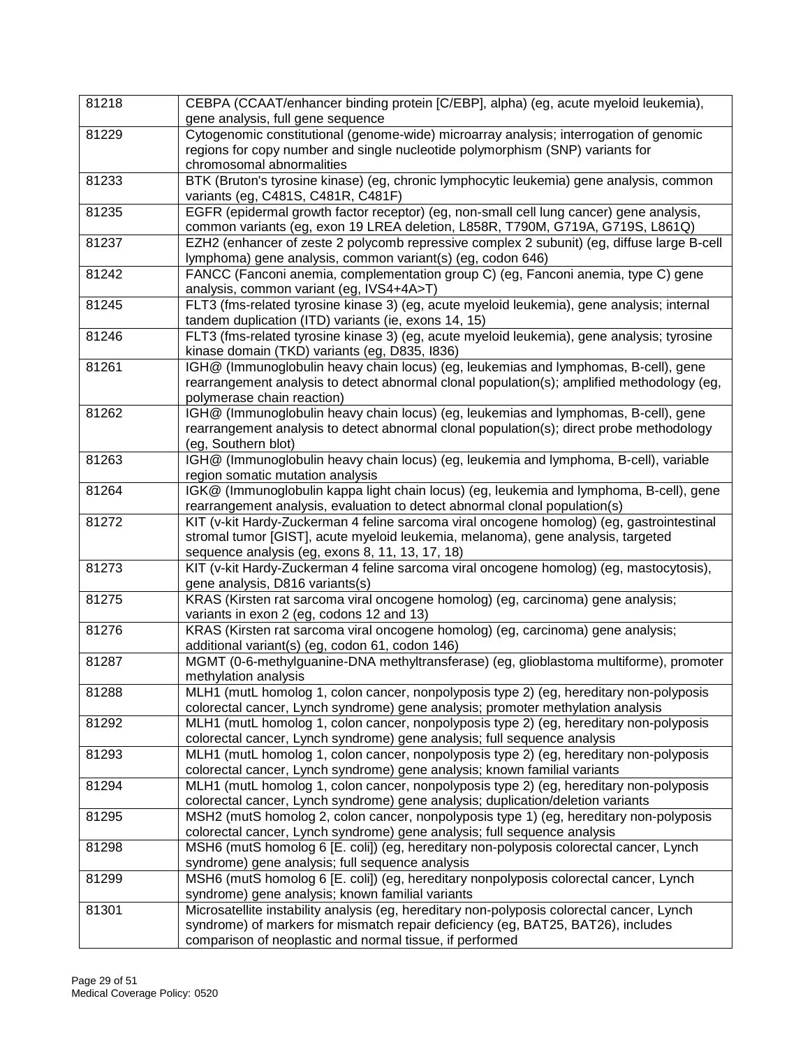| 81218 | CEBPA (CCAAT/enhancer binding protein [C/EBP], alpha) (eg, acute myeloid leukemia),                                                                      |
|-------|----------------------------------------------------------------------------------------------------------------------------------------------------------|
|       | gene analysis, full gene sequence                                                                                                                        |
| 81229 | Cytogenomic constitutional (genome-wide) microarray analysis; interrogation of genomic                                                                   |
|       | regions for copy number and single nucleotide polymorphism (SNP) variants for                                                                            |
|       | chromosomal abnormalities                                                                                                                                |
| 81233 | BTK (Bruton's tyrosine kinase) (eg, chronic lymphocytic leukemia) gene analysis, common                                                                  |
|       | variants (eg, C481S, C481R, C481F)                                                                                                                       |
| 81235 | EGFR (epidermal growth factor receptor) (eg, non-small cell lung cancer) gene analysis,                                                                  |
|       | common variants (eg, exon 19 LREA deletion, L858R, T790M, G719A, G719S, L861Q)                                                                           |
| 81237 | EZH2 (enhancer of zeste 2 polycomb repressive complex 2 subunit) (eg, diffuse large B-cell<br>lymphoma) gene analysis, common variant(s) (eg, codon 646) |
| 81242 | FANCC (Fanconi anemia, complementation group C) (eg, Fanconi anemia, type C) gene                                                                        |
|       | analysis, common variant (eg, IVS4+4A>T)                                                                                                                 |
| 81245 | FLT3 (fms-related tyrosine kinase 3) (eg, acute myeloid leukemia), gene analysis; internal                                                               |
|       | tandem duplication (ITD) variants (ie, exons 14, 15)                                                                                                     |
| 81246 | FLT3 (fms-related tyrosine kinase 3) (eg, acute myeloid leukemia), gene analysis; tyrosine                                                               |
|       | kinase domain (TKD) variants (eg, D835, I836)                                                                                                            |
| 81261 | IGH@ (Immunoglobulin heavy chain locus) (eg, leukemias and lymphomas, B-cell), gene                                                                      |
|       | rearrangement analysis to detect abnormal clonal population(s); amplified methodology (eg,                                                               |
|       | polymerase chain reaction)                                                                                                                               |
| 81262 | IGH@ (Immunoglobulin heavy chain locus) (eg, leukemias and lymphomas, B-cell), gene                                                                      |
|       | rearrangement analysis to detect abnormal clonal population(s); direct probe methodology                                                                 |
|       | (eg, Southern blot)                                                                                                                                      |
| 81263 | IGH@ (Immunoglobulin heavy chain locus) (eg, leukemia and lymphoma, B-cell), variable                                                                    |
|       | region somatic mutation analysis                                                                                                                         |
| 81264 | IGK@ (Immunoglobulin kappa light chain locus) (eg, leukemia and lymphoma, B-cell), gene                                                                  |
|       | rearrangement analysis, evaluation to detect abnormal clonal population(s)                                                                               |
| 81272 | KIT (v-kit Hardy-Zuckerman 4 feline sarcoma viral oncogene homolog) (eg, gastrointestinal                                                                |
|       | stromal tumor [GIST], acute myeloid leukemia, melanoma), gene analysis, targeted                                                                         |
|       | sequence analysis (eg, exons 8, 11, 13, 17, 18)                                                                                                          |
| 81273 | KIT (v-kit Hardy-Zuckerman 4 feline sarcoma viral oncogene homolog) (eg, mastocytosis),                                                                  |
|       | gene analysis, D816 variants(s)                                                                                                                          |
| 81275 | KRAS (Kirsten rat sarcoma viral oncogene homolog) (eg, carcinoma) gene analysis;                                                                         |
|       | variants in exon 2 (eg, codons 12 and 13)                                                                                                                |
| 81276 | KRAS (Kirsten rat sarcoma viral oncogene homolog) (eg, carcinoma) gene analysis;                                                                         |
|       | additional variant(s) (eg, codon 61, codon 146)                                                                                                          |
| 81287 | MGMT (0-6-methylguanine-DNA methyltransferase) (eg, glioblastoma multiforme), promoter                                                                   |
|       | methylation analysis                                                                                                                                     |
| 81288 | MLH1 (mutL homolog 1, colon cancer, nonpolyposis type 2) (eg, hereditary non-polyposis                                                                   |
|       | colorectal cancer, Lynch syndrome) gene analysis; promoter methylation analysis                                                                          |
| 81292 | MLH1 (mutL homolog 1, colon cancer, nonpolyposis type 2) (eg, hereditary non-polyposis                                                                   |
|       | colorectal cancer, Lynch syndrome) gene analysis; full sequence analysis                                                                                 |
| 81293 | MLH1 (mutL homolog 1, colon cancer, nonpolyposis type 2) (eg, hereditary non-polyposis                                                                   |
|       | colorectal cancer, Lynch syndrome) gene analysis; known familial variants                                                                                |
| 81294 | MLH1 (mutL homolog 1, colon cancer, nonpolyposis type 2) (eg, hereditary non-polyposis                                                                   |
|       | colorectal cancer, Lynch syndrome) gene analysis; duplication/deletion variants                                                                          |
| 81295 | MSH2 (mutS homolog 2, colon cancer, nonpolyposis type 1) (eg, hereditary non-polyposis                                                                   |
|       | colorectal cancer, Lynch syndrome) gene analysis; full sequence analysis                                                                                 |
| 81298 | MSH6 (mutS homolog 6 [E. coli]) (eg, hereditary non-polyposis colorectal cancer, Lynch                                                                   |
|       | syndrome) gene analysis; full sequence analysis                                                                                                          |
| 81299 | MSH6 (mutS homolog 6 [E. coli]) (eg, hereditary nonpolyposis colorectal cancer, Lynch                                                                    |
|       | syndrome) gene analysis; known familial variants                                                                                                         |
| 81301 | Microsatellite instability analysis (eg, hereditary non-polyposis colorectal cancer, Lynch                                                               |
|       | syndrome) of markers for mismatch repair deficiency (eg, BAT25, BAT26), includes                                                                         |
|       | comparison of neoplastic and normal tissue, if performed                                                                                                 |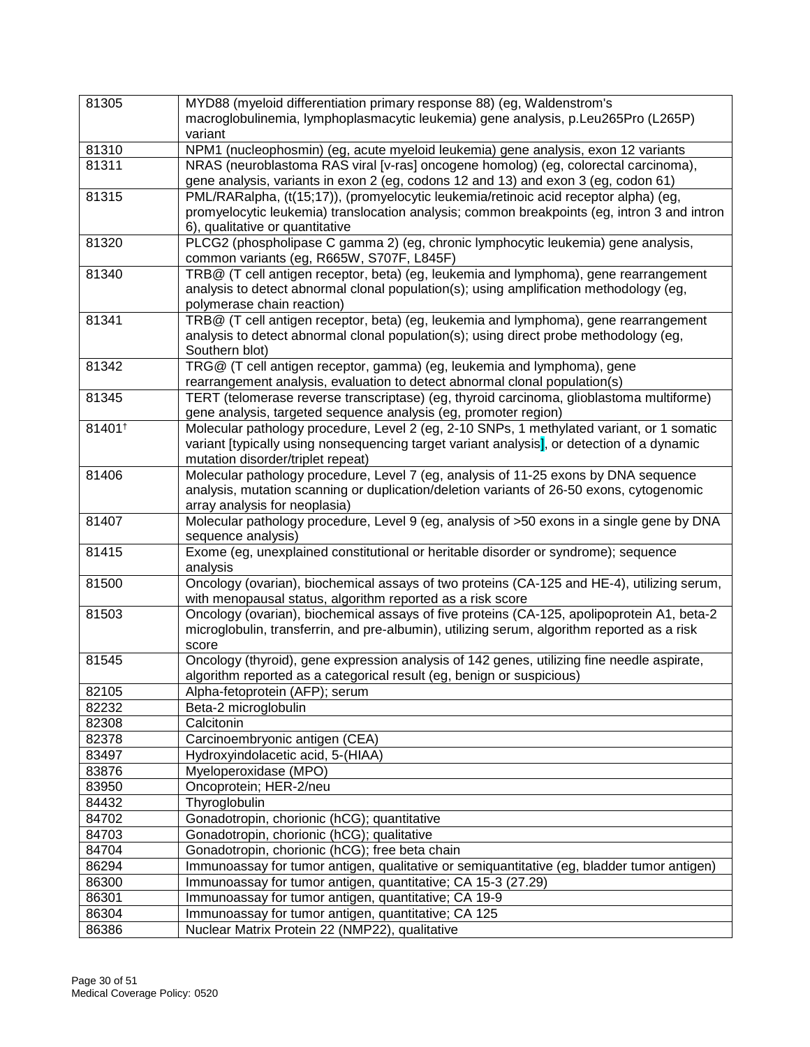| 81305  | MYD88 (myeloid differentiation primary response 88) (eg, Waldenstrom's                      |
|--------|---------------------------------------------------------------------------------------------|
|        | macroglobulinemia, lymphoplasmacytic leukemia) gene analysis, p.Leu265Pro (L265P)           |
|        | variant                                                                                     |
| 81310  | NPM1 (nucleophosmin) (eg, acute myeloid leukemia) gene analysis, exon 12 variants           |
| 81311  | NRAS (neuroblastoma RAS viral [v-ras] oncogene homolog) (eg, colorectal carcinoma),         |
|        | gene analysis, variants in exon 2 (eg, codons 12 and 13) and exon 3 (eg, codon 61)          |
| 81315  | PML/RARalpha, (t(15;17)), (promyelocytic leukemia/retinoic acid receptor alpha) (eg,        |
|        | promyelocytic leukemia) translocation analysis; common breakpoints (eg, intron 3 and intron |
|        | 6), qualitative or quantitative                                                             |
| 81320  | PLCG2 (phospholipase C gamma 2) (eg, chronic lymphocytic leukemia) gene analysis,           |
|        | common variants (eg, R665W, S707F, L845F)                                                   |
| 81340  | TRB@ (T cell antigen receptor, beta) (eg, leukemia and lymphoma), gene rearrangement        |
|        | analysis to detect abnormal clonal population(s); using amplification methodology (eg,      |
|        | polymerase chain reaction)                                                                  |
| 81341  | TRB@ (T cell antigen receptor, beta) (eg, leukemia and lymphoma), gene rearrangement        |
|        | analysis to detect abnormal clonal population(s); using direct probe methodology (eg,       |
|        | Southern blot)                                                                              |
| 81342  | TRG@ (T cell antigen receptor, gamma) (eg, leukemia and lymphoma), gene                     |
|        | rearrangement analysis, evaluation to detect abnormal clonal population(s)                  |
| 81345  | TERT (telomerase reverse transcriptase) (eg, thyroid carcinoma, glioblastoma multiforme)    |
|        | gene analysis, targeted sequence analysis (eg, promoter region)                             |
| 81401+ | Molecular pathology procedure, Level 2 (eg, 2-10 SNPs, 1 methylated variant, or 1 somatic   |
|        | variant [typically using nonsequencing target variant analysis], or detection of a dynamic  |
|        | mutation disorder/triplet repeat)                                                           |
| 81406  | Molecular pathology procedure, Level 7 (eg, analysis of 11-25 exons by DNA sequence         |
|        | analysis, mutation scanning or duplication/deletion variants of 26-50 exons, cytogenomic    |
|        | array analysis for neoplasia)                                                               |
| 81407  | Molecular pathology procedure, Level 9 (eg, analysis of >50 exons in a single gene by DNA   |
|        | sequence analysis)                                                                          |
| 81415  | Exome (eg, unexplained constitutional or heritable disorder or syndrome); sequence          |
|        | analysis                                                                                    |
| 81500  | Oncology (ovarian), biochemical assays of two proteins (CA-125 and HE-4), utilizing serum,  |
|        | with menopausal status, algorithm reported as a risk score                                  |
| 81503  | Oncology (ovarian), biochemical assays of five proteins (CA-125, apolipoprotein A1, beta-2  |
|        | microglobulin, transferrin, and pre-albumin), utilizing serum, algorithm reported as a risk |
|        | score                                                                                       |
| 81545  | Oncology (thyroid), gene expression analysis of 142 genes, utilizing fine needle aspirate,  |
|        | algorithm reported as a categorical result (eg, benign or suspicious)                       |
| 82105  | Alpha-fetoprotein (AFP); serum                                                              |
| 82232  | Beta-2 microglobulin                                                                        |
| 82308  | Calcitonin                                                                                  |
| 82378  | Carcinoembryonic antigen (CEA)                                                              |
| 83497  | Hydroxyindolacetic acid, 5-(HIAA)                                                           |
| 83876  | Myeloperoxidase (MPO)                                                                       |
|        |                                                                                             |
| 83950  | Oncoprotein; HER-2/neu                                                                      |
| 84432  | Thyroglobulin                                                                               |
| 84702  | Gonadotropin, chorionic (hCG); quantitative                                                 |
| 84703  | Gonadotropin, chorionic (hCG); qualitative                                                  |
| 84704  | Gonadotropin, chorionic (hCG); free beta chain                                              |
| 86294  | Immunoassay for tumor antigen, qualitative or semiquantitative (eg, bladder tumor antigen)  |
| 86300  | Immunoassay for tumor antigen, quantitative; CA 15-3 (27.29)                                |
| 86301  | Immunoassay for tumor antigen, quantitative; CA 19-9                                        |
| 86304  | Immunoassay for tumor antigen, quantitative; CA 125                                         |
| 86386  | Nuclear Matrix Protein 22 (NMP22), qualitative                                              |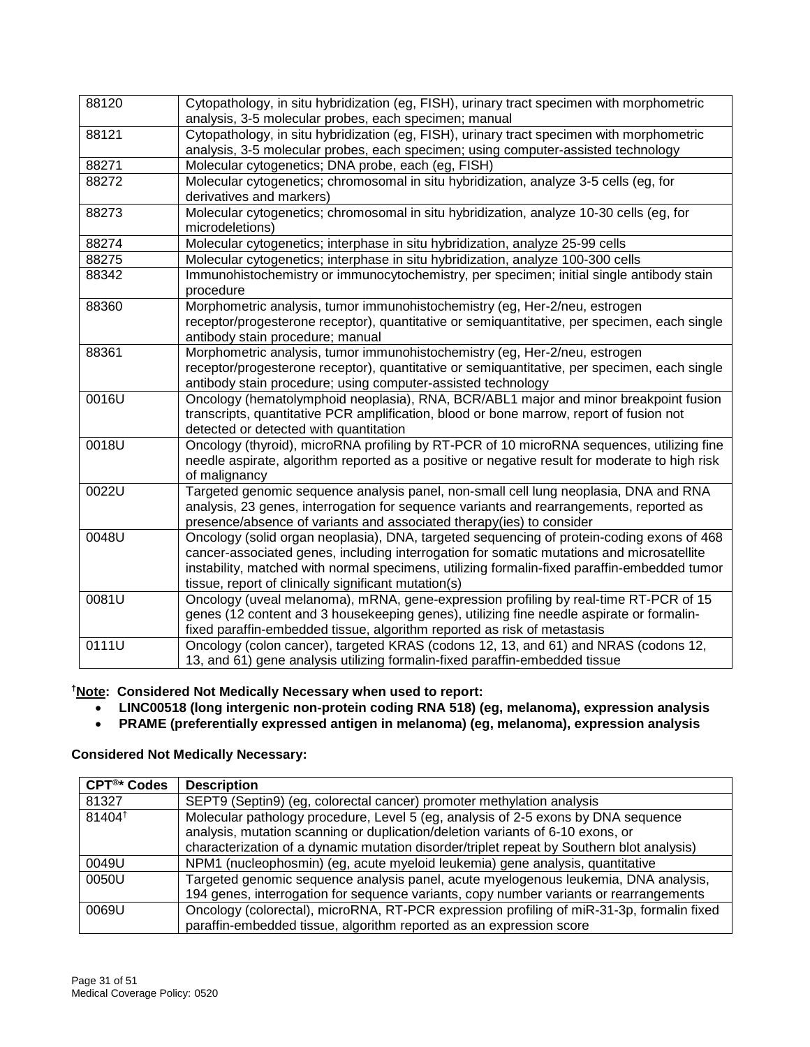| 88120 | Cytopathology, in situ hybridization (eg, FISH), urinary tract specimen with morphometric<br>analysis, 3-5 molecular probes, each specimen; manual |
|-------|----------------------------------------------------------------------------------------------------------------------------------------------------|
| 88121 | Cytopathology, in situ hybridization (eg, FISH), urinary tract specimen with morphometric                                                          |
|       | analysis, 3-5 molecular probes, each specimen; using computer-assisted technology                                                                  |
| 88271 | Molecular cytogenetics; DNA probe, each (eg, FISH)                                                                                                 |
| 88272 | Molecular cytogenetics; chromosomal in situ hybridization, analyze 3-5 cells (eg, for                                                              |
|       | derivatives and markers)                                                                                                                           |
| 88273 | Molecular cytogenetics; chromosomal in situ hybridization, analyze 10-30 cells (eg, for                                                            |
|       | microdeletions)                                                                                                                                    |
| 88274 | Molecular cytogenetics; interphase in situ hybridization, analyze 25-99 cells                                                                      |
| 88275 | Molecular cytogenetics; interphase in situ hybridization, analyze 100-300 cells                                                                    |
| 88342 | Immunohistochemistry or immunocytochemistry, per specimen; initial single antibody stain                                                           |
|       | procedure                                                                                                                                          |
| 88360 | Morphometric analysis, tumor immunohistochemistry (eg, Her-2/neu, estrogen                                                                         |
|       | receptor/progesterone receptor), quantitative or semiquantitative, per specimen, each single                                                       |
|       | antibody stain procedure; manual                                                                                                                   |
| 88361 | Morphometric analysis, tumor immunohistochemistry (eg, Her-2/neu, estrogen                                                                         |
|       | receptor/progesterone receptor), quantitative or semiquantitative, per specimen, each single                                                       |
|       | antibody stain procedure; using computer-assisted technology                                                                                       |
| 0016U | Oncology (hematolymphoid neoplasia), RNA, BCR/ABL1 major and minor breakpoint fusion                                                               |
|       | transcripts, quantitative PCR amplification, blood or bone marrow, report of fusion not                                                            |
|       | detected or detected with quantitation                                                                                                             |
| 0018U | Oncology (thyroid), microRNA profiling by RT-PCR of 10 microRNA sequences, utilizing fine                                                          |
|       | needle aspirate, algorithm reported as a positive or negative result for moderate to high risk                                                     |
|       | of malignancy                                                                                                                                      |
| 0022U | Targeted genomic sequence analysis panel, non-small cell lung neoplasia, DNA and RNA                                                               |
|       | analysis, 23 genes, interrogation for sequence variants and rearrangements, reported as                                                            |
|       | presence/absence of variants and associated therapy(ies) to consider                                                                               |
| 0048U | Oncology (solid organ neoplasia), DNA, targeted sequencing of protein-coding exons of 468                                                          |
|       | cancer-associated genes, including interrogation for somatic mutations and microsatellite                                                          |
|       | instability, matched with normal specimens, utilizing formalin-fixed paraffin-embedded tumor                                                       |
|       | tissue, report of clinically significant mutation(s)                                                                                               |
| 0081U | Oncology (uveal melanoma), mRNA, gene-expression profiling by real-time RT-PCR of 15                                                               |
|       | genes (12 content and 3 housekeeping genes), utilizing fine needle aspirate or formalin-                                                           |
|       | fixed paraffin-embedded tissue, algorithm reported as risk of metastasis                                                                           |
| 0111U | Oncology (colon cancer), targeted KRAS (codons 12, 13, and 61) and NRAS (codons 12,                                                                |
|       | 13, and 61) gene analysis utilizing formalin-fixed paraffin-embedded tissue                                                                        |

**†Note: Considered Not Medically Necessary when used to report:** 

- **LINC00518 (long intergenic non-protein coding RNA 518) (eg, melanoma), expression analysis**
- **PRAME (preferentially expressed antigen in melanoma) (eg, melanoma), expression analysis**

#### **Considered Not Medically Necessary:**

| CPT <sup>®*</sup> Codes | <b>Description</b>                                                                        |
|-------------------------|-------------------------------------------------------------------------------------------|
| 81327                   | SEPT9 (Septin9) (eg. colorectal cancer) promoter methylation analysis                     |
| 81404 <sup>t</sup>      | Molecular pathology procedure, Level 5 (eg, analysis of 2-5 exons by DNA sequence         |
|                         | analysis, mutation scanning or duplication/deletion variants of 6-10 exons, or            |
|                         | characterization of a dynamic mutation disorder/triplet repeat by Southern blot analysis) |
| 0049U                   | NPM1 (nucleophosmin) (eg, acute myeloid leukemia) gene analysis, quantitative             |
| 0050U                   | Targeted genomic sequence analysis panel, acute myelogenous leukemia, DNA analysis,       |
|                         | 194 genes, interrogation for sequence variants, copy number variants or rearrangements    |
| 0069U                   | Oncology (colorectal), microRNA, RT-PCR expression profiling of miR-31-3p, formalin fixed |
|                         | paraffin-embedded tissue, algorithm reported as an expression score                       |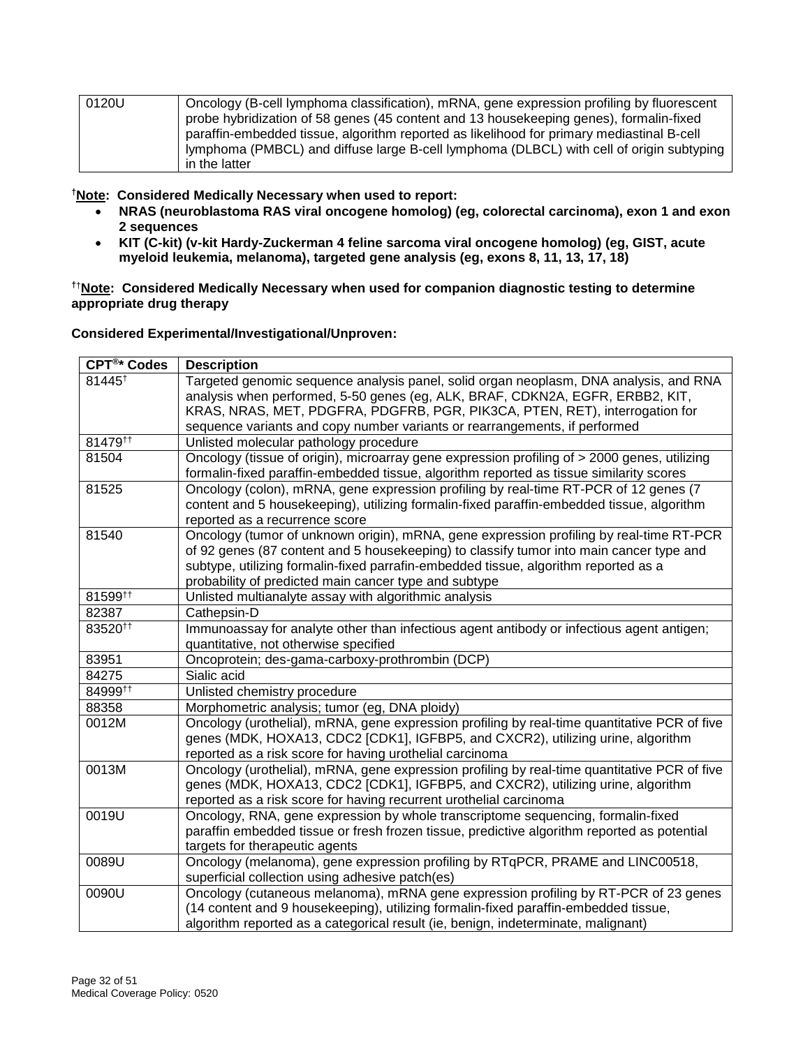| 0120U | Oncology (B-cell lymphoma classification), mRNA, gene expression profiling by fluorescent |
|-------|-------------------------------------------------------------------------------------------|
|       | probe hybridization of 58 genes (45 content and 13 housekeeping genes), formalin-fixed    |
|       | paraffin-embedded tissue, algorithm reported as likelihood for primary mediastinal B-cell |
|       | lymphoma (PMBCL) and diffuse large B-cell lymphoma (DLBCL) with cell of origin subtyping  |
|       | in the latter                                                                             |

**†Note: Considered Medically Necessary when used to report:** 

- **NRAS (neuroblastoma RAS viral oncogene homolog) (eg, colorectal carcinoma), exon 1 and exon 2 sequences**
- **KIT (C-kit) (v-kit Hardy-Zuckerman 4 feline sarcoma viral oncogene homolog) (eg, GIST, acute myeloid leukemia, melanoma), targeted gene analysis (eg, exons 8, 11, 13, 17, 18)**

**†**†**Note: Considered Medically Necessary when used for companion diagnostic testing to determine appropriate drug therapy**

**Considered Experimental/Investigational/Unproven:** 

| CPT <sup>®*</sup> Codes | <b>Description</b>                                                                                                                                                                                                                                                                                                                 |
|-------------------------|------------------------------------------------------------------------------------------------------------------------------------------------------------------------------------------------------------------------------------------------------------------------------------------------------------------------------------|
| 81445 <sup>+</sup>      | Targeted genomic sequence analysis panel, solid organ neoplasm, DNA analysis, and RNA<br>analysis when performed, 5-50 genes (eg, ALK, BRAF, CDKN2A, EGFR, ERBB2, KIT,                                                                                                                                                             |
|                         | KRAS, NRAS, MET, PDGFRA, PDGFRB, PGR, PIK3CA, PTEN, RET), interrogation for<br>sequence variants and copy number variants or rearrangements, if performed                                                                                                                                                                          |
| 81479 <sup>tt</sup>     | Unlisted molecular pathology procedure                                                                                                                                                                                                                                                                                             |
| 81504                   | Oncology (tissue of origin), microarray gene expression profiling of > 2000 genes, utilizing<br>formalin-fixed paraffin-embedded tissue, algorithm reported as tissue similarity scores                                                                                                                                            |
| 81525                   | Oncology (colon), mRNA, gene expression profiling by real-time RT-PCR of 12 genes (7<br>content and 5 housekeeping), utilizing formalin-fixed paraffin-embedded tissue, algorithm<br>reported as a recurrence score                                                                                                                |
| 81540                   | Oncology (tumor of unknown origin), mRNA, gene expression profiling by real-time RT-PCR<br>of 92 genes (87 content and 5 housekeeping) to classify tumor into main cancer type and<br>subtype, utilizing formalin-fixed parrafin-embedded tissue, algorithm reported as a<br>probability of predicted main cancer type and subtype |
| 81599 <sup>tt</sup>     | Unlisted multianalyte assay with algorithmic analysis                                                                                                                                                                                                                                                                              |
| 82387                   | Cathepsin-D                                                                                                                                                                                                                                                                                                                        |
| 83520 <sup>tt</sup>     | Immunoassay for analyte other than infectious agent antibody or infectious agent antigen;<br>quantitative, not otherwise specified                                                                                                                                                                                                 |
| 83951                   | Oncoprotein; des-gama-carboxy-prothrombin (DCP)                                                                                                                                                                                                                                                                                    |
| 84275                   | Sialic acid                                                                                                                                                                                                                                                                                                                        |
| 84999#                  | Unlisted chemistry procedure                                                                                                                                                                                                                                                                                                       |
| 88358                   | Morphometric analysis; tumor (eg, DNA ploidy)                                                                                                                                                                                                                                                                                      |
| 0012M                   | Oncology (urothelial), mRNA, gene expression profiling by real-time quantitative PCR of five<br>genes (MDK, HOXA13, CDC2 [CDK1], IGFBP5, and CXCR2), utilizing urine, algorithm<br>reported as a risk score for having urothelial carcinoma                                                                                        |
| 0013M                   | Oncology (urothelial), mRNA, gene expression profiling by real-time quantitative PCR of five<br>genes (MDK, HOXA13, CDC2 [CDK1], IGFBP5, and CXCR2), utilizing urine, algorithm<br>reported as a risk score for having recurrent urothelial carcinoma                                                                              |
| 0019U                   | Oncology, RNA, gene expression by whole transcriptome sequencing, formalin-fixed<br>paraffin embedded tissue or fresh frozen tissue, predictive algorithm reported as potential<br>targets for therapeutic agents                                                                                                                  |
| 0089U                   | Oncology (melanoma), gene expression profiling by RTqPCR, PRAME and LINC00518,<br>superficial collection using adhesive patch(es)                                                                                                                                                                                                  |
| 0090U                   | Oncology (cutaneous melanoma), mRNA gene expression profiling by RT-PCR of 23 genes<br>(14 content and 9 housekeeping), utilizing formalin-fixed paraffin-embedded tissue,<br>algorithm reported as a categorical result (ie, benign, indeterminate, malignant)                                                                    |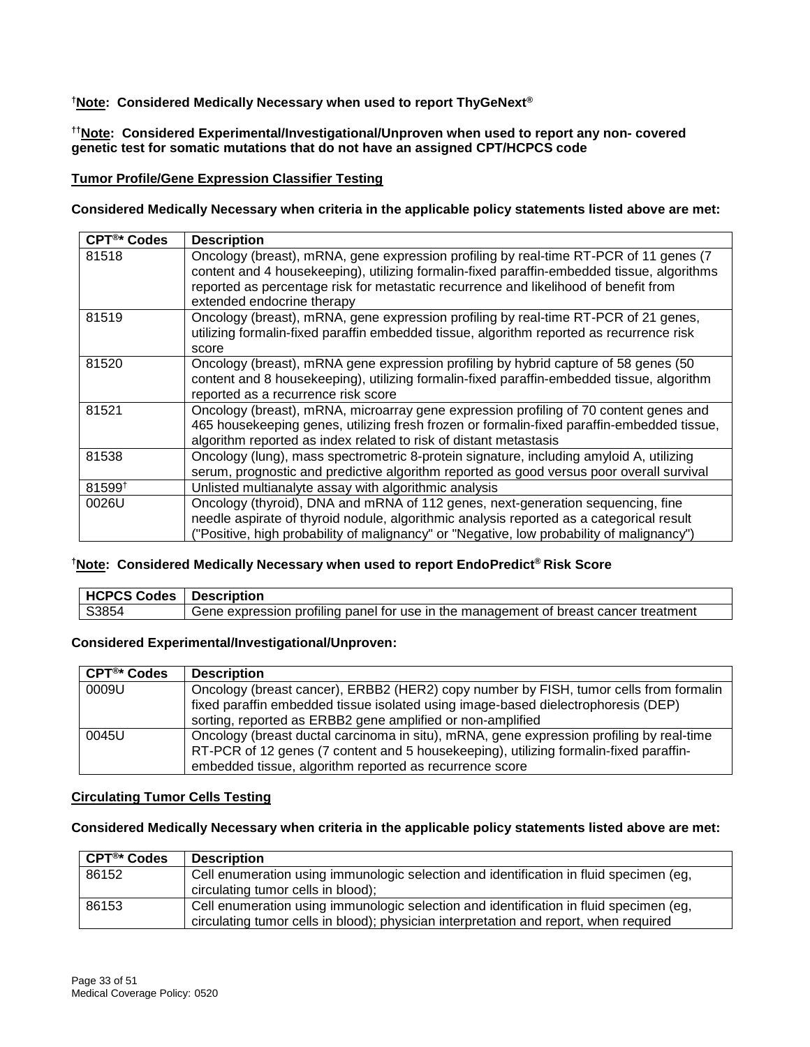#### **†Note: Considered Medically Necessary when used to report ThyGeNext®**

#### **††Note: Considered Experimental/Investigational/Unproven when used to report any non- covered genetic test for somatic mutations that do not have an assigned CPT/HCPCS code**

#### **Tumor Profile/Gene Expression Classifier Testing**

**Considered Medically Necessary when criteria in the applicable policy statements listed above are met:**

| CPT <sup>®*</sup> Codes | <b>Description</b>                                                                                                                                                                                                                                                                                         |
|-------------------------|------------------------------------------------------------------------------------------------------------------------------------------------------------------------------------------------------------------------------------------------------------------------------------------------------------|
| 81518                   | Oncology (breast), mRNA, gene expression profiling by real-time RT-PCR of 11 genes (7)<br>content and 4 housekeeping), utilizing formalin-fixed paraffin-embedded tissue, algorithms<br>reported as percentage risk for metastatic recurrence and likelihood of benefit from<br>extended endocrine therapy |
| 81519                   | Oncology (breast), mRNA, gene expression profiling by real-time RT-PCR of 21 genes,<br>utilizing formalin-fixed paraffin embedded tissue, algorithm reported as recurrence risk<br>score                                                                                                                   |
| 81520                   | Oncology (breast), mRNA gene expression profiling by hybrid capture of 58 genes (50<br>content and 8 housekeeping), utilizing formalin-fixed paraffin-embedded tissue, algorithm<br>reported as a recurrence risk score                                                                                    |
| 81521                   | Oncology (breast), mRNA, microarray gene expression profiling of 70 content genes and<br>465 housekeeping genes, utilizing fresh frozen or formalin-fixed paraffin-embedded tissue,<br>algorithm reported as index related to risk of distant metastasis                                                   |
| 81538                   | Oncology (lung), mass spectrometric 8-protein signature, including amyloid A, utilizing<br>serum, prognostic and predictive algorithm reported as good versus poor overall survival                                                                                                                        |
| 81599 <sup>+</sup>      | Unlisted multianalyte assay with algorithmic analysis                                                                                                                                                                                                                                                      |
| 0026U                   | Oncology (thyroid), DNA and mRNA of 112 genes, next-generation sequencing, fine<br>needle aspirate of thyroid nodule, algorithmic analysis reported as a categorical result<br>("Positive, high probability of malignancy" or "Negative, low probability of malignancy")                                   |

#### **†Note: Considered Medically Necessary when used to report EndoPredict® Risk Score**

| <b>HCPCS Codes   Description</b> |                                                                                      |
|----------------------------------|--------------------------------------------------------------------------------------|
| S3854                            | Gene expression profiling panel for use in the management of breast cancer treatment |

#### **Considered Experimental/Investigational/Unproven:**

| CPT <sup>®*</sup> Codes | <b>Description</b>                                                                                                                                                                                                                           |
|-------------------------|----------------------------------------------------------------------------------------------------------------------------------------------------------------------------------------------------------------------------------------------|
| 0009U                   | Oncology (breast cancer), ERBB2 (HER2) copy number by FISH, tumor cells from formalin<br>fixed paraffin embedded tissue isolated using image-based dielectrophoresis (DEP)<br>sorting, reported as ERBB2 gene amplified or non-amplified     |
| 0045U                   | Oncology (breast ductal carcinoma in situ), mRNA, gene expression profiling by real-time<br>RT-PCR of 12 genes (7 content and 5 housekeeping), utilizing formalin-fixed paraffin-<br>embedded tissue, algorithm reported as recurrence score |

#### **Circulating Tumor Cells Testing**

#### **Considered Medically Necessary when criteria in the applicable policy statements listed above are met:**

| <b>CPT<sup>®*</sup></b> Codes | <b>Description</b>                                                                                                                                                              |
|-------------------------------|---------------------------------------------------------------------------------------------------------------------------------------------------------------------------------|
| 86152                         | Cell enumeration using immunologic selection and identification in fluid specimen (eg.<br>circulating tumor cells in blood);                                                    |
| 86153                         | Cell enumeration using immunologic selection and identification in fluid specimen (eg,<br>circulating tumor cells in blood); physician interpretation and report, when required |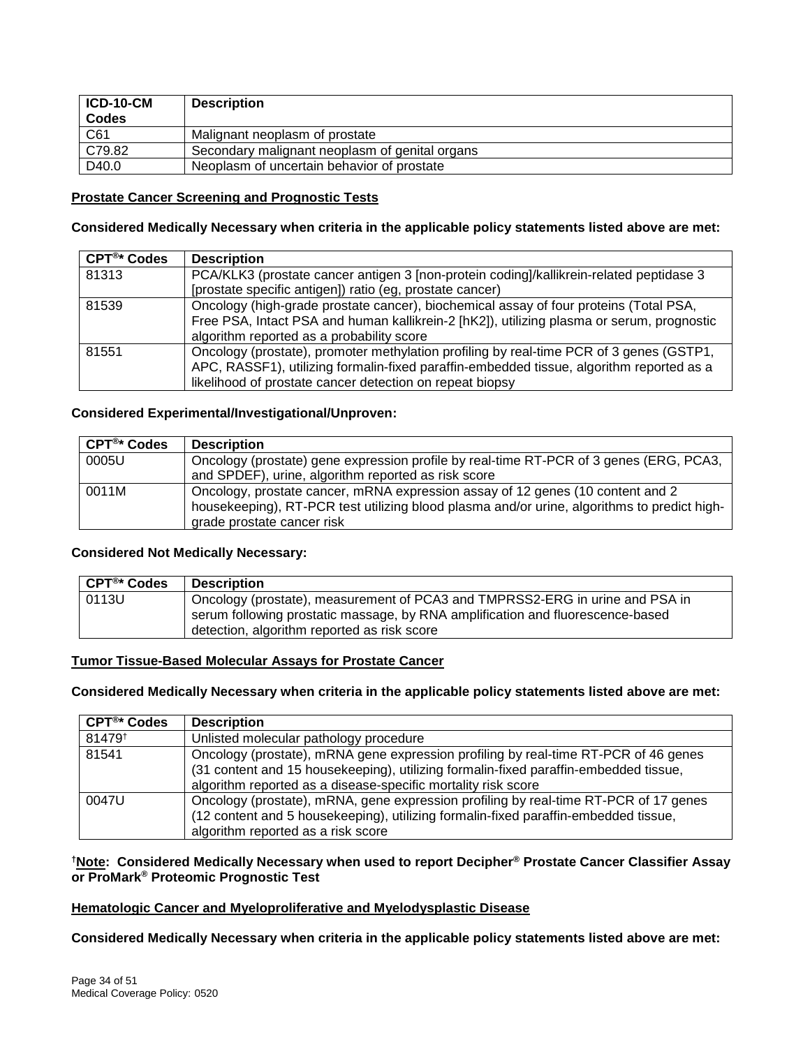| ICD-10-CM<br><b>Codes</b> | <b>Description</b>                             |
|---------------------------|------------------------------------------------|
| C61                       | Malignant neoplasm of prostate                 |
| C79.82                    | Secondary malignant neoplasm of genital organs |
| D40.0                     | Neoplasm of uncertain behavior of prostate     |

#### **Prostate Cancer Screening and Prognostic Tests**

#### **Considered Medically Necessary when criteria in the applicable policy statements listed above are met:**

| CPT <sup>®*</sup> Codes | <b>Description</b>                                                                        |
|-------------------------|-------------------------------------------------------------------------------------------|
| 81313                   | PCA/KLK3 (prostate cancer antigen 3 [non-protein coding]/kallikrein-related peptidase 3   |
|                         | [prostate specific antigen]) ratio (eg, prostate cancer)                                  |
| 81539                   | Oncology (high-grade prostate cancer), biochemical assay of four proteins (Total PSA,     |
|                         | Free PSA, Intact PSA and human kallikrein-2 [hK2]), utilizing plasma or serum, prognostic |
|                         | algorithm reported as a probability score                                                 |
| 81551                   | Oncology (prostate), promoter methylation profiling by real-time PCR of 3 genes (GSTP1,   |
|                         | APC, RASSF1), utilizing formalin-fixed paraffin-embedded tissue, algorithm reported as a  |
|                         | likelihood of prostate cancer detection on repeat biopsy                                  |

#### **Considered Experimental/Investigational/Unproven:**

| CPT <sup>®*</sup> Codes | <b>Description</b>                                                                                                                                                            |
|-------------------------|-------------------------------------------------------------------------------------------------------------------------------------------------------------------------------|
| 0005U                   | Oncology (prostate) gene expression profile by real-time RT-PCR of 3 genes (ERG, PCA3,                                                                                        |
|                         | and SPDEF), urine, algorithm reported as risk score                                                                                                                           |
| 0011M                   | Oncology, prostate cancer, mRNA expression assay of 12 genes (10 content and 2<br>housekeeping), RT-PCR test utilizing blood plasma and/or urine, algorithms to predict high- |
|                         | grade prostate cancer risk                                                                                                                                                    |

#### **Considered Not Medically Necessary:**

| CPT®* Codes | <b>Description</b>                                                             |
|-------------|--------------------------------------------------------------------------------|
| 0113U       | Oncology (prostate), measurement of PCA3 and TMPRSS2-ERG in urine and PSA in   |
|             | serum following prostatic massage, by RNA amplification and fluorescence-based |
|             | detection, algorithm reported as risk score                                    |

#### **Tumor Tissue-Based Molecular Assays for Prostate Cancer**

#### **Considered Medically Necessary when criteria in the applicable policy statements listed above are met:**

| $CFT®* Codes$      | <b>Description</b>                                                                   |
|--------------------|--------------------------------------------------------------------------------------|
| 81479 <sup>t</sup> | Unlisted molecular pathology procedure                                               |
| 81541              | Oncology (prostate), mRNA gene expression profiling by real-time RT-PCR of 46 genes  |
|                    | (31 content and 15 housekeeping), utilizing formalin-fixed paraffin-embedded tissue, |
|                    | algorithm reported as a disease-specific mortality risk score                        |
| 0047U              | Oncology (prostate), mRNA, gene expression profiling by real-time RT-PCR of 17 genes |
|                    | (12 content and 5 housekeeping), utilizing formalin-fixed paraffin-embedded tissue,  |
|                    | algorithm reported as a risk score                                                   |

#### **†Note: Considered Medically Necessary when used to report Decipher® Prostate Cancer Classifier Assay or ProMark® Proteomic Prognostic Test**

#### **Hematologic Cancer and Myeloproliferative and Myelodysplastic Disease**

**Considered Medically Necessary when criteria in the applicable policy statements listed above are met:**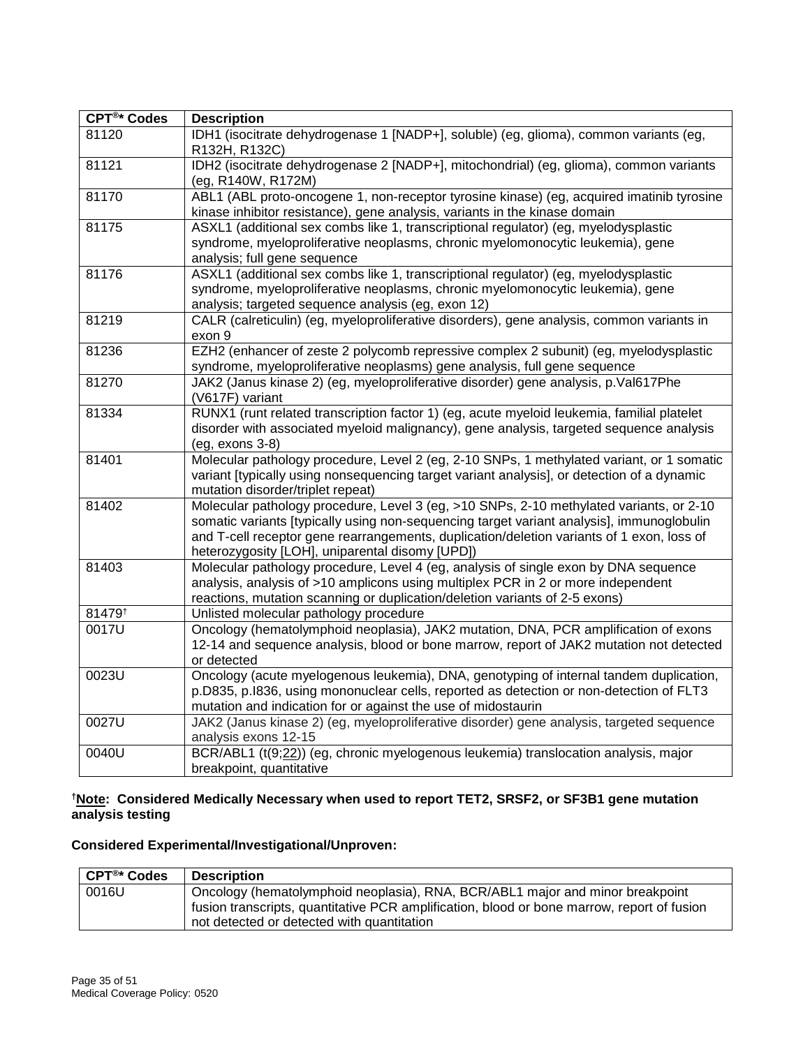| <b>CPT®* Codes</b> | <b>Description</b>                                                                                                                                                                                                                                                                                                                   |
|--------------------|--------------------------------------------------------------------------------------------------------------------------------------------------------------------------------------------------------------------------------------------------------------------------------------------------------------------------------------|
| 81120              | IDH1 (isocitrate dehydrogenase 1 [NADP+], soluble) (eg, glioma), common variants (eg,<br>R132H, R132C)                                                                                                                                                                                                                               |
| 81121              | IDH2 (isocitrate dehydrogenase 2 [NADP+], mitochondrial) (eg, glioma), common variants<br>(eg, R140W, R172M)                                                                                                                                                                                                                         |
| 81170              | ABL1 (ABL proto-oncogene 1, non-receptor tyrosine kinase) (eg, acquired imatinib tyrosine<br>kinase inhibitor resistance), gene analysis, variants in the kinase domain                                                                                                                                                              |
| 81175              | ASXL1 (additional sex combs like 1, transcriptional regulator) (eg, myelodysplastic<br>syndrome, myeloproliferative neoplasms, chronic myelomonocytic leukemia), gene<br>analysis; full gene sequence                                                                                                                                |
| 81176              | ASXL1 (additional sex combs like 1, transcriptional regulator) (eg, myelodysplastic<br>syndrome, myeloproliferative neoplasms, chronic myelomonocytic leukemia), gene<br>analysis; targeted sequence analysis (eg, exon 12)                                                                                                          |
| 81219              | CALR (calreticulin) (eg, myeloproliferative disorders), gene analysis, common variants in<br>exon 9                                                                                                                                                                                                                                  |
| 81236              | EZH2 (enhancer of zeste 2 polycomb repressive complex 2 subunit) (eg, myelodysplastic<br>syndrome, myeloproliferative neoplasms) gene analysis, full gene sequence                                                                                                                                                                   |
| 81270              | JAK2 (Janus kinase 2) (eg, myeloproliferative disorder) gene analysis, p.Val617Phe<br>(V617F) variant                                                                                                                                                                                                                                |
| 81334              | RUNX1 (runt related transcription factor 1) (eg, acute myeloid leukemia, familial platelet<br>disorder with associated myeloid malignancy), gene analysis, targeted sequence analysis<br>(eg, exons 3-8)                                                                                                                             |
| 81401              | Molecular pathology procedure, Level 2 (eg, 2-10 SNPs, 1 methylated variant, or 1 somatic<br>variant [typically using nonsequencing target variant analysis], or detection of a dynamic<br>mutation disorder/triplet repeat)                                                                                                         |
| 81402              | Molecular pathology procedure, Level 3 (eg, >10 SNPs, 2-10 methylated variants, or 2-10<br>somatic variants [typically using non-sequencing target variant analysis], immunoglobulin<br>and T-cell receptor gene rearrangements, duplication/deletion variants of 1 exon, loss of<br>heterozygosity [LOH], uniparental disomy [UPD]) |
| 81403              | Molecular pathology procedure, Level 4 (eg, analysis of single exon by DNA sequence<br>analysis, analysis of >10 amplicons using multiplex PCR in 2 or more independent<br>reactions, mutation scanning or duplication/deletion variants of 2-5 exons)                                                                               |
| 81479 <sup>t</sup> | Unlisted molecular pathology procedure                                                                                                                                                                                                                                                                                               |
| 0017U              | Oncology (hematolymphoid neoplasia), JAK2 mutation, DNA, PCR amplification of exons<br>12-14 and sequence analysis, blood or bone marrow, report of JAK2 mutation not detected<br>or detected                                                                                                                                        |
| 0023U              | Oncology (acute myelogenous leukemia), DNA, genotyping of internal tandem duplication,<br>p.D835, p.I836, using mononuclear cells, reported as detection or non-detection of FLT3<br>mutation and indication for or against the use of midostaurin                                                                                   |
| 0027U              | JAK2 (Janus kinase 2) (eg, myeloproliferative disorder) gene analysis, targeted sequence<br>analysis exons 12-15                                                                                                                                                                                                                     |
| 0040U              | BCR/ABL1 (t(9;22)) (eg, chronic myelogenous leukemia) translocation analysis, major<br>breakpoint, quantitative                                                                                                                                                                                                                      |

#### **†Note: Considered Medically Necessary when used to report TET2, SRSF2, or SF3B1 gene mutation analysis testing**

# **Considered Experimental/Investigational/Unproven:**

| ∣ CPT®* Codes | <b>Description</b>                                                                         |
|---------------|--------------------------------------------------------------------------------------------|
| 0016U         | Oncology (hematolymphoid neoplasia), RNA, BCR/ABL1 major and minor breakpoint              |
|               | fusion transcripts, quantitative PCR amplification, blood or bone marrow, report of fusion |
|               | not detected or detected with quantitation                                                 |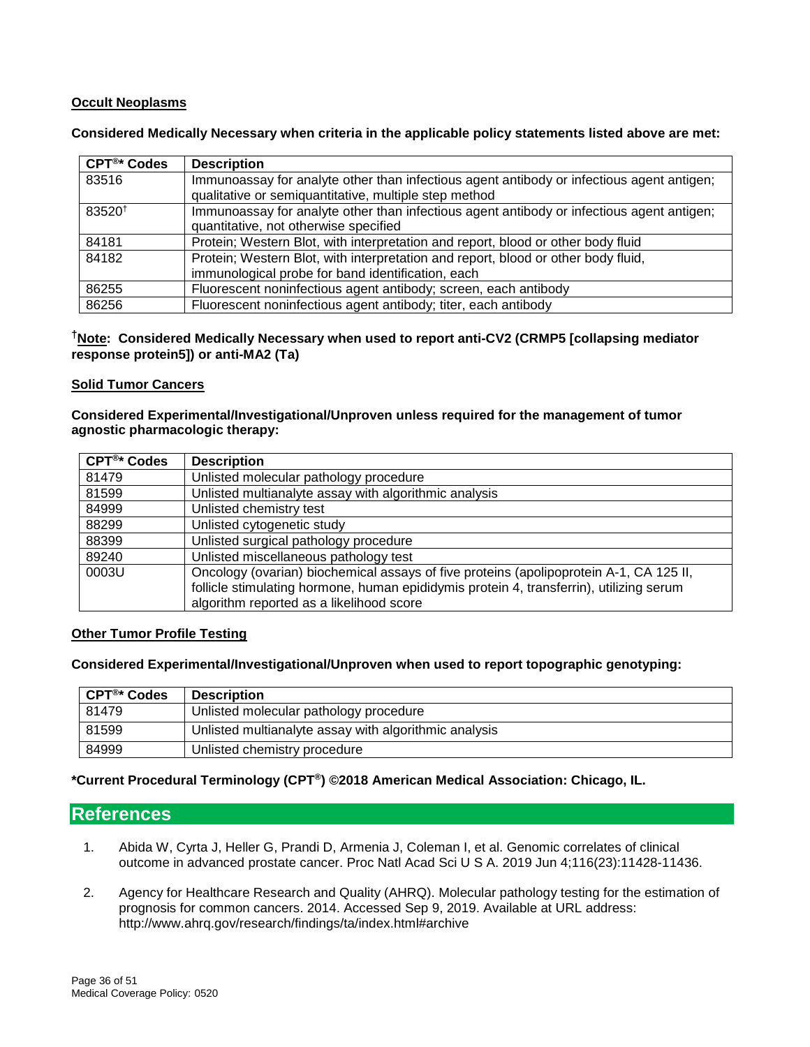#### **Occult Neoplasms**

**Considered Medically Necessary when criteria in the applicable policy statements listed above are met:**

| $CFT®$ Codes       | <b>Description</b>                                                                        |
|--------------------|-------------------------------------------------------------------------------------------|
| 83516              | Immunoassay for analyte other than infectious agent antibody or infectious agent antigen; |
|                    | qualitative or semiquantitative, multiple step method                                     |
| 83520 <sup>t</sup> | Immunoassay for analyte other than infectious agent antibody or infectious agent antigen; |
|                    | quantitative, not otherwise specified                                                     |
| 84181              | Protein; Western Blot, with interpretation and report, blood or other body fluid          |
| 84182              | Protein; Western Blot, with interpretation and report, blood or other body fluid,         |
|                    | immunological probe for band identification, each                                         |
| 86255              | Fluorescent noninfectious agent antibody; screen, each antibody                           |
| 86256              | Fluorescent noninfectious agent antibody; titer, each antibody                            |

#### **†Note: Considered Medically Necessary when used to report anti-CV2 (CRMP5 [collapsing mediator response protein5]) or anti-MA2 (Ta)**

#### **Solid Tumor Cancers**

**Considered Experimental/Investigational/Unproven unless required for the management of tumor agnostic pharmacologic therapy:** 

| CPT <sup>®*</sup> Codes | <b>Description</b>                                                                      |
|-------------------------|-----------------------------------------------------------------------------------------|
| 81479                   | Unlisted molecular pathology procedure                                                  |
| 81599                   | Unlisted multianalyte assay with algorithmic analysis                                   |
| 84999                   | Unlisted chemistry test                                                                 |
| 88299                   | Unlisted cytogenetic study                                                              |
| 88399                   | Unlisted surgical pathology procedure                                                   |
| 89240                   | Unlisted miscellaneous pathology test                                                   |
| 0003U                   | Oncology (ovarian) biochemical assays of five proteins (apolipoprotein A-1, CA 125 II,  |
|                         | follicle stimulating hormone, human epididymis protein 4, transferrin), utilizing serum |
|                         | algorithm reported as a likelihood score                                                |

#### **Other Tumor Profile Testing**

**Considered Experimental/Investigational/Unproven when used to report topographic genotyping:**

| CPT <sup>®</sup> * Codes | <b>Description</b>                                    |
|--------------------------|-------------------------------------------------------|
| 81479                    | Unlisted molecular pathology procedure                |
| 81599                    | Unlisted multianalyte assay with algorithmic analysis |
| 84999                    | Unlisted chemistry procedure                          |

#### **\*Current Procedural Terminology (CPT®) ©2018 American Medical Association: Chicago, IL.**

#### <span id="page-35-0"></span>**References**

- 1. Abida W, Cyrta J, Heller G, Prandi D, Armenia J, Coleman I, et al. Genomic correlates of clinical outcome in advanced prostate cancer. Proc Natl Acad Sci U S A. 2019 Jun 4;116(23):11428-11436.
- 2. Agency for Healthcare Research and Quality (AHRQ). Molecular pathology testing for the estimation of prognosis for common cancers. 2014. Accessed Sep 9, 2019. Available at URL address: http://www.ahrq.gov/research/findings/ta/index.html#archive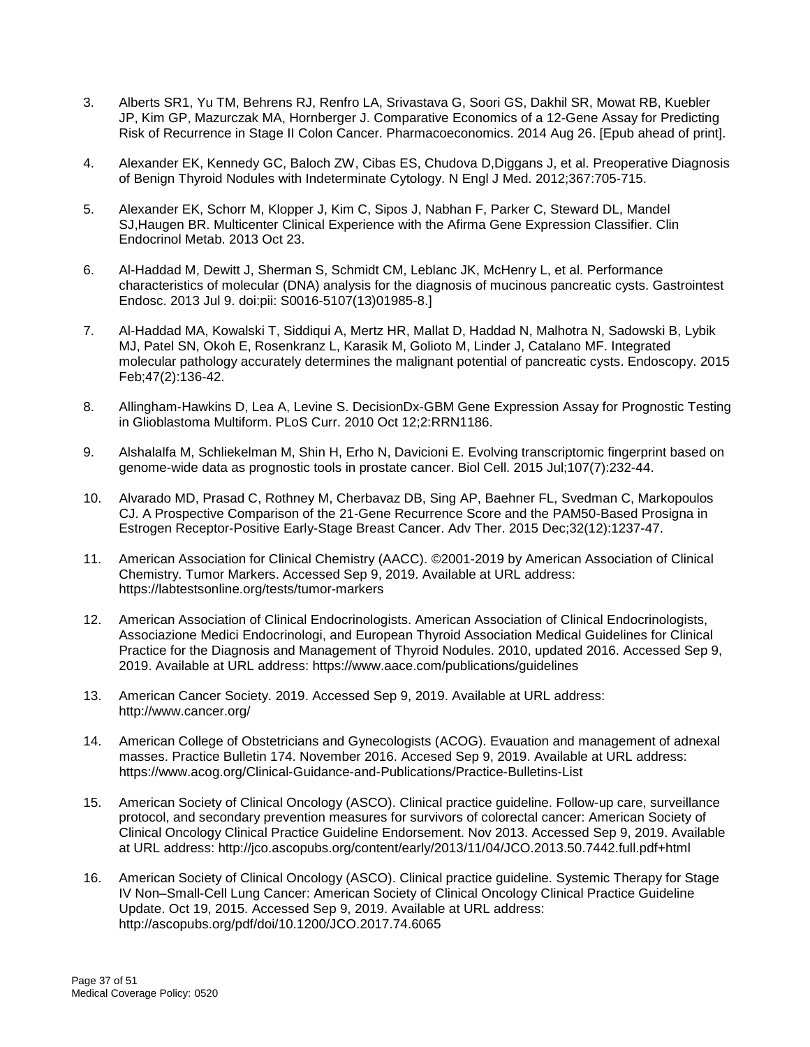- 3. Alberts SR1, Yu TM, Behrens RJ, Renfro LA, Srivastava G, Soori GS, Dakhil SR, Mowat RB, Kuebler JP, Kim GP, Mazurczak MA, Hornberger J. Comparative Economics of a 12-Gene Assay for Predicting Risk of Recurrence in Stage II Colon Cancer. Pharmacoeconomics. 2014 Aug 26. [Epub ahead of print].
- 4. Alexander EK, Kennedy GC, Baloch ZW, Cibas ES, Chudova D,Diggans J, et al. Preoperative Diagnosis of Benign Thyroid Nodules with Indeterminate Cytology. N Engl J Med. 2012;367:705-715.
- 5. Alexander EK, Schorr M, Klopper J, Kim C, Sipos J, Nabhan F, Parker C, Steward DL, Mandel SJ,Haugen BR. Multicenter Clinical Experience with the Afirma Gene Expression Classifier. Clin Endocrinol Metab. 2013 Oct 23.
- 6. Al-Haddad M, Dewitt J, Sherman S, Schmidt CM, Leblanc JK, McHenry L, et al. Performance characteristics of molecular (DNA) analysis for the diagnosis of mucinous pancreatic cysts. Gastrointest Endosc. 2013 Jul 9. doi:pii: S0016-5107(13)01985-8.]
- 7. Al-Haddad MA, Kowalski T, Siddiqui A, Mertz HR, Mallat D, Haddad N, Malhotra N, Sadowski B, Lybik MJ, Patel SN, Okoh E, Rosenkranz L, Karasik M, Golioto M, Linder J, Catalano MF. Integrated molecular pathology accurately determines the malignant potential of pancreatic cysts. Endoscopy. 2015 Feb;47(2):136-42.
- 8. Allingham-Hawkins D, Lea A, Levine S. DecisionDx-GBM Gene Expression Assay for Prognostic Testing in Glioblastoma Multiform. PLoS Curr. 2010 Oct 12;2:RRN1186.
- 9. Alshalalfa M, Schliekelman M, Shin H, Erho N, Davicioni E. Evolving transcriptomic fingerprint based on genome-wide data as prognostic tools in prostate cancer. Biol Cell. 2015 Jul;107(7):232-44.
- 10. Alvarado MD, Prasad C, Rothney M, Cherbavaz DB, Sing AP, Baehner FL, Svedman C, Markopoulos CJ. A Prospective Comparison of the 21-Gene Recurrence Score and the PAM50-Based Prosigna in Estrogen Receptor-Positive Early-Stage Breast Cancer. Adv Ther. 2015 Dec;32(12):1237-47.
- 11. American Association for Clinical Chemistry (AACC). ©2001-2019 by American Association of Clinical Chemistry. Tumor Markers. Accessed Sep 9, 2019. Available at URL address: https://labtestsonline.org/tests/tumor-markers
- 12. American Association of Clinical Endocrinologists. American Association of Clinical Endocrinologists, Associazione Medici Endocrinologi, and European Thyroid Association Medical Guidelines for Clinical Practice for the Diagnosis and Management of Thyroid Nodules. 2010, updated 2016. Accessed Sep 9, 2019. Available at URL address: https://www.aace.com/publications/guidelines
- 13. American Cancer Society. 2019. Accessed Sep 9, 2019. Available at URL address: http://www.cancer.org/
- 14. American College of Obstetricians and Gynecologists (ACOG). Evauation and management of adnexal masses. Practice Bulletin 174. November 2016. Accesed Sep 9, 2019. Available at URL address: https://www.acog.org/Clinical-Guidance-and-Publications/Practice-Bulletins-List
- 15. American Society of Clinical Oncology (ASCO). Clinical practice guideline. Follow-up care, surveillance protocol, and secondary prevention measures for survivors of colorectal cancer: American Society of Clinical Oncology Clinical Practice Guideline Endorsement. Nov 2013. Accessed Sep 9, 2019. Available at URL address: http://jco.ascopubs.org/content/early/2013/11/04/JCO.2013.50.7442.full.pdf+html
- 16. American Society of Clinical Oncology (ASCO). Clinical practice guideline. Systemic Therapy for Stage IV Non–Small-Cell Lung Cancer: American Society of Clinical Oncology Clinical Practice Guideline Update. Oct 19, 2015. Accessed Sep 9, 2019. Available at URL address: http://ascopubs.org/pdf/doi/10.1200/JCO.2017.74.6065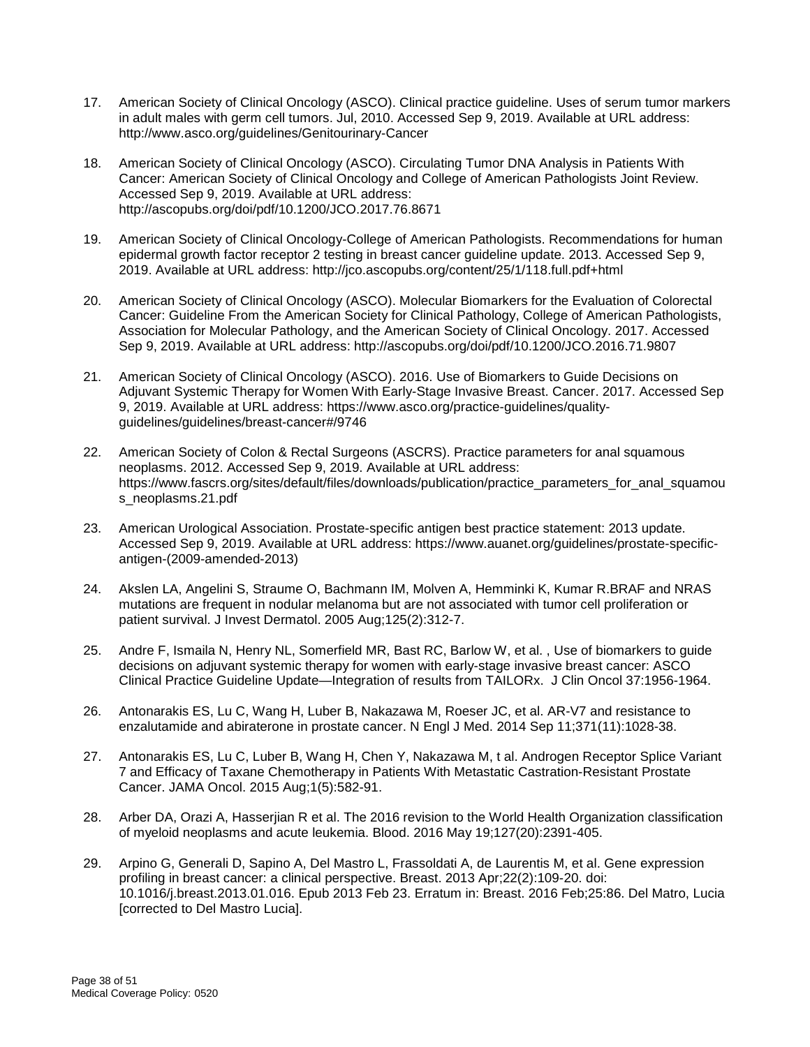- 17. American Society of Clinical Oncology (ASCO). Clinical practice guideline. Uses of serum tumor markers in adult males with germ cell tumors. Jul, 2010. Accessed Sep 9, 2019. Available at URL address: http://www.asco.org/guidelines/Genitourinary-Cancer
- 18. American Society of Clinical Oncology (ASCO). Circulating Tumor DNA Analysis in Patients With Cancer: American Society of Clinical Oncology and College of American Pathologists Joint Review. Accessed Sep 9, 2019. Available at URL address: http://ascopubs.org/doi/pdf/10.1200/JCO.2017.76.8671
- 19. American Society of Clinical Oncology-College of American Pathologists. Recommendations for human epidermal growth factor receptor 2 testing in breast cancer guideline update. 2013. Accessed Sep 9, 2019. Available at URL address: http://jco.ascopubs.org/content/25/1/118.full.pdf+html
- 20. American Society of Clinical Oncology (ASCO). Molecular Biomarkers for the Evaluation of Colorectal Cancer: Guideline From the American Society for Clinical Pathology, College of American Pathologists, Association for Molecular Pathology, and the American Society of Clinical Oncology. 2017. Accessed Sep 9, 2019. Available at URL address: http://ascopubs.org/doi/pdf/10.1200/JCO.2016.71.9807
- 21. American Society of Clinical Oncology (ASCO). 2016. Use of Biomarkers to Guide Decisions on Adjuvant Systemic Therapy for Women With Early-Stage Invasive Breast. Cancer. 2017. Accessed Sep 9, 2019. Available at URL address: https://www.asco.org/practice-guidelines/qualityguidelines/guidelines/breast-cancer#/9746
- 22. American Society of Colon & Rectal Surgeons (ASCRS). Practice parameters for anal squamous neoplasms. 2012. Accessed Sep 9, 2019. Available at URL address: https://www.fascrs.org/sites/default/files/downloads/publication/practice\_parameters\_for\_anal\_squamou s\_neoplasms.21.pdf
- 23. American Urological Association. Prostate-specific antigen best practice statement: 2013 update. Accessed Sep 9, 2019. Available at URL address: https://www.auanet.org/guidelines/prostate-specificantigen-(2009-amended-2013)
- 24. Akslen LA, Angelini S, Straume O, Bachmann IM, Molven A, Hemminki K, Kumar R.BRAF and NRAS mutations are frequent in nodular melanoma but are not associated with tumor cell proliferation or patient survival. J Invest Dermatol. 2005 Aug;125(2):312-7.
- 25. Andre F, Ismaila N, Henry NL, Somerfield MR, Bast RC, Barlow W, et al. , Use of biomarkers to guide decisions on adjuvant systemic therapy for women with early-stage invasive breast cancer: ASCO Clinical Practice Guideline Update—Integration of results from TAILORx. J Clin Oncol 37:1956-1964.
- 26. Antonarakis ES, Lu C, Wang H, Luber B, Nakazawa M, Roeser JC, et al. AR-V7 and resistance to enzalutamide and abiraterone in prostate cancer. N Engl J Med. 2014 Sep 11;371(11):1028-38.
- 27. Antonarakis ES, Lu C, Luber B, Wang H, Chen Y, Nakazawa M, t al. Androgen Receptor Splice Variant 7 and Efficacy of Taxane Chemotherapy in Patients With Metastatic Castration-Resistant Prostate Cancer. JAMA Oncol. 2015 Aug;1(5):582-91.
- 28. Arber DA, Orazi A, Hasserjian R et al. The 2016 revision to the World Health Organization classification of myeloid neoplasms and acute leukemia. Blood. 2016 May 19;127(20):2391-405.
- 29. Arpino G, Generali D, Sapino A, Del Mastro L, Frassoldati A, de Laurentis M, et al. Gene expression profiling in breast cancer: a clinical perspective. Breast. 2013 Apr;22(2):109-20. doi: 10.1016/j.breast.2013.01.016. Epub 2013 Feb 23. Erratum in: Breast. 2016 Feb;25:86. Del Matro, Lucia [corrected to Del Mastro Lucia].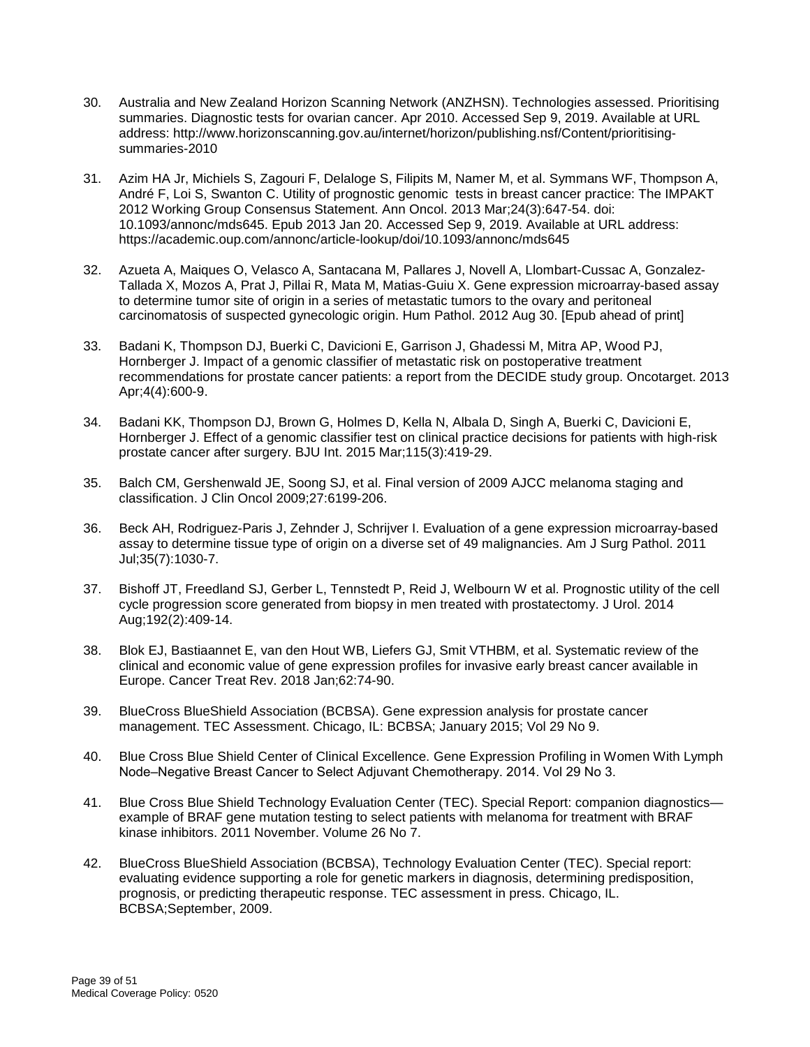- 30. Australia and New Zealand Horizon Scanning Network (ANZHSN). Technologies assessed. Prioritising summaries. Diagnostic tests for ovarian cancer. Apr 2010. Accessed Sep 9, 2019. Available at URL address: http://www.horizonscanning.gov.au/internet/horizon/publishing.nsf/Content/prioritisingsummaries-2010
- 31. Azim HA Jr, Michiels S, Zagouri F, Delaloge S, Filipits M, Namer M, et al. Symmans WF, Thompson A, André F, Loi S, Swanton C. Utility of prognostic genomic tests in breast cancer practice: The IMPAKT 2012 Working Group Consensus Statement. Ann Oncol. 2013 Mar;24(3):647-54. doi: 10.1093/annonc/mds645. Epub 2013 Jan 20. Accessed Sep 9, 2019. Available at URL address: https://academic.oup.com/annonc/article-lookup/doi/10.1093/annonc/mds645
- 32. Azueta A, Maiques O, Velasco A, Santacana M, Pallares J, Novell A, Llombart-Cussac A, Gonzalez-Tallada X, Mozos A, Prat J, Pillai R, Mata M, Matias-Guiu X. Gene expression microarray-based assay to determine tumor site of origin in a series of metastatic tumors to the ovary and peritoneal carcinomatosis of suspected gynecologic origin. Hum Pathol. 2012 Aug 30. [Epub ahead of print]
- 33. Badani K, Thompson DJ, Buerki C, Davicioni E, Garrison J, Ghadessi M, Mitra AP, Wood PJ, Hornberger J. Impact of a genomic classifier of metastatic risk on postoperative treatment recommendations for prostate cancer patients: a report from the DECIDE study group. Oncotarget. 2013 Apr;4(4):600-9.
- 34. Badani KK, Thompson DJ, Brown G, Holmes D, Kella N, Albala D, Singh A, Buerki C, Davicioni E, Hornberger J. Effect of a genomic classifier test on clinical practice decisions for patients with high-risk prostate cancer after surgery. BJU Int. 2015 Mar;115(3):419-29.
- 35. Balch CM, Gershenwald JE, Soong SJ, et al. Final version of 2009 AJCC melanoma staging and classification. J Clin Oncol 2009;27:6199-206.
- 36. Beck AH, Rodriguez-Paris J, Zehnder J, Schrijver I. Evaluation of a gene expression microarray-based assay to determine tissue type of origin on a diverse set of 49 malignancies. Am J Surg Pathol. 2011 Jul;35(7):1030-7.
- 37. Bishoff JT, Freedland SJ, Gerber L, Tennstedt P, Reid J, Welbourn W et al. Prognostic utility of the cell cycle progression score generated from biopsy in men treated with prostatectomy. J Urol. 2014 Aug;192(2):409-14.
- 38. Blok EJ, Bastiaannet E, van den Hout WB, Liefers GJ, Smit VTHBM, et al. Systematic review of the clinical and economic value of gene expression profiles for invasive early breast cancer available in Europe. Cancer Treat Rev. 2018 Jan;62:74-90.
- 39. BlueCross BlueShield Association (BCBSA). Gene expression analysis for prostate cancer management. TEC Assessment. Chicago, IL: BCBSA; January 2015; Vol 29 No 9.
- 40. Blue Cross Blue Shield Center of Clinical Excellence. Gene Expression Profiling in Women With Lymph Node‒Negative Breast Cancer to Select Adjuvant Chemotherapy. 2014. Vol 29 No 3.
- 41. Blue Cross Blue Shield Technology Evaluation Center (TEC). Special Report: companion diagnostics example of BRAF gene mutation testing to select patients with melanoma for treatment with BRAF kinase inhibitors. 2011 November. Volume 26 No 7.
- 42. BlueCross BlueShield Association (BCBSA), Technology Evaluation Center (TEC). Special report: evaluating evidence supporting a role for genetic markers in diagnosis, determining predisposition, prognosis, or predicting therapeutic response. TEC assessment in press. Chicago, IL. BCBSA;September, 2009.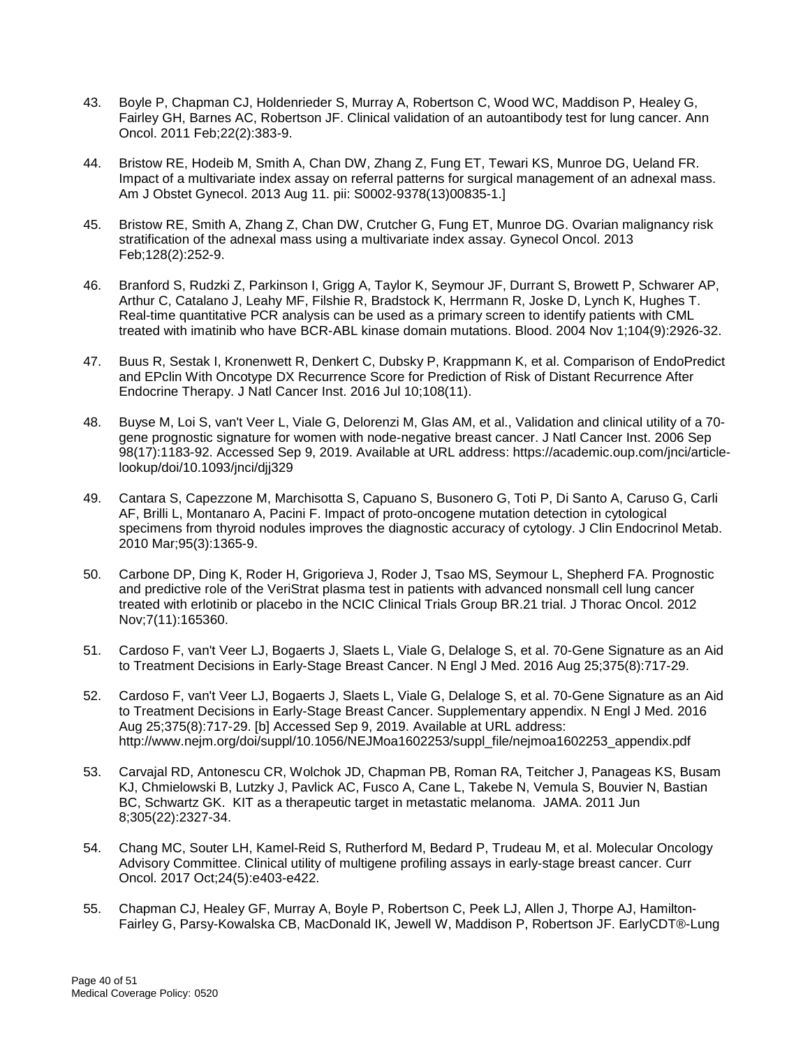- 43. Boyle P, Chapman CJ, Holdenrieder S, Murray A, Robertson C, Wood WC, Maddison P, Healey G, Fairley GH, Barnes AC, Robertson JF. Clinical validation of an autoantibody test for lung cancer. Ann Oncol. 2011 Feb;22(2):383-9.
- 44. Bristow RE, Hodeib M, Smith A, Chan DW, Zhang Z, Fung ET, Tewari KS, Munroe DG, Ueland FR. Impact of a multivariate index assay on referral patterns for surgical management of an adnexal mass. Am J Obstet Gynecol. 2013 Aug 11. pii: S0002-9378(13)00835-1.]
- 45. Bristow RE, Smith A, Zhang Z, Chan DW, Crutcher G, Fung ET, Munroe DG. Ovarian malignancy risk stratification of the adnexal mass using a multivariate index assay. Gynecol Oncol. 2013 Feb;128(2):252-9.
- 46. Branford S, Rudzki Z, Parkinson I, Grigg A, Taylor K, Seymour JF, Durrant S, Browett P, Schwarer AP, Arthur C, Catalano J, Leahy MF, Filshie R, Bradstock K, Herrmann R, Joske D, Lynch K, Hughes T. Real-time quantitative PCR analysis can be used as a primary screen to identify patients with CML treated with imatinib who have BCR-ABL kinase domain mutations. Blood. 2004 Nov 1;104(9):2926-32.
- 47. Buus R, Sestak I, Kronenwett R, Denkert C, Dubsky P, Krappmann K, et al. Comparison of EndoPredict and EPclin With Oncotype DX Recurrence Score for Prediction of Risk of Distant Recurrence After Endocrine Therapy. J Natl Cancer Inst. 2016 Jul 10;108(11).
- 48. Buyse M, Loi S, van't Veer L, Viale G, Delorenzi M, Glas AM, et al., Validation and clinical utility of a 70 gene prognostic signature for women with node-negative breast cancer. J Natl Cancer Inst. 2006 Sep 98(17):1183-92. Accessed Sep 9, 2019. Available at URL address: https://academic.oup.com/jnci/articlelookup/doi/10.1093/jnci/djj329
- 49. Cantara S, Capezzone M, Marchisotta S, Capuano S, Busonero G, Toti P, Di Santo A, Caruso G, Carli AF, Brilli L, Montanaro A, Pacini F. Impact of proto-oncogene mutation detection in cytological specimens from thyroid nodules improves the diagnostic accuracy of cytology. J Clin Endocrinol Metab. 2010 Mar;95(3):1365-9.
- 50. Carbone DP, Ding K, Roder H, Grigorieva J, Roder J, Tsao MS, Seymour L, Shepherd FA. Prognostic and predictive role of the VeriStrat plasma test in patients with advanced nonsmall cell lung cancer treated with erlotinib or placebo in the NCIC Clinical Trials Group BR.21 trial. J Thorac Oncol. 2012 Nov;7(11):165360.
- 51. Cardoso F, van't Veer LJ, Bogaerts J, Slaets L, Viale G, Delaloge S, et al. 70-Gene Signature as an Aid to Treatment Decisions in Early-Stage Breast Cancer. N Engl J Med. 2016 Aug 25;375(8):717-29.
- 52. Cardoso F, van't Veer LJ, Bogaerts J, Slaets L, Viale G, Delaloge S, et al. 70-Gene Signature as an Aid to Treatment Decisions in Early-Stage Breast Cancer. Supplementary appendix. N Engl J Med. 2016 Aug 25;375(8):717-29. [b] Accessed Sep 9, 2019. Available at URL address: http://www.nejm.org/doi/suppl/10.1056/NEJMoa1602253/suppl\_file/nejmoa1602253\_appendix.pdf
- 53. Carvajal RD, Antonescu CR, Wolchok JD, Chapman PB, Roman RA, Teitcher J, Panageas KS, Busam KJ, Chmielowski B, Lutzky J, Pavlick AC, Fusco A, Cane L, Takebe N, Vemula S, Bouvier N, Bastian BC, Schwartz GK. KIT as a therapeutic target in metastatic melanoma. JAMA. 2011 Jun 8;305(22):2327-34.
- 54. Chang MC, Souter LH, Kamel-Reid S, Rutherford M, Bedard P, Trudeau M, et al. Molecular Oncology Advisory Committee. Clinical utility of multigene profiling assays in early-stage breast cancer. Curr Oncol. 2017 Oct;24(5):e403-e422.
- 55. Chapman CJ, Healey GF, Murray A, Boyle P, Robertson C, Peek LJ, Allen J, Thorpe AJ, Hamilton-Fairley G, Parsy-Kowalska CB, MacDonald IK, Jewell W, Maddison P, Robertson JF. EarlyCDT®-Lung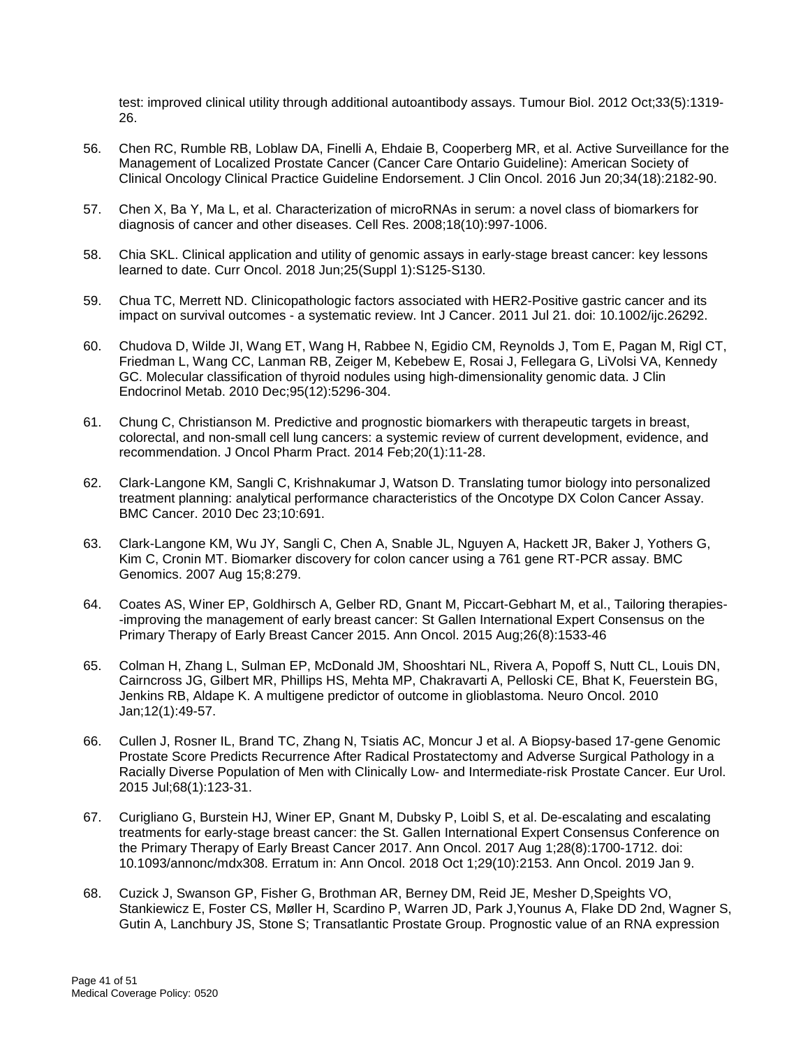test: improved clinical utility through additional autoantibody assays. Tumour Biol. 2012 Oct;33(5):1319- 26.

- 56. Chen RC, Rumble RB, Loblaw DA, Finelli A, Ehdaie B, Cooperberg MR, et al. Active Surveillance for the Management of Localized Prostate Cancer (Cancer Care Ontario Guideline): American Society of Clinical Oncology Clinical Practice Guideline Endorsement. J Clin Oncol. 2016 Jun 20;34(18):2182-90.
- 57. Chen X, Ba Y, Ma L, et al. Characterization of microRNAs in serum: a novel class of biomarkers for diagnosis of cancer and other diseases. Cell Res. 2008;18(10):997-1006.
- 58. Chia SKL. Clinical application and utility of genomic assays in early-stage breast cancer: key lessons learned to date. Curr Oncol. 2018 Jun;25(Suppl 1):S125-S130.
- 59. Chua TC, Merrett ND. Clinicopathologic factors associated with HER2-Positive gastric cancer and its impact on survival outcomes - a systematic review. Int J Cancer. 2011 Jul 21. doi: 10.1002/ijc.26292.
- 60. Chudova D, Wilde JI, Wang ET, Wang H, Rabbee N, Egidio CM, Reynolds J, Tom E, Pagan M, Rigl CT, Friedman L, Wang CC, Lanman RB, Zeiger M, Kebebew E, Rosai J, Fellegara G, LiVolsi VA, Kennedy GC. Molecular classification of thyroid nodules using high-dimensionality genomic data. J Clin Endocrinol Metab. 2010 Dec;95(12):5296-304.
- 61. Chung C, Christianson M. Predictive and prognostic biomarkers with therapeutic targets in breast, colorectal, and non-small cell lung cancers: a systemic review of current development, evidence, and recommendation. J Oncol Pharm Pract. 2014 Feb;20(1):11-28.
- 62. Clark-Langone KM, Sangli C, Krishnakumar J, Watson D. Translating tumor biology into personalized treatment planning: analytical performance characteristics of the Oncotype DX Colon Cancer Assay. BMC Cancer. 2010 Dec 23;10:691.
- 63. Clark-Langone KM, Wu JY, Sangli C, Chen A, Snable JL, Nguyen A, Hackett JR, Baker J, Yothers G, Kim C, Cronin MT. Biomarker discovery for colon cancer using a 761 gene RT-PCR assay. BMC Genomics. 2007 Aug 15;8:279.
- 64. Coates AS, Winer EP, Goldhirsch A, Gelber RD, Gnant M, Piccart-Gebhart M, et al., Tailoring therapies- -improving the management of early breast cancer: St Gallen International Expert Consensus on the Primary Therapy of Early Breast Cancer 2015. Ann Oncol. 2015 Aug;26(8):1533-46
- 65. Colman H, Zhang L, Sulman EP, McDonald JM, Shooshtari NL, Rivera A, Popoff S, Nutt CL, Louis DN, Cairncross JG, Gilbert MR, Phillips HS, Mehta MP, Chakravarti A, Pelloski CE, Bhat K, Feuerstein BG, Jenkins RB, Aldape K. A multigene predictor of outcome in glioblastoma. Neuro Oncol. 2010 Jan;12(1):49-57.
- 66. Cullen J, Rosner IL, Brand TC, Zhang N, Tsiatis AC, Moncur J et al. A Biopsy-based 17-gene Genomic Prostate Score Predicts Recurrence After Radical Prostatectomy and Adverse Surgical Pathology in a Racially Diverse Population of Men with Clinically Low- and Intermediate-risk Prostate Cancer. Eur Urol. 2015 Jul;68(1):123-31.
- 67. Curigliano G, Burstein HJ, Winer EP, Gnant M, Dubsky P, Loibl S, et al. De-escalating and escalating treatments for early-stage breast cancer: the St. Gallen International Expert Consensus Conference on the Primary Therapy of Early Breast Cancer 2017. Ann Oncol. 2017 Aug 1;28(8):1700-1712. doi: 10.1093/annonc/mdx308. Erratum in: Ann Oncol. 2018 Oct 1;29(10):2153. Ann Oncol. 2019 Jan 9.
- 68. Cuzick J, Swanson GP, Fisher G, Brothman AR, Berney DM, Reid JE, Mesher D,Speights VO, Stankiewicz E, Foster CS, Møller H, Scardino P, Warren JD, Park J,Younus A, Flake DD 2nd, Wagner S, Gutin A, Lanchbury JS, Stone S; Transatlantic Prostate Group. Prognostic value of an RNA expression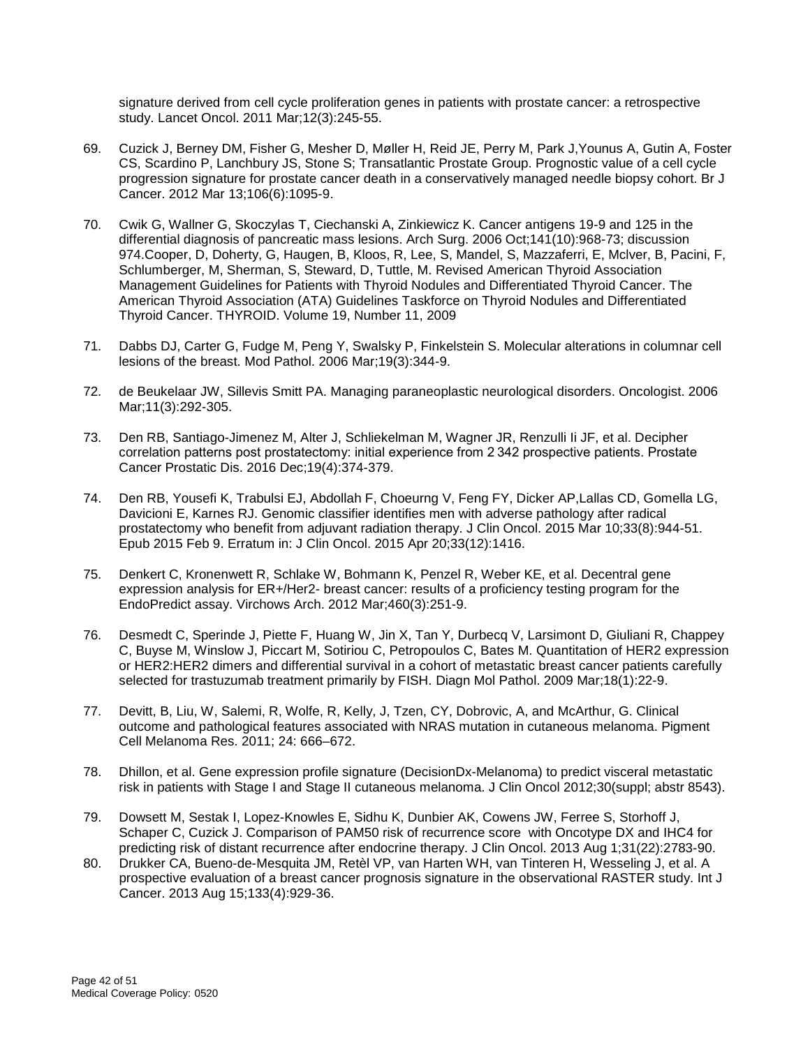signature derived from cell cycle proliferation genes in patients with prostate cancer: a retrospective study. Lancet Oncol. 2011 Mar;12(3):245-55.

- 69. Cuzick J, Berney DM, Fisher G, Mesher D, Møller H, Reid JE, Perry M, Park J,Younus A, Gutin A, Foster CS, Scardino P, Lanchbury JS, Stone S; Transatlantic Prostate Group. Prognostic value of a cell cycle progression signature for prostate cancer death in a conservatively managed needle biopsy cohort. Br J Cancer. 2012 Mar 13;106(6):1095-9.
- 70. Cwik G, Wallner G, Skoczylas T, Ciechanski A, Zinkiewicz K. Cancer antigens 19-9 and 125 in the differential diagnosis of pancreatic mass lesions. Arch Surg. 2006 Oct;141(10):968-73; discussion 974.Cooper, D, Doherty, G, Haugen, B, Kloos, R, Lee, S, Mandel, S, Mazzaferri, E, Mclver, B, Pacini, F, Schlumberger, M, Sherman, S, Steward, D, Tuttle, M. Revised American Thyroid Association Management Guidelines for Patients with Thyroid Nodules and Differentiated Thyroid Cancer. The American Thyroid Association (ATA) Guidelines Taskforce on Thyroid Nodules and Differentiated Thyroid Cancer. THYROID. Volume 19, Number 11, 2009
- 71. Dabbs DJ, Carter G, Fudge M, Peng Y, Swalsky P, Finkelstein S. Molecular alterations in columnar cell lesions of the breast. Mod Pathol. 2006 Mar;19(3):344-9.
- 72. de Beukelaar JW, Sillevis Smitt PA. Managing paraneoplastic neurological disorders. Oncologist. 2006 Mar;11(3):292-305.
- 73. Den RB, Santiago-Jimenez M, Alter J, Schliekelman M, Wagner JR, Renzulli Ii JF, et al. Decipher correlation patterns post prostatectomy: initial experience from 2 342 prospective patients. Prostate Cancer Prostatic Dis. 2016 Dec;19(4):374-379.
- 74. Den RB, Yousefi K, Trabulsi EJ, Abdollah F, Choeurng V, Feng FY, Dicker AP,Lallas CD, Gomella LG, Davicioni E, Karnes RJ. Genomic classifier identifies men with adverse pathology after radical prostatectomy who benefit from adjuvant radiation therapy. J Clin Oncol. 2015 Mar 10;33(8):944-51. Epub 2015 Feb 9. Erratum in: J Clin Oncol. 2015 Apr 20;33(12):1416.
- 75. Denkert C, Kronenwett R, Schlake W, Bohmann K, Penzel R, Weber KE, et al. Decentral gene expression analysis for ER+/Her2- breast cancer: results of a proficiency testing program for the EndoPredict assay. Virchows Arch. 2012 Mar;460(3):251-9.
- 76. Desmedt C, Sperinde J, Piette F, Huang W, Jin X, Tan Y, Durbecq V, Larsimont D, Giuliani R, Chappey C, Buyse M, Winslow J, Piccart M, Sotiriou C, Petropoulos C, Bates M. Quantitation of HER2 expression or HER2:HER2 dimers and differential survival in a cohort of metastatic breast cancer patients carefully selected for trastuzumab treatment primarily by FISH. Diagn Mol Pathol. 2009 Mar;18(1):22-9.
- 77. Devitt, B, Liu, W, Salemi, R, Wolfe, R, Kelly, J, Tzen, CY, Dobrovic, A, and McArthur, G. Clinical outcome and pathological features associated with NRAS mutation in cutaneous melanoma. Pigment Cell Melanoma Res. 2011; 24: 666–672.
- 78. Dhillon, et al. Gene expression profile signature (DecisionDx-Melanoma) to predict visceral metastatic risk in patients with Stage I and Stage II cutaneous melanoma. J Clin Oncol 2012;30(suppl; abstr 8543).
- 79. Dowsett M, Sestak I, Lopez-Knowles E, Sidhu K, Dunbier AK, Cowens JW, Ferree S, Storhoff J, Schaper C, Cuzick J. Comparison of PAM50 risk of recurrence score with Oncotype DX and IHC4 for predicting risk of distant recurrence after endocrine therapy. J Clin Oncol. 2013 Aug 1;31(22):2783-90.
- 80. Drukker CA, Bueno-de-Mesquita JM, Retèl VP, van Harten WH, van Tinteren H, Wesseling J, et al. A prospective evaluation of a breast cancer prognosis signature in the observational RASTER study. Int J Cancer. 2013 Aug 15;133(4):929-36.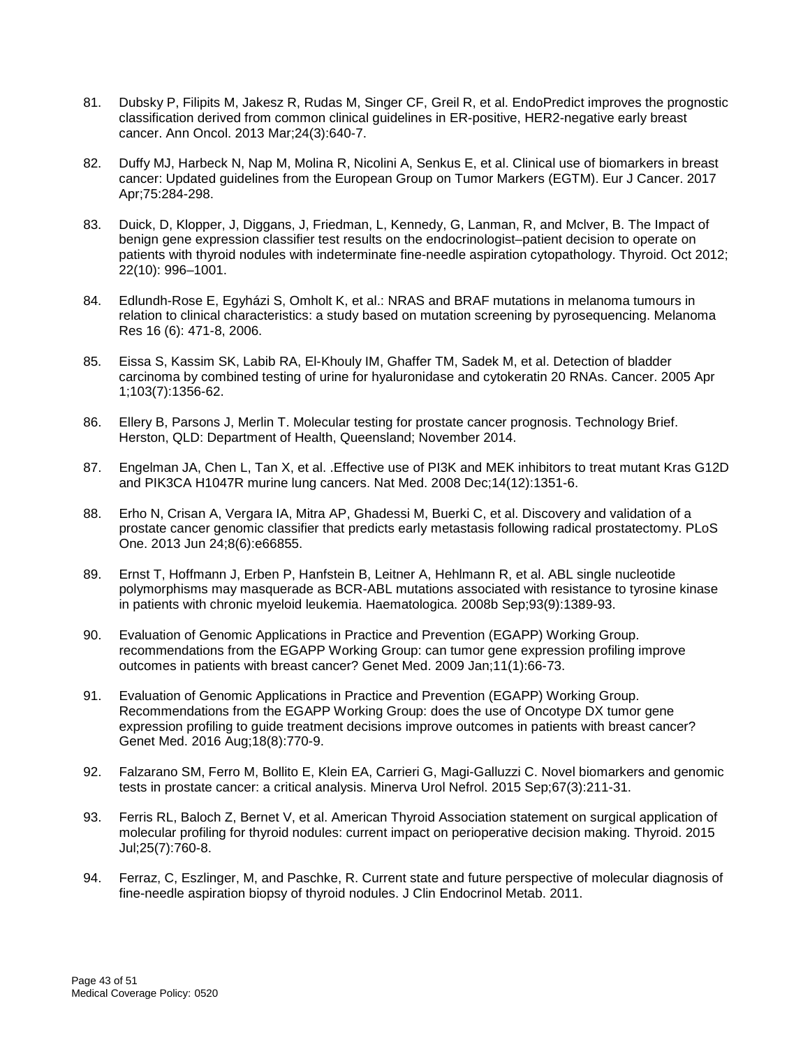- 81. Dubsky P, Filipits M, Jakesz R, Rudas M, Singer CF, Greil R, et al. EndoPredict improves the prognostic classification derived from common clinical guidelines in ER-positive, HER2-negative early breast cancer. Ann Oncol. 2013 Mar;24(3):640-7.
- 82. Duffy MJ, Harbeck N, Nap M, Molina R, Nicolini A, Senkus E, et al. Clinical use of biomarkers in breast cancer: Updated guidelines from the European Group on Tumor Markers (EGTM). Eur J Cancer. 2017 Apr;75:284-298.
- 83. Duick, D, Klopper, J, Diggans, J, Friedman, L, Kennedy, G, Lanman, R, and Mclver, B. The Impact of benign gene expression classifier test results on the endocrinologist–patient decision to operate on patients with thyroid nodules with indeterminate fine-needle aspiration cytopathology. Thyroid. Oct 2012; 22(10): 996–1001.
- 84. Edlundh-Rose E, Egyházi S, Omholt K, et al.: NRAS and BRAF mutations in melanoma tumours in relation to clinical characteristics: a study based on mutation screening by pyrosequencing. Melanoma Res 16 (6): 471-8, 2006.
- 85. Eissa S, Kassim SK, Labib RA, El-Khouly IM, Ghaffer TM, Sadek M, et al. Detection of bladder carcinoma by combined testing of urine for hyaluronidase and cytokeratin 20 RNAs. Cancer. 2005 Apr 1;103(7):1356-62.
- 86. Ellery B, Parsons J, Merlin T. Molecular testing for prostate cancer prognosis. Technology Brief. Herston, QLD: Department of Health, Queensland; November 2014.
- 87. Engelman JA, Chen L, Tan X, et al. . Effective use of PI3K and MEK inhibitors to treat mutant Kras G12D and PIK3CA H1047R murine lung cancers. Nat Med. 2008 Dec;14(12):1351-6.
- 88. Erho N, Crisan A, Vergara IA, Mitra AP, Ghadessi M, Buerki C, et al. Discovery and validation of a prostate cancer genomic classifier that predicts early metastasis following radical prostatectomy. PLoS One. 2013 Jun 24;8(6):e66855.
- 89. Ernst T, Hoffmann J, Erben P, Hanfstein B, Leitner A, Hehlmann R, et al. ABL single nucleotide polymorphisms may masquerade as BCR-ABL mutations associated with resistance to tyrosine kinase in patients with chronic myeloid leukemia. Haematologica. 2008b Sep;93(9):1389-93.
- 90. Evaluation of Genomic Applications in Practice and Prevention (EGAPP) Working Group. recommendations from the EGAPP Working Group: can tumor gene expression profiling improve outcomes in patients with breast cancer? Genet Med. 2009 Jan;11(1):66-73.
- 91. Evaluation of Genomic Applications in Practice and Prevention (EGAPP) Working Group. Recommendations from the EGAPP Working Group: does the use of Oncotype DX tumor gene expression profiling to guide treatment decisions improve outcomes in patients with breast cancer? Genet Med. 2016 Aug;18(8):770-9.
- 92. Falzarano SM, Ferro M, Bollito E, Klein EA, Carrieri G, Magi-Galluzzi C. Novel biomarkers and genomic tests in prostate cancer: a critical analysis. Minerva Urol Nefrol. 2015 Sep;67(3):211-31.
- 93. Ferris RL, Baloch Z, Bernet V, et al. American Thyroid Association statement on surgical application of molecular profiling for thyroid nodules: current impact on perioperative decision making. Thyroid. 2015 Jul;25(7):760-8.
- 94. Ferraz, C, Eszlinger, M, and Paschke, R. Current state and future perspective of molecular diagnosis of fine-needle aspiration biopsy of thyroid nodules. J Clin Endocrinol Metab. 2011.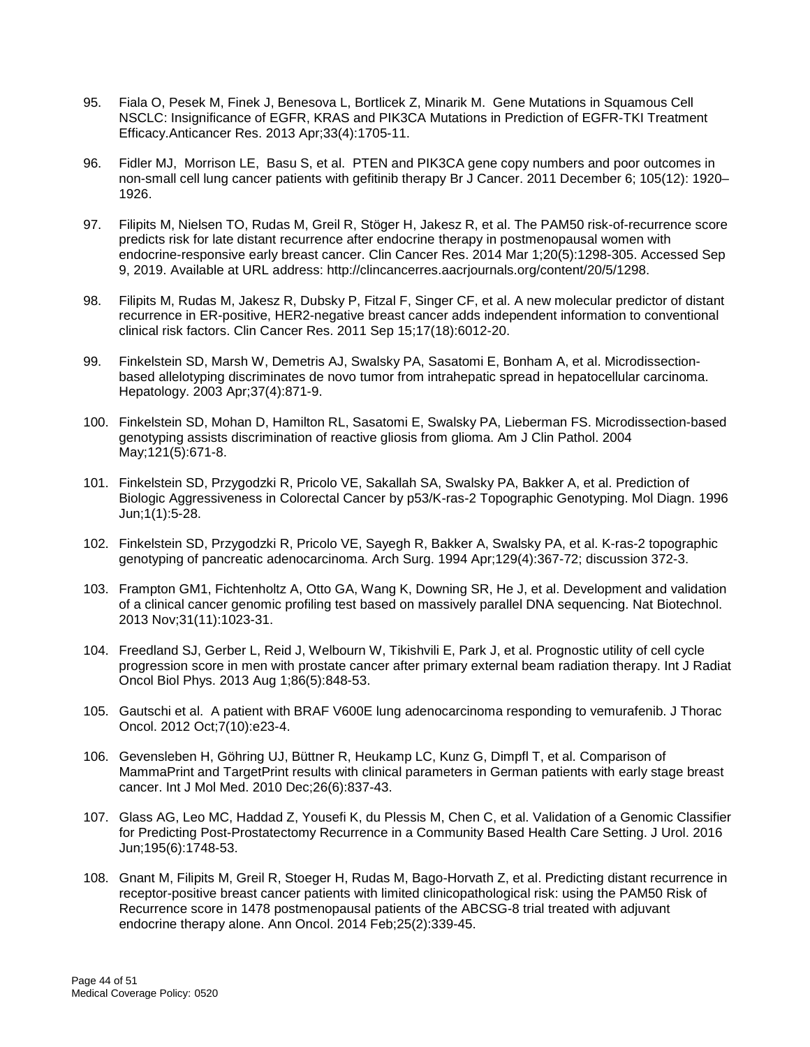- 95. Fiala O, Pesek M, Finek J, Benesova L, Bortlicek Z, Minarik M. Gene Mutations in Squamous Cell NSCLC: Insignificance of EGFR, KRAS and PIK3CA Mutations in Prediction of EGFR-TKI Treatment Efficacy.Anticancer Res. 2013 Apr;33(4):1705-11.
- 96. Fidler MJ, Morrison LE, Basu S, et al. PTEN and PIK3CA gene copy numbers and poor outcomes in non-small cell lung cancer patients with gefitinib therapy Br J Cancer. 2011 December 6; 105(12): 1920– 1926.
- 97. Filipits M, Nielsen TO, Rudas M, Greil R, Stöger H, Jakesz R, et al. The PAM50 risk-of-recurrence score predicts risk for late distant recurrence after endocrine therapy in postmenopausal women with endocrine-responsive early breast cancer. Clin Cancer Res. 2014 Mar 1;20(5):1298-305. Accessed Sep 9, 2019. Available at URL address: http://clincancerres.aacrjournals.org/content/20/5/1298.
- 98. Filipits M, Rudas M, Jakesz R, Dubsky P, Fitzal F, Singer CF, et al. A new molecular predictor of distant recurrence in ER-positive, HER2-negative breast cancer adds independent information to conventional clinical risk factors. Clin Cancer Res. 2011 Sep 15;17(18):6012-20.
- 99. Finkelstein SD, Marsh W, Demetris AJ, Swalsky PA, Sasatomi E, Bonham A, et al. Microdissectionbased allelotyping discriminates de novo tumor from intrahepatic spread in hepatocellular carcinoma. Hepatology. 2003 Apr;37(4):871-9.
- 100. Finkelstein SD, Mohan D, Hamilton RL, Sasatomi E, Swalsky PA, Lieberman FS. Microdissection-based genotyping assists discrimination of reactive gliosis from glioma. Am J Clin Pathol. 2004 May;121(5):671-8.
- 101. Finkelstein SD, Przygodzki R, Pricolo VE, Sakallah SA, Swalsky PA, Bakker A, et al. Prediction of Biologic Aggressiveness in Colorectal Cancer by p53/K-ras-2 Topographic Genotyping. Mol Diagn. 1996 Jun;1(1):5-28.
- 102. Finkelstein SD, Przygodzki R, Pricolo VE, Sayegh R, Bakker A, Swalsky PA, et al. K-ras-2 topographic genotyping of pancreatic adenocarcinoma. Arch Surg. 1994 Apr;129(4):367-72; discussion 372-3.
- 103. Frampton GM1, Fichtenholtz A, Otto GA, Wang K, Downing SR, He J, et al. Development and validation of a clinical cancer genomic profiling test based on massively parallel DNA sequencing. Nat Biotechnol. 2013 Nov;31(11):1023-31.
- 104. Freedland SJ, Gerber L, Reid J, Welbourn W, Tikishvili E, Park J, et al. Prognostic utility of cell cycle progression score in men with prostate cancer after primary external beam radiation therapy. Int J Radiat Oncol Biol Phys. 2013 Aug 1;86(5):848-53.
- 105. Gautschi et al. A patient with BRAF V600E lung adenocarcinoma responding to vemurafenib. J Thorac Oncol. 2012 Oct;7(10):e23-4.
- 106. Gevensleben H, Göhring UJ, Büttner R, Heukamp LC, Kunz G, Dimpfl T, et al. Comparison of MammaPrint and TargetPrint results with clinical parameters in German patients with early stage breast cancer. Int J Mol Med. 2010 Dec;26(6):837-43.
- 107. Glass AG, Leo MC, Haddad Z, Yousefi K, du Plessis M, Chen C, et al. Validation of a Genomic Classifier for Predicting Post-Prostatectomy Recurrence in a Community Based Health Care Setting. J Urol. 2016 Jun;195(6):1748-53.
- 108. Gnant M, Filipits M, Greil R, Stoeger H, Rudas M, Bago-Horvath Z, et al. Predicting distant recurrence in receptor-positive breast cancer patients with limited clinicopathological risk: using the PAM50 Risk of Recurrence score in 1478 postmenopausal patients of the ABCSG-8 trial treated with adjuvant endocrine therapy alone. Ann Oncol. 2014 Feb;25(2):339-45.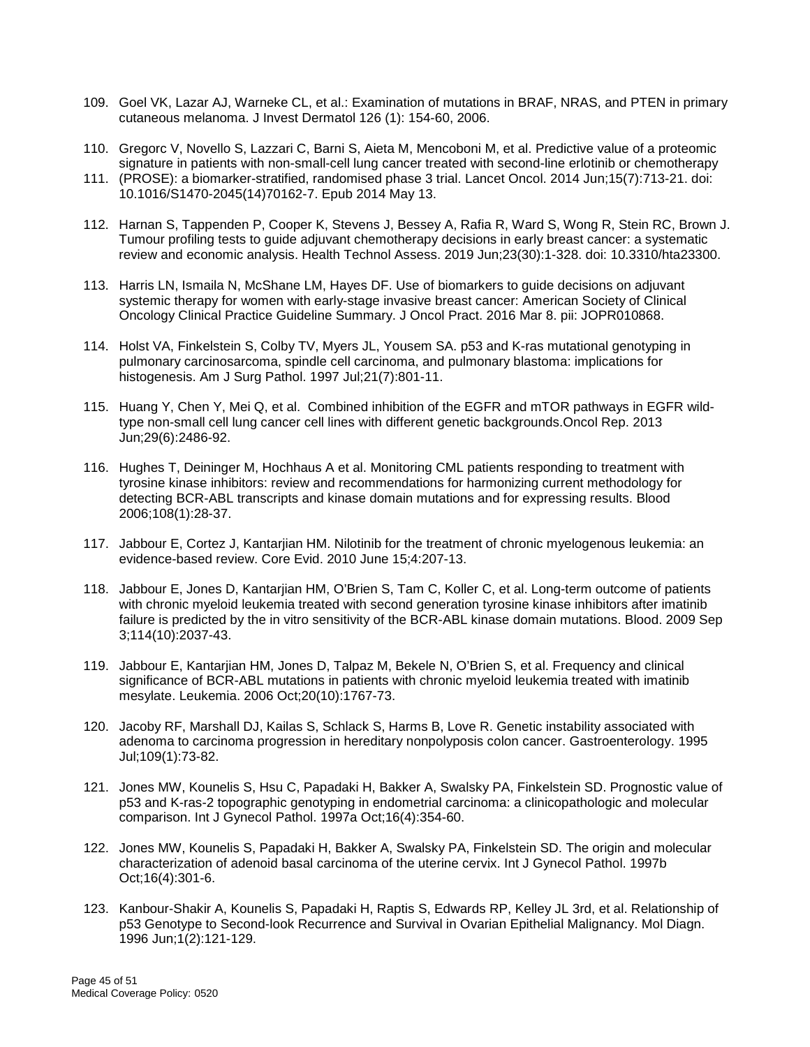- 109. Goel VK, Lazar AJ, Warneke CL, et al.: Examination of mutations in BRAF, NRAS, and PTEN in primary cutaneous melanoma. J Invest Dermatol 126 (1): 154-60, 2006.
- 110. Gregorc V, Novello S, Lazzari C, Barni S, Aieta M, Mencoboni M, et al. Predictive value of a proteomic signature in patients with non-small-cell lung cancer treated with second-line erlotinib or chemotherapy
- 111. (PROSE): a biomarker-stratified, randomised phase 3 trial. Lancet Oncol. 2014 Jun;15(7):713-21. doi: 10.1016/S1470-2045(14)70162-7. Epub 2014 May 13.
- 112. Harnan S, Tappenden P, Cooper K, Stevens J, Bessey A, Rafia R, Ward S, Wong R, Stein RC, Brown J. Tumour profiling tests to guide adjuvant chemotherapy decisions in early breast cancer: a systematic review and economic analysis. Health Technol Assess. 2019 Jun;23(30):1-328. doi: 10.3310/hta23300.
- 113. Harris LN, Ismaila N, McShane LM, Hayes DF. Use of biomarkers to guide decisions on adjuvant systemic therapy for women with early-stage invasive breast cancer: American Society of Clinical Oncology Clinical Practice Guideline Summary. J Oncol Pract. 2016 Mar 8. pii: JOPR010868.
- 114. Holst VA, Finkelstein S, Colby TV, Myers JL, Yousem SA. p53 and K-ras mutational genotyping in pulmonary carcinosarcoma, spindle cell carcinoma, and pulmonary blastoma: implications for histogenesis. Am J Surg Pathol. 1997 Jul;21(7):801-11.
- 115. Huang Y, Chen Y, Mei Q, et al. Combined inhibition of the EGFR and mTOR pathways in EGFR wildtype non-small cell lung cancer cell lines with different genetic backgrounds.Oncol Rep. 2013 Jun;29(6):2486-92.
- 116. Hughes T, Deininger M, Hochhaus A et al. Monitoring CML patients responding to treatment with tyrosine kinase inhibitors: review and recommendations for harmonizing current methodology for detecting BCR-ABL transcripts and kinase domain mutations and for expressing results. Blood 2006;108(1):28-37.
- 117. Jabbour E, Cortez J, Kantarjian HM. Nilotinib for the treatment of chronic myelogenous leukemia: an evidence-based review. Core Evid. 2010 June 15;4:207-13.
- 118. Jabbour E, Jones D, Kantarjian HM, O'Brien S, Tam C, Koller C, et al. Long-term outcome of patients with chronic myeloid leukemia treated with second generation tyrosine kinase inhibitors after imatinib failure is predicted by the in vitro sensitivity of the BCR-ABL kinase domain mutations. Blood. 2009 Sep 3;114(10):2037-43.
- 119. Jabbour E, Kantarjian HM, Jones D, Talpaz M, Bekele N, O'Brien S, et al. Frequency and clinical significance of BCR-ABL mutations in patients with chronic myeloid leukemia treated with imatinib mesylate. Leukemia. 2006 Oct;20(10):1767-73.
- 120. Jacoby RF, Marshall DJ, Kailas S, Schlack S, Harms B, Love R. Genetic instability associated with adenoma to carcinoma progression in hereditary nonpolyposis colon cancer. Gastroenterology. 1995 Jul;109(1):73-82.
- 121. Jones MW, Kounelis S, Hsu C, Papadaki H, Bakker A, Swalsky PA, Finkelstein SD. Prognostic value of p53 and K-ras-2 topographic genotyping in endometrial carcinoma: a clinicopathologic and molecular comparison. Int J Gynecol Pathol. 1997a Oct;16(4):354-60.
- 122. Jones MW, Kounelis S, Papadaki H, Bakker A, Swalsky PA, Finkelstein SD. The origin and molecular characterization of adenoid basal carcinoma of the uterine cervix. Int J Gynecol Pathol. 1997b Oct;16(4):301-6.
- 123. Kanbour-Shakir A, Kounelis S, Papadaki H, Raptis S, Edwards RP, Kelley JL 3rd, et al. Relationship of p53 Genotype to Second-look Recurrence and Survival in Ovarian Epithelial Malignancy. Mol Diagn. 1996 Jun;1(2):121-129.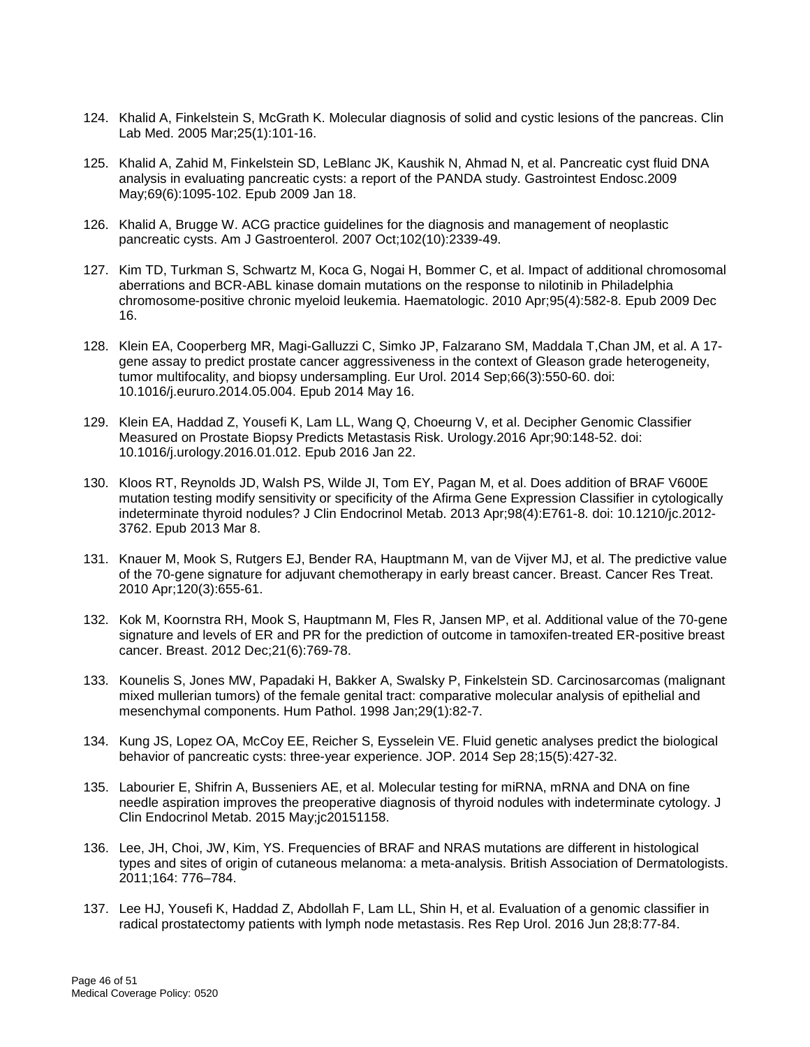- 124. Khalid A, Finkelstein S, McGrath K. Molecular diagnosis of solid and cystic lesions of the pancreas. Clin Lab Med. 2005 Mar;25(1):101-16.
- 125. Khalid A, Zahid M, Finkelstein SD, LeBlanc JK, Kaushik N, Ahmad N, et al. Pancreatic cyst fluid DNA analysis in evaluating pancreatic cysts: a report of the PANDA study. Gastrointest Endosc.2009 May;69(6):1095-102. Epub 2009 Jan 18.
- 126. Khalid A, Brugge W. ACG practice guidelines for the diagnosis and management of neoplastic pancreatic cysts. Am J Gastroenterol. 2007 Oct;102(10):2339-49.
- 127. Kim TD, Turkman S, Schwartz M, Koca G, Nogai H, Bommer C, et al. Impact of additional chromosomal aberrations and BCR-ABL kinase domain mutations on the response to nilotinib in Philadelphia chromosome-positive chronic myeloid leukemia. Haematologic. 2010 Apr;95(4):582-8. Epub 2009 Dec 16.
- 128. Klein EA, Cooperberg MR, Magi-Galluzzi C, Simko JP, Falzarano SM, Maddala T,Chan JM, et al. A 17 gene assay to predict prostate cancer aggressiveness in the context of Gleason grade heterogeneity, tumor multifocality, and biopsy undersampling. Eur Urol. 2014 Sep;66(3):550-60. doi: 10.1016/j.eururo.2014.05.004. Epub 2014 May 16.
- 129. Klein EA, Haddad Z, Yousefi K, Lam LL, Wang Q, Choeurng V, et al. Decipher Genomic Classifier Measured on Prostate Biopsy Predicts Metastasis Risk. Urology.2016 Apr;90:148-52. doi: 10.1016/j.urology.2016.01.012. Epub 2016 Jan 22.
- 130. Kloos RT, Reynolds JD, Walsh PS, Wilde JI, Tom EY, Pagan M, et al. Does addition of BRAF V600E mutation testing modify sensitivity or specificity of the Afirma Gene Expression Classifier in cytologically indeterminate thyroid nodules? J Clin Endocrinol Metab. 2013 Apr;98(4):E761-8. doi: 10.1210/jc.2012- 3762. Epub 2013 Mar 8.
- 131. Knauer M, Mook S, Rutgers EJ, Bender RA, Hauptmann M, van de Vijver MJ, et al. The predictive value of the 70-gene signature for adjuvant chemotherapy in early breast cancer. Breast. Cancer Res Treat. 2010 Apr;120(3):655-61.
- 132. Kok M, Koornstra RH, Mook S, Hauptmann M, Fles R, Jansen MP, et al. Additional value of the 70-gene signature and levels of ER and PR for the prediction of outcome in tamoxifen-treated ER-positive breast cancer. Breast. 2012 Dec;21(6):769-78.
- 133. Kounelis S, Jones MW, Papadaki H, Bakker A, Swalsky P, Finkelstein SD. Carcinosarcomas (malignant mixed mullerian tumors) of the female genital tract: comparative molecular analysis of epithelial and mesenchymal components. Hum Pathol. 1998 Jan;29(1):82-7.
- 134. Kung JS, Lopez OA, McCoy EE, Reicher S, Eysselein VE. Fluid genetic analyses predict the biological behavior of pancreatic cysts: three-year experience. JOP. 2014 Sep 28;15(5):427-32.
- 135. Labourier E, Shifrin A, Busseniers AE, et al. Molecular testing for miRNA, mRNA and DNA on fine needle aspiration improves the preoperative diagnosis of thyroid nodules with indeterminate cytology. J Clin Endocrinol Metab. 2015 May;jc20151158.
- 136. Lee, JH, Choi, JW, Kim, YS. Frequencies of BRAF and NRAS mutations are different in histological types and sites of origin of cutaneous melanoma: a meta-analysis. British Association of Dermatologists. 2011;164: 776–784.
- 137. Lee HJ, Yousefi K, Haddad Z, Abdollah F, Lam LL, Shin H, et al. Evaluation of a genomic classifier in radical prostatectomy patients with lymph node metastasis. Res Rep Urol. 2016 Jun 28;8:77-84.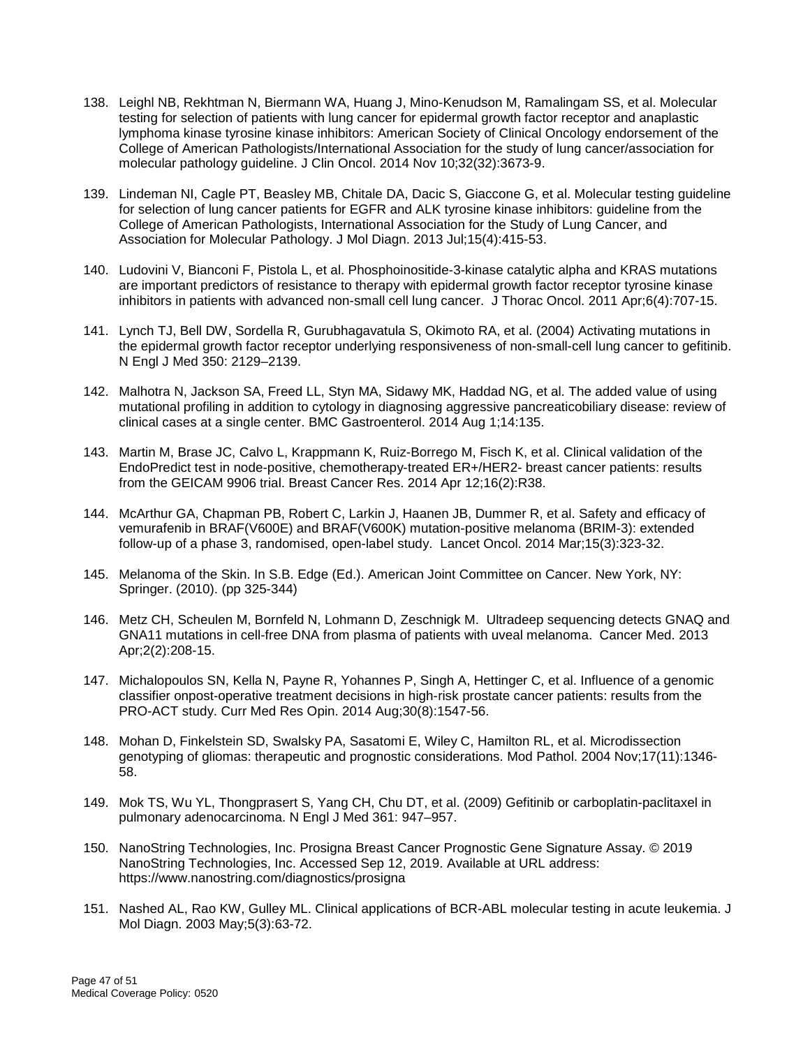- 138. Leighl NB, Rekhtman N, Biermann WA, Huang J, Mino-Kenudson M, Ramalingam SS, et al. Molecular testing for selection of patients with lung cancer for epidermal growth factor receptor and anaplastic lymphoma kinase tyrosine kinase inhibitors: American Society of Clinical Oncology endorsement of the College of American Pathologists/International Association for the study of lung cancer/association for molecular pathology guideline. J Clin Oncol. 2014 Nov 10;32(32):3673-9.
- 139. Lindeman NI, Cagle PT, Beasley MB, Chitale DA, Dacic S, Giaccone G, et al. Molecular testing guideline for selection of lung cancer patients for EGFR and ALK tyrosine kinase inhibitors: guideline from the College of American Pathologists, International Association for the Study of Lung Cancer, and Association for Molecular Pathology. J Mol Diagn. 2013 Jul;15(4):415-53.
- 140. Ludovini V, Bianconi F, Pistola L, et al. Phosphoinositide-3-kinase catalytic alpha and KRAS mutations are important predictors of resistance to therapy with epidermal growth factor receptor tyrosine kinase inhibitors in patients with advanced non-small cell lung cancer. J Thorac Oncol. 2011 Apr;6(4):707-15.
- 141. Lynch TJ, Bell DW, Sordella R, Gurubhagavatula S, Okimoto RA, et al. (2004) Activating mutations in the epidermal growth factor receptor underlying responsiveness of non-small-cell lung cancer to gefitinib. N Engl J Med 350: 2129–2139.
- 142. Malhotra N, Jackson SA, Freed LL, Styn MA, Sidawy MK, Haddad NG, et al. The added value of using mutational profiling in addition to cytology in diagnosing aggressive pancreaticobiliary disease: review of clinical cases at a single center. BMC Gastroenterol. 2014 Aug 1;14:135.
- 143. Martin M, Brase JC, Calvo L, Krappmann K, Ruiz-Borrego M, Fisch K, et al. Clinical validation of the EndoPredict test in node-positive, chemotherapy-treated ER+/HER2- breast cancer patients: results from the GEICAM 9906 trial. Breast Cancer Res. 2014 Apr 12;16(2):R38.
- 144. McArthur GA, Chapman PB, Robert C, Larkin J, Haanen JB, Dummer R, et al. Safety and efficacy of vemurafenib in BRAF(V600E) and BRAF(V600K) mutation-positive melanoma (BRIM-3): extended follow-up of a phase 3, randomised, open-label study. Lancet Oncol. 2014 Mar;15(3):323-32.
- 145. Melanoma of the Skin. In S.B. Edge (Ed.). American Joint Committee on Cancer. New York, NY: Springer. (2010). (pp 325-344)
- 146. Metz CH, Scheulen M, Bornfeld N, Lohmann D, Zeschnigk M. Ultradeep sequencing detects GNAQ and GNA11 mutations in cell-free DNA from plasma of patients with uveal melanoma. Cancer Med. 2013 Apr;2(2):208-15.
- 147. Michalopoulos SN, Kella N, Payne R, Yohannes P, Singh A, Hettinger C, et al. Influence of a genomic classifier onpost-operative treatment decisions in high-risk prostate cancer patients: results from the PRO-ACT study. Curr Med Res Opin. 2014 Aug;30(8):1547-56.
- 148. Mohan D, Finkelstein SD, Swalsky PA, Sasatomi E, Wiley C, Hamilton RL, et al. Microdissection genotyping of gliomas: therapeutic and prognostic considerations. Mod Pathol. 2004 Nov;17(11):1346- 58.
- 149. Mok TS, Wu YL, Thongprasert S, Yang CH, Chu DT, et al. (2009) Gefitinib or carboplatin-paclitaxel in pulmonary adenocarcinoma. N Engl J Med 361: 947–957.
- 150. NanoString Technologies, Inc. Prosigna Breast Cancer Prognostic Gene Signature Assay. © 2019 NanoString Technologies, Inc. Accessed Sep 12, 2019. Available at URL address: https://www.nanostring.com/diagnostics/prosigna
- 151. Nashed AL, Rao KW, Gulley ML. Clinical applications of BCR-ABL molecular testing in acute leukemia. J Mol Diagn. 2003 May;5(3):63-72.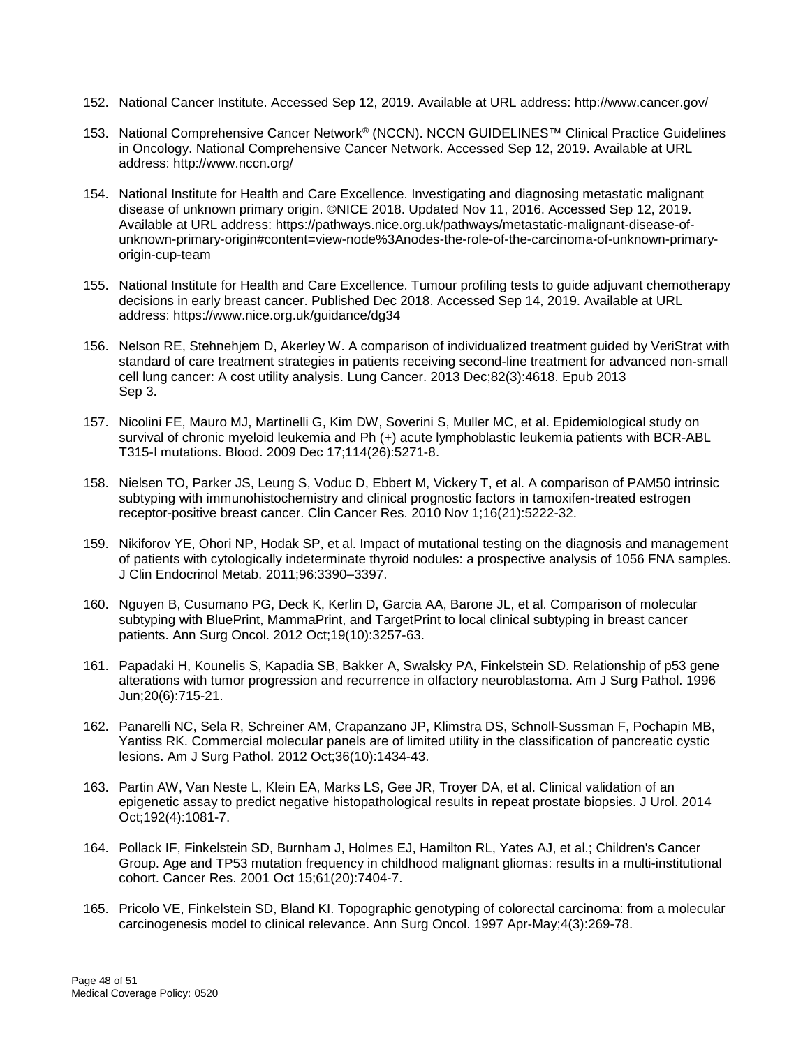- 152. National Cancer Institute. Accessed Sep 12, 2019. Available at URL address: http://www.cancer.gov/
- 153. National Comprehensive Cancer Network® (NCCN). NCCN GUIDELINES™ Clinical Practice Guidelines in Oncology. National Comprehensive Cancer Network. Accessed Sep 12, 2019. Available at URL address: http://www.nccn.org/
- 154. National Institute for Health and Care Excellence. Investigating and diagnosing metastatic malignant disease of unknown primary origin. ©NICE 2018. Updated Nov 11, 2016. Accessed Sep 12, 2019. Available at URL address: https://pathways.nice.org.uk/pathways/metastatic-malignant-disease-ofunknown-primary-origin#content=view-node%3Anodes-the-role-of-the-carcinoma-of-unknown-primaryorigin-cup-team
- 155. National Institute for Health and Care Excellence. Tumour profiling tests to guide adjuvant chemotherapy decisions in early breast cancer. Published Dec 2018. Accessed Sep 14, 2019. Available at URL address: https://www.nice.org.uk/guidance/dg34
- 156. Nelson RE, Stehnehjem D, Akerley W. A comparison of individualized treatment guided by VeriStrat with standard of care treatment strategies in patients receiving second-line treatment for advanced non-small cell lung cancer: A cost utility analysis. Lung Cancer. 2013 Dec;82(3):4618. Epub 2013 Sep 3.
- 157. Nicolini FE, Mauro MJ, Martinelli G, Kim DW, Soverini S, Muller MC, et al. Epidemiological study on survival of chronic myeloid leukemia and Ph (+) acute lymphoblastic leukemia patients with BCR-ABL T315-I mutations. Blood. 2009 Dec 17;114(26):5271-8.
- 158. Nielsen TO, Parker JS, Leung S, Voduc D, Ebbert M, Vickery T, et al. A comparison of PAM50 intrinsic subtyping with immunohistochemistry and clinical prognostic factors in tamoxifen-treated estrogen receptor-positive breast cancer. Clin Cancer Res. 2010 Nov 1;16(21):5222-32.
- 159. Nikiforov YE, Ohori NP, Hodak SP, et al. Impact of mutational testing on the diagnosis and management of patients with cytologically indeterminate thyroid nodules: a prospective analysis of 1056 FNA samples. J Clin Endocrinol Metab. 2011;96:3390–3397.
- 160. Nguyen B, Cusumano PG, Deck K, Kerlin D, Garcia AA, Barone JL, et al. Comparison of molecular subtyping with BluePrint, MammaPrint, and TargetPrint to local clinical subtyping in breast cancer patients. Ann Surg Oncol. 2012 Oct;19(10):3257-63.
- 161. Papadaki H, Kounelis S, Kapadia SB, Bakker A, Swalsky PA, Finkelstein SD. Relationship of p53 gene alterations with tumor progression and recurrence in olfactory neuroblastoma. Am J Surg Pathol. 1996 Jun;20(6):715-21.
- 162. Panarelli NC, Sela R, Schreiner AM, Crapanzano JP, Klimstra DS, Schnoll-Sussman F, Pochapin MB, Yantiss RK. Commercial molecular panels are of limited utility in the classification of pancreatic cystic lesions. Am J Surg Pathol. 2012 Oct;36(10):1434-43.
- 163. Partin AW, Van Neste L, Klein EA, Marks LS, Gee JR, Troyer DA, et al. Clinical validation of an epigenetic assay to predict negative histopathological results in repeat prostate biopsies. J Urol. 2014 Oct;192(4):1081-7.
- 164. Pollack IF, Finkelstein SD, Burnham J, Holmes EJ, Hamilton RL, Yates AJ, et al.; Children's Cancer Group. Age and TP53 mutation frequency in childhood malignant gliomas: results in a multi-institutional cohort. Cancer Res. 2001 Oct 15;61(20):7404-7.
- 165. Pricolo VE, Finkelstein SD, Bland KI. Topographic genotyping of colorectal carcinoma: from a molecular carcinogenesis model to clinical relevance. Ann Surg Oncol. 1997 Apr-May;4(3):269-78.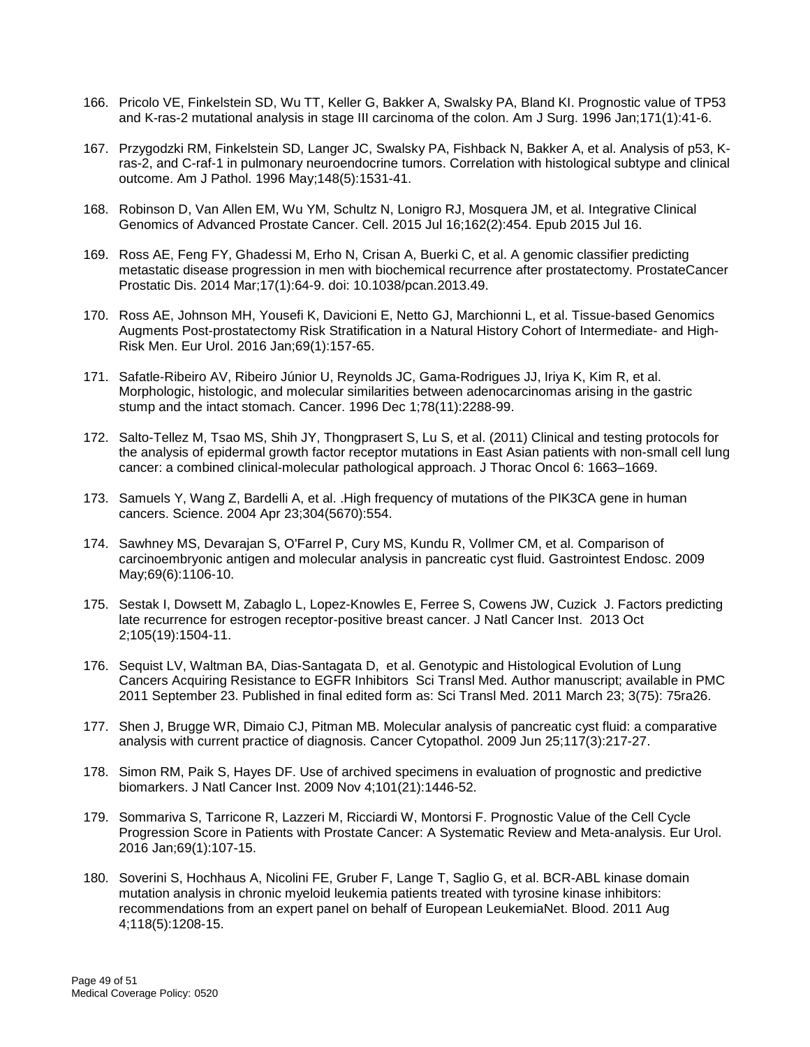- 166. Pricolo VE, Finkelstein SD, Wu TT, Keller G, Bakker A, Swalsky PA, Bland KI. Prognostic value of TP53 and K-ras-2 mutational analysis in stage III carcinoma of the colon. Am J Surg. 1996 Jan;171(1):41-6.
- 167. Przygodzki RM, Finkelstein SD, Langer JC, Swalsky PA, Fishback N, Bakker A, et al. Analysis of p53, Kras-2, and C-raf-1 in pulmonary neuroendocrine tumors. Correlation with histological subtype and clinical outcome. Am J Pathol. 1996 May;148(5):1531-41.
- 168. Robinson D, Van Allen EM, Wu YM, Schultz N, Lonigro RJ, Mosquera JM, et al. Integrative Clinical Genomics of Advanced Prostate Cancer. Cell. 2015 Jul 16;162(2):454. Epub 2015 Jul 16.
- 169. Ross AE, Feng FY, Ghadessi M, Erho N, Crisan A, Buerki C, et al. A genomic classifier predicting metastatic disease progression in men with biochemical recurrence after prostatectomy. ProstateCancer Prostatic Dis. 2014 Mar;17(1):64-9. doi: 10.1038/pcan.2013.49.
- 170. Ross AE, Johnson MH, Yousefi K, Davicioni E, Netto GJ, Marchionni L, et al. Tissue-based Genomics Augments Post-prostatectomy Risk Stratification in a Natural History Cohort of Intermediate- and High-Risk Men. Eur Urol. 2016 Jan;69(1):157-65.
- 171. Safatle-Ribeiro AV, Ribeiro Júnior U, Reynolds JC, Gama-Rodrigues JJ, Iriya K, Kim R, et al. Morphologic, histologic, and molecular similarities between adenocarcinomas arising in the gastric stump and the intact stomach. Cancer. 1996 Dec 1;78(11):2288-99.
- 172. Salto-Tellez M, Tsao MS, Shih JY, Thongprasert S, Lu S, et al. (2011) Clinical and testing protocols for the analysis of epidermal growth factor receptor mutations in East Asian patients with non-small cell lung cancer: a combined clinical-molecular pathological approach. J Thorac Oncol 6: 1663–1669.
- 173. Samuels Y, Wang Z, Bardelli A, et al. .High frequency of mutations of the PIK3CA gene in human cancers. Science. 2004 Apr 23;304(5670):554.
- 174. Sawhney MS, Devarajan S, O'Farrel P, Cury MS, Kundu R, Vollmer CM, et al. Comparison of carcinoembryonic antigen and molecular analysis in pancreatic cyst fluid. Gastrointest Endosc. 2009 May;69(6):1106-10.
- 175. Sestak I, Dowsett M, Zabaglo L, Lopez-Knowles E, Ferree S, Cowens JW, Cuzick J. Factors predicting late recurrence for estrogen receptor-positive breast cancer. J Natl Cancer Inst. 2013 Oct 2;105(19):1504-11.
- 176. Sequist LV, Waltman BA, Dias-Santagata D, et al. Genotypic and Histological Evolution of Lung Cancers Acquiring Resistance to EGFR Inhibitors Sci Transl Med. Author manuscript; available in PMC 2011 September 23. Published in final edited form as: Sci Transl Med. 2011 March 23; 3(75): 75ra26.
- 177. Shen J, Brugge WR, Dimaio CJ, Pitman MB. Molecular analysis of pancreatic cyst fluid: a comparative analysis with current practice of diagnosis. Cancer Cytopathol. 2009 Jun 25;117(3):217-27.
- 178. Simon RM, Paik S, Hayes DF. Use of archived specimens in evaluation of prognostic and predictive biomarkers. J Natl Cancer Inst. 2009 Nov 4;101(21):1446-52.
- 179. Sommariva S, Tarricone R, Lazzeri M, Ricciardi W, Montorsi F. Prognostic Value of the Cell Cycle Progression Score in Patients with Prostate Cancer: A Systematic Review and Meta-analysis. Eur Urol. 2016 Jan;69(1):107-15.
- 180. Soverini S, Hochhaus A, Nicolini FE, Gruber F, Lange T, Saglio G, et al. BCR-ABL kinase domain mutation analysis in chronic myeloid leukemia patients treated with tyrosine kinase inhibitors: recommendations from an expert panel on behalf of European LeukemiaNet. Blood. 2011 Aug 4;118(5):1208-15.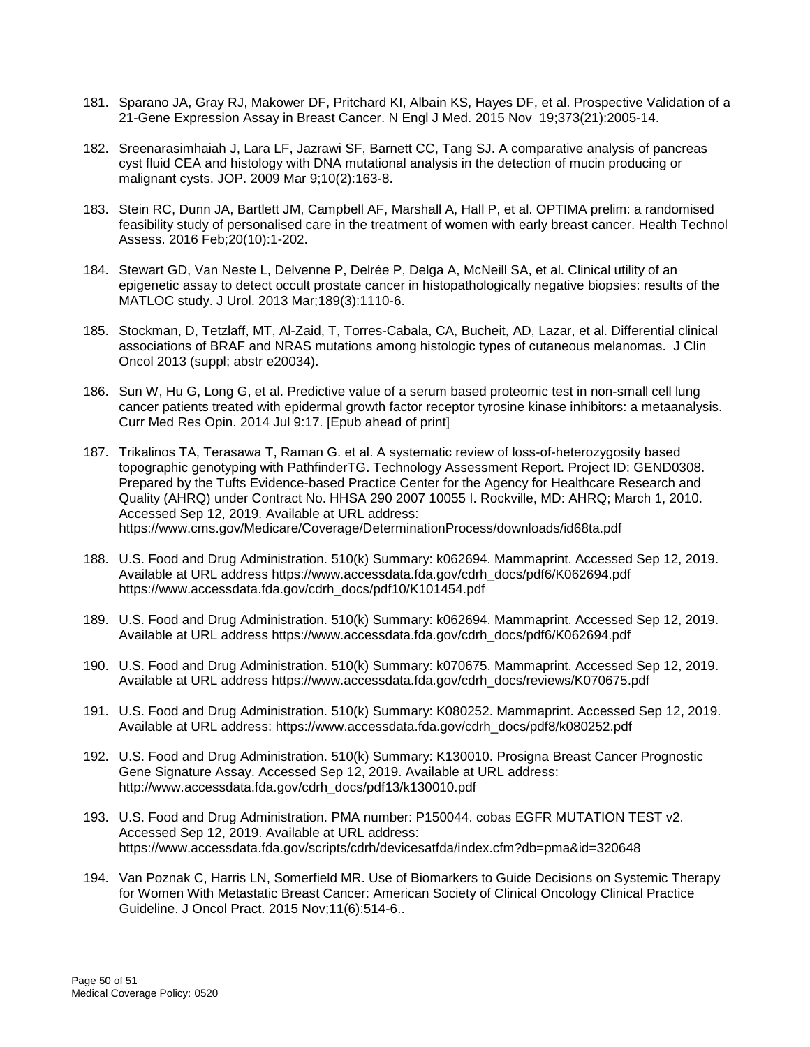- 181. Sparano JA, Gray RJ, Makower DF, Pritchard KI, Albain KS, Hayes DF, et al. Prospective Validation of a 21-Gene Expression Assay in Breast Cancer. N Engl J Med. 2015 Nov 19;373(21):2005-14.
- 182. Sreenarasimhaiah J, Lara LF, Jazrawi SF, Barnett CC, Tang SJ. A comparative analysis of pancreas cyst fluid CEA and histology with DNA mutational analysis in the detection of mucin producing or malignant cysts. JOP. 2009 Mar 9;10(2):163-8.
- 183. Stein RC, Dunn JA, Bartlett JM, Campbell AF, Marshall A, Hall P, et al. OPTIMA prelim: a randomised feasibility study of personalised care in the treatment of women with early breast cancer. Health Technol Assess. 2016 Feb;20(10):1-202.
- 184. Stewart GD, Van Neste L, Delvenne P, Delrée P, Delga A, McNeill SA, et al. Clinical utility of an epigenetic assay to detect occult prostate cancer in histopathologically negative biopsies: results of the MATLOC study. J Urol. 2013 Mar;189(3):1110-6.
- 185. Stockman, D, Tetzlaff, MT, Al-Zaid, T, Torres-Cabala, CA, Bucheit, AD, Lazar, et al. Differential clinical associations of BRAF and NRAS mutations among histologic types of cutaneous melanomas. J Clin Oncol 2013 (suppl; abstr e20034).
- 186. Sun W, Hu G, Long G, et al. Predictive value of a serum based proteomic test in non-small cell lung cancer patients treated with epidermal growth factor receptor tyrosine kinase inhibitors: a metaanalysis. Curr Med Res Opin. 2014 Jul 9:17. [Epub ahead of print]
- 187. Trikalinos TA, Terasawa T, Raman G. et al. A systematic review of loss-of-heterozygosity based topographic genotyping with PathfinderTG. Technology Assessment Report. Project ID: GEND0308. Prepared by the Tufts Evidence-based Practice Center for the Agency for Healthcare Research and Quality (AHRQ) under Contract No. HHSA 290 2007 10055 I. Rockville, MD: AHRQ; March 1, 2010. Accessed Sep 12, 2019. Available at URL address: https://www.cms.gov/Medicare/Coverage/DeterminationProcess/downloads/id68ta.pdf
- 188. U.S. Food and Drug Administration. 510(k) Summary: k062694. Mammaprint. Accessed Sep 12, 2019. Available at URL address https://www.accessdata.fda.gov/cdrh\_docs/pdf6/K062694.pdf https://www.accessdata.fda.gov/cdrh\_docs/pdf10/K101454.pdf
- 189. U.S. Food and Drug Administration. 510(k) Summary: k062694. Mammaprint. Accessed Sep 12, 2019. Available at URL address https://www.accessdata.fda.gov/cdrh\_docs/pdf6/K062694.pdf
- 190. U.S. Food and Drug Administration. 510(k) Summary: k070675. Mammaprint. Accessed Sep 12, 2019. Available at URL address https://www.accessdata.fda.gov/cdrh\_docs/reviews/K070675.pdf
- 191. U.S. Food and Drug Administration. 510(k) Summary: K080252. Mammaprint. Accessed Sep 12, 2019. Available at URL address: https://www.accessdata.fda.gov/cdrh\_docs/pdf8/k080252.pdf
- 192. U.S. Food and Drug Administration. 510(k) Summary: K130010. Prosigna Breast Cancer Prognostic Gene Signature Assay. Accessed Sep 12, 2019. Available at URL address: http://www.accessdata.fda.gov/cdrh\_docs/pdf13/k130010.pdf
- 193. U.S. Food and Drug Administration. PMA number: P150044. cobas EGFR MUTATION TEST v2. Accessed Sep 12, 2019. Available at URL address: https://www.accessdata.fda.gov/scripts/cdrh/devicesatfda/index.cfm?db=pma&id=320648
- 194. Van Poznak C, Harris LN, Somerfield MR. Use of Biomarkers to Guide Decisions on Systemic Therapy for Women With Metastatic Breast Cancer: American Society of Clinical Oncology Clinical Practice Guideline. J Oncol Pract. 2015 Nov;11(6):514-6..